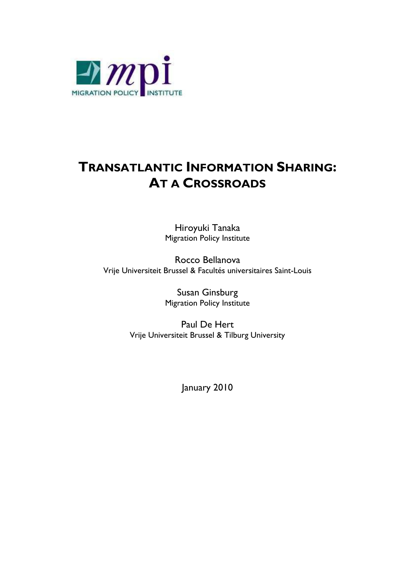

# **TRANSATLANTIC INFORMATION SHARING: AT A CROSSROADS**

Hiroyuki Tanaka Migration Policy Institute

Rocco Bellanova Vrije Universiteit Brussel & Facultés universitaires Saint-Louis

> Susan Ginsburg Migration Policy Institute

Paul De Hert Vrije Universiteit Brussel & Tilburg University

January 2010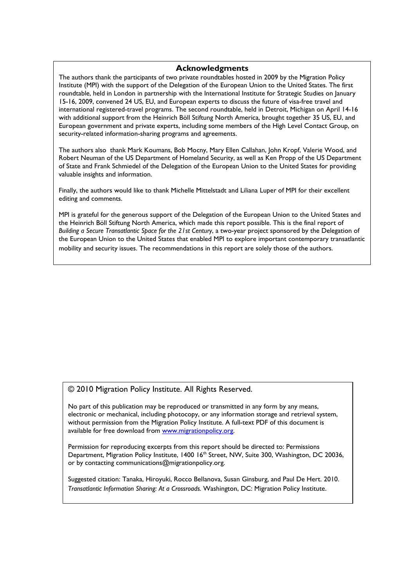#### **Acknowledgments**

The authors thank the participants of two private roundtables hosted in 2009 by the Migration Policy Institute (MPI) with the support of the Delegation of the European Union to the United States. The first roundtable, held in London in partnership with the International Institute for Strategic Studies on January 15-16, 2009, convened 24 US, EU, and European experts to discuss the future of visa-free travel and international registered-travel programs. The second roundtable, held in Detroit, Michigan on April 14-16 with additional support from the Heinrich Böll Stiftung North America, brought together 35 US, EU, and European government and private experts, including some members of the High Level Contact Group, on security-related information-sharing programs and agreements.

The authors also thank Mark Koumans, Bob Mocny, Mary Ellen Callahan, John Kropf, Valerie Wood, and Robert Neuman of the US Department of Homeland Security, as well as Ken Propp of the US Department of State and Frank Schmiedel of the Delegation of the European Union to the United States for providing valuable insights and information.

Finally, the authors would like to thank Michelle Mittelstadt and Liliana Luper of MPI for their excellent editing and comments.

MPI is grateful for the generous support of the Delegation of the European Union to the United States and the Heinrich Böll Stiftung North America, which made this report possible. This is the final report of *Building a Secure Transatlantic Space for the 21st Century*, a two-year project sponsored by the Delegation of the European Union to the United States that enabled MPI to explore important contemporary transatlantic mobility and security issues. The recommendations in this report are solely those of the authors.

#### © 2010 Migration Policy Institute. All Rights Reserved.

No part of this publication may be reproduced or transmitted in any form by any means, electronic or mechanical, including photocopy, or any information storage and retrieval system, without permission from the Migration Policy Institute. A full-text PDF of this document is available for free download from www.migrationpolicy.org.

Permission for reproducing excerpts from this report should be directed to: Permissions Department, Migration Policy Institute, 1400 16<sup>th</sup> Street, NW, Suite 300, Washington, DC 20036, or by contacting communications@migrationpolicy.org.

Suggested citation: Tanaka, Hiroyuki, Rocco Bellanova, Susan Ginsburg, and Paul De Hert. 2010. *Transatlantic Information Sharing: At a Crossroads.* Washington, DC: Migration Policy Institute.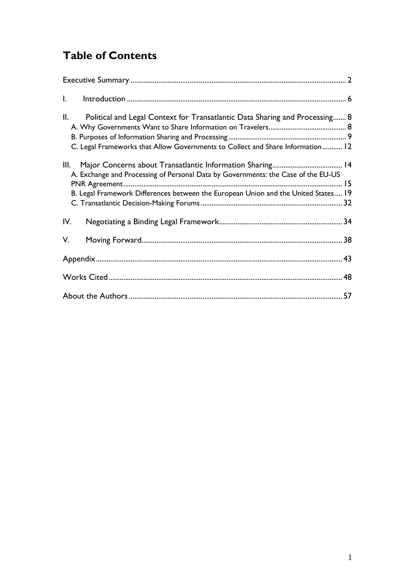# **Table of Contents**

| $\mathbf{l}$ .                                                                                                                                                                |  |
|-------------------------------------------------------------------------------------------------------------------------------------------------------------------------------|--|
| Political and Legal Context for Transatlantic Data Sharing and Processing 8<br>II.<br>C. Legal Frameworks that Allow Governments to Collect and Share Information 12          |  |
| Ш.<br>A. Exchange and Processing of Personal Data by Governments: the Case of the EU-US<br>B. Legal Framework Differences between the European Union and the United States 19 |  |
| IV.                                                                                                                                                                           |  |
| V.                                                                                                                                                                            |  |
|                                                                                                                                                                               |  |
|                                                                                                                                                                               |  |
|                                                                                                                                                                               |  |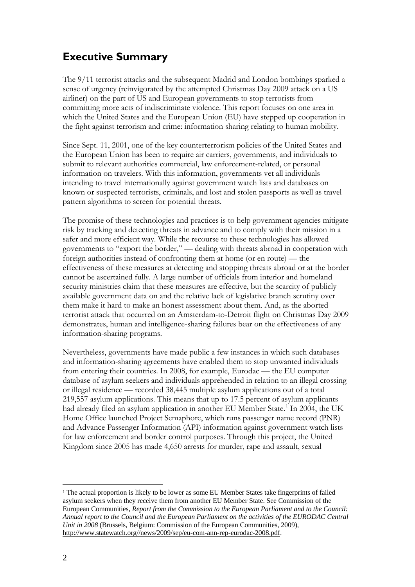## <span id="page-3-0"></span>**Executive Summary**

The 9/11 terrorist attacks and the subsequent Madrid and London bombings sparked a sense of urgency (reinvigorated by the attempted Christmas Day 2009 attack on a US airliner) on the part of US and European governments to stop terrorists from committing more acts of indiscriminate violence. This report focuses on one area in which the United States and the European Union (EU) have stepped up cooperation in the fight against terrorism and crime: information sharing relating to human mobility.

Since Sept. 11, 2001, one of the key counterterrorism policies of the United States and the European Union has been to require air carriers, governments, and individuals to submit to relevant authorities commercial, law enforcement-related, or personal information on travelers. With this information, governments vet all individuals intending to travel internationally against government watch lists and databases on known or suspected terrorists, criminals, and lost and stolen passports as well as travel pattern algorithms to screen for potential threats.

The promise of these technologies and practices is to help government agencies mitigate risk by tracking and detecting threats in advance and to comply with their mission in a safer and more efficient way. While the recourse to these technologies has allowed governments to "export the border," — dealing with threats abroad in cooperation with foreign authorities instead of confronting them at home (or en route) — the effectiveness of these measures at detecting and stopping threats abroad or at the border cannot be ascertained fully. A large number of officials from interior and homeland security ministries claim that these measures are effective, but the scarcity of publicly available government data on and the relative lack of legislative branch scrutiny over them make it hard to make an honest assessment about them. And, as the aborted terrorist attack that occurred on an Amsterdam-to-Detroit flight on Christmas Day 2009 demonstrates, human and intelligence-sharing failures bear on the effectiveness of any information-sharing programs.

Nevertheless, governments have made public a few instances in which such databases and information-sharing agreements have enabled them to stop unwanted individuals from entering their countries. In 2008, for example, Eurodac — the EU computer database of asylum seekers and individuals apprehended in relation to an illegal crossing or illegal residence — recorded 38,445 multiple asylum applications out of a total 219,557 asylum applications. This means that up to 17.5 percent of asylum applicants had already filed an asylum application in another EU Member State.<sup>1</sup> In 2004, the UK Home Office launched Project Semaphore, which runs passenger name record (PNR) and Advance Passenger Information (API) information against gove[rn](#page-3-1)ment watch lists for law enforcement and border control purposes. Through this project, the United Kingdom since 2005 has made 4,650 arrests for murder, rape and assault, sexual

<u>.</u>

<span id="page-3-1"></span><sup>&</sup>lt;sup>1</sup> The actual proportion is likely to be lower as some EU Member States take fingerprints of failed asylum seekers when they receive them from another EU Member State. See Commission of the European Communities, *Report from the Commission to the European Parliament and to the Council: Annual report to the Council and the European Parliament on the activities of the EURODAC Central Unit in 2008* (Brussels, Belgium: Commission of the European Communities, 2009), [http://www.statewatch.org//news/2009/sep/eu-com-ann-rep-eurodac-2008.pdf.](http://www.statewatch.org/news/2009/sep/eu-com-ann-rep-eurodac-2008.pdf)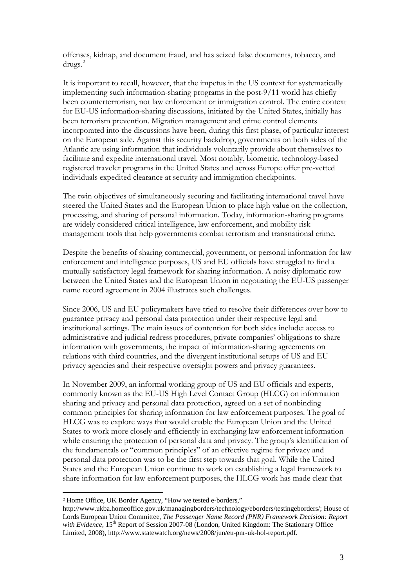offenses, kidnap, and document fraud, and has seized false documents, tobacco, and  $drugs.<sup>2</sup>$  $drugs.<sup>2</sup>$  $drugs.<sup>2</sup>$ 

It is important to recall, however, that the impetus in the US context for systematically implementing such information-sharing programs in the post-9/11 world has chiefly been counterterrorism, not law enforcement or immigration control. The entire context for EU-US information-sharing discussions, initiated by the United States, initially has been terrorism prevention. Migration management and crime control elements incorporated into the discussions have been, during this first phase, of particular interest on the European side. Against this security backdrop, governments on both sides of the Atlantic are using information that individuals voluntarily provide about themselves to facilitate and expedite international travel. Most notably, biometric, technology-based registered traveler programs in the United States and across Europe offer pre-vetted individuals expedited clearance at security and immigration checkpoints.

The twin objectives of simultaneously securing and facilitating international travel have steered the United States and the European Union to place high value on the collection, processing, and sharing of personal information. Today, information-sharing programs are widely considered critical intelligence, law enforcement, and mobility risk management tools that help governments combat terrorism and transnational crime.

Despite the benefits of sharing commercial, government, or personal information for law enforcement and intelligence purposes, US and EU officials have struggled to find a mutually satisfactory legal framework for sharing information. A noisy diplomatic row between the United States and the European Union in negotiating the EU-US passenger name record agreement in 2004 illustrates such challenges.

Since 2006, US and EU policymakers have tried to resolve their differences over how to guarantee privacy and personal data protection under their respective legal and institutional settings. The main issues of contention for both sides include: access to administrative and judicial redress procedures, private companies' obligations to share information with governments, the impact of information-sharing agreements on relations with third countries, and the divergent institutional setups of US and EU privacy agencies and their respective oversight powers and privacy guarantees.

In November 2009, an informal working group of US and EU officials and experts, commonly known as the EU-US High Level Contact Group (HLCG) on information sharing and privacy and personal data protection, agreed on a set of nonbinding common principles for sharing information for law enforcement purposes. The goal of HLCG was to explore ways that would enable the European Union and the United States to work more closely and efficiently in exchanging law enforcement information while ensuring the protection of personal data and privacy. The group's identification of the fundamentals or "common principles" of an effective regime for privacy and personal data protection was to be the first step towards that goal. While the United States and the European Union continue to work on establishing a legal framework to share information for law enforcement purposes, the HLCG work has made clear that

 $\overline{a}$ 

<span id="page-4-0"></span><sup>2</sup> Home Office, UK Border Agency, "How we tested e-borders,"

[http://www.ukba.homeoffice.gov.uk/managingborders/technology/eborders/testingeborders/;](http://www.ukba.homeoffice.gov.uk/managingborders/technology/eborders/testingeborders/) House of Lords European Union Committee, *The Passenger Name Record (PNR) Framework Decision: Report with Evidence*, 15<sup>th</sup> Report of Session 2007-08 (London, United Kingdom: The Stationary Office Limited, 2008), [http://www.statewatch.org/news/2008/jun/eu-pnr-uk-hol-report.pdf.](http://www.statewatch.org/news/2008/jun/eu-pnr-uk-hol-report.pdf)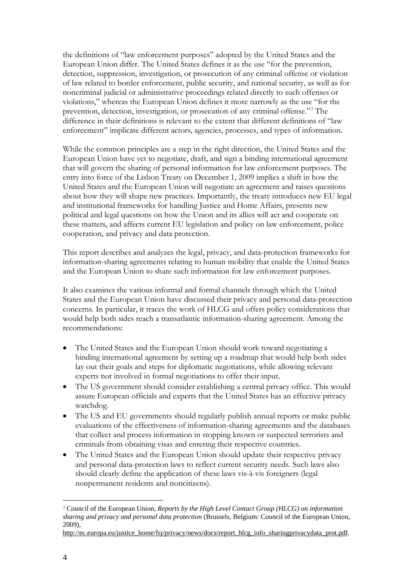the definitions of "law enforcement purposes" adopted by the United States and the European Union differ. The United States defines it as the use "for the prevention, detection, suppression, investigation, or prosecution of any criminal offense or violation of law related to border enforcement, public security, and national security, as well as for noncriminal judicial or administrative proceedings related directly to such offenses or violations," whereas the European Union defines it more narrowly as the use "for the prevention, detection, investigation, or prosecution of any criminal offense."[3](#page-5-0) The difference in their definitions is relevant to the extent that different definitions of "law enforcement" implicate different actors, agencies, processes, and types of information.

While the common principles are a step in the right direction, the United States and the European Union have yet to negotiate, draft, and sign a binding international agreement that will govern the sharing of personal information for law enforcement purposes. The entry into force of the Lisbon Treaty on December 1, 2009 implies a shift in how the United States and the European Union will negotiate an agreement and raises questions about how they will shape new practices. Importantly, the treaty introduces new EU legal and institutional frameworks for handling Justice and Home Affairs, presents new political and legal questions on how the Union and its allies will act and cooperate on these matters, and affects current EU legislation and policy on law enforcement, police cooperation, and privacy and data protection.

This report describes and analyzes the legal, privacy, and data-protection frameworks for information-sharing agreements relating to human mobility that enable the United States and the European Union to share such information for law enforcement purposes.

It also examines the various informal and formal channels through which the United States and the European Union have discussed their privacy and personal data-protection concerns. In particular, it traces the work of HLCG and offers policy considerations that would help both sides reach a transatlantic information-sharing agreement. Among the recommendations:

- The United States and the European Union should work toward negotiating a binding international agreement by setting up a roadmap that would help both sides lay out their goals and steps for diplomatic negotiations, while allowing relevant experts not involved in formal negotiations to offer their input.
- The US government should consider establishing a central privacy office. This would assure European officials and experts that the United States has an effective privacy watchdog.
- The US and EU governments should regularly publish annual reports or make public evaluations of the effectiveness of information-sharing agreements and the databases that collect and process information in stopping known or suspected terrorists and criminals from obtaining visas and entering their respective countries.
- The United States and the European Union should update their respective privacy and personal data-protection laws to reflect current security needs. Such laws also should clearly define the application of these laws vis-à-vis foreigners (legal nonpermanent residents and noncitizens).

 $\overline{a}$ 

<span id="page-5-0"></span><sup>3</sup> Council of the European Union, *Reports by the High Level Contact Group (HLCG) on information sharing and privacy and personal data protection* (Brussels, Belgium: Council of the European Union, 2009),

[http://ec.europa.eu/justice\\_home/fsj/privacy/news/docs/report\\_hlcg\\_info\\_sharingprivacydata\\_prot.pdf.](http://ec.europa.eu/justice_home/fsj/privacy/news/docs/report_hlcg_info_sharingprivacydata_prot.pdf)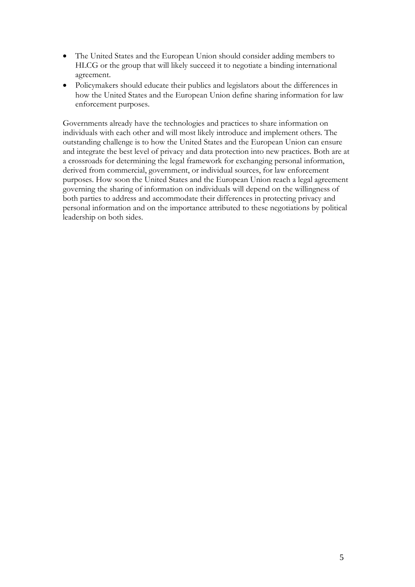- The United States and the European Union should consider adding members to HLCG or the group that will likely succeed it to negotiate a binding international agreement.
- Policymakers should educate their publics and legislators about the differences in how the United States and the European Union define sharing information for law enforcement purposes.

Governments already have the technologies and practices to share information on individuals with each other and will most likely introduce and implement others. The outstanding challenge is to how the United States and the European Union can ensure and integrate the best level of privacy and data protection into new practices. Both are at a crossroads for determining the legal framework for exchanging personal information, derived from commercial, government, or individual sources, for law enforcement purposes. How soon the United States and the European Union reach a legal agreement governing the sharing of information on individuals will depend on the willingness of both parties to address and accommodate their differences in protecting privacy and personal information and on the importance attributed to these negotiations by political leadership on both sides.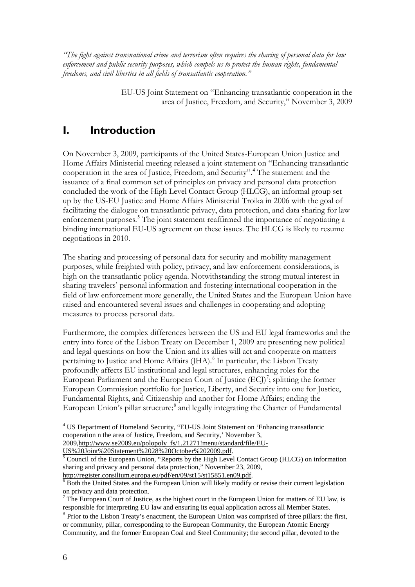*"The fight against transnational crime and terrorism often requires the sharing of personal data for law enforcement and public security purposes, which compels us to protect the human rights, fundamental freedoms, and civil liberties in all fields of transatlantic cooperation."*

> EU-US Joint Statement on "Enhancing transatlantic cooperation in the area of Justice, Freedom, and Security," November 3, 2009

## <span id="page-7-0"></span>**I. Introduction**

On November 3, 2009, participants of the United States-European Union Justice and Home Affairs Ministerial meeting released a joint statement on "Enhancing transatlantic cooperation in the area of Justice, Freedom, and Security".**[4](#page-7-1)** The statement and the issuance of a final common set of principles on privacy and personal data protection concluded the work of the High Level Contact Group (HLCG), an informal group set up by the US-EU Justice and Home Affairs Ministerial Troika in 2006 with the goal of facilitating the dialogue on transatlantic privacy, data protection, and data sharing for law enforcement purposes.**[5](#page-7-2)** The joint statement reaffirmed the importance of negotiating a binding international EU-US agreement on these issues. The HLCG is likely to resume negotiations in 2010.

The sharing and processing of personal data for security and mobility management purposes, while freighted with policy, privacy, and law enforcement considerations, is high on the transatlantic policy agenda. Notwithstanding the strong mutual interest in sharing travelers' personal information and fostering international cooperation in the field of law enforcement more generally, the United States and the European Union have raised and encountered several issues and challenges in cooperating and adopting measures to process personal data.

Furthermore, the complex differences between the US and EU legal frameworks and the entry into force of the Lisbon Treaty on December 1, 2009 are presenting new political and legal questions on how the Union and its allies will act and cooperate on matters pertaining to Justice and Home Affairs (JHA). [6](#page-7-3) In particular, the Lisbon Treaty profoundly affects EU institutional and legal structures, enhancing roles for the European Parliament and the European Court of Justice (ECJ)<sup>[7](#page-7-4)</sup>; splitting the former European Commission portfolio for Justice, Liberty, and Security into one for Justice, Fundamental Rights, and Citizenship and another for Home Affairs; ending the European Union's pillar structure;<sup>[8](#page-7-5)</sup> and legally integrating the Charter of Fundamental

<span id="page-7-1"></span> <sup>4</sup> US Department of Homeland Security, "EU-US Joint Statement on 'Enhancing transatlantic cooperation n the area of Justice, Freedom, and Security,' November 3, 2009, [http://www.se2009.eu/polopoly\\_fs/1.21271!menu/standard/file/EU-](http://www.se2009.eu/polopoly_fs/1.21271!menu/standard/file/EU-US%20Joint%20Statement%2028%20October%202009.pdf)

<span id="page-7-2"></span>[US%20Joint%20Statement%2028%20October%202009.pdf.](http://www.se2009.eu/polopoly_fs/1.21271!menu/standard/file/EU-US%20Joint%20Statement%2028%20October%202009.pdf) [5](http://www.se2009.eu/polopoly_fs/1.21271!menu/standard/file/EU-US%20Joint%20Statement%2028%20October%202009.pdf) Council of the European Union, "Reports by the High Level Contact Group (HLCG) on information sharing and privacy and personal data protection," November 23, 2009,

<span id="page-7-3"></span>[http://register.consilium.europa.eu/pdf/en/09/st15/st15851.en09.pdf.](http://register.consilium.europa.eu/pdf/en/09/st15/st15851.en09.pdf)<br><sup>[6](http://register.consilium.europa.eu/pdf/en/09/st15/st15851.en09.pdf)</sup> Both the United States and the European Union will likely modify or revise their current legislation on privacy and data protection.

<span id="page-7-4"></span> $7$  The European Court of Justice, as the highest court in the European Union for matters of EU law, is responsible for interpreting EU law and ensuring its equal application across all Member States.

<span id="page-7-5"></span><sup>&</sup>lt;sup>8</sup> Prior to the Lisbon Treaty's enactment, the European Union was comprised of three pillars: the first, or community, pillar, corresponding to the European Community, the European Atomic Energy Community, and the former European Coal and Steel Community; the second pillar, devoted to the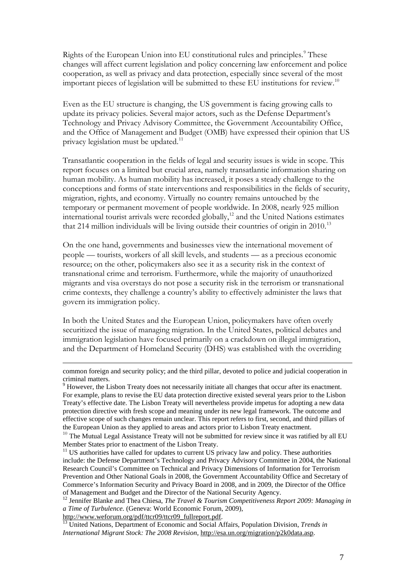Rights of the European Union into EU constitutional rules and principles.<sup>[9](#page-8-0)</sup> These changes will affect current legislation and policy concerning law enforcement and police cooperation, as well as privacy and data protection, especially since several of the most important pieces of legislation will be submitted to these EU institutions for review.<sup>[10](#page-8-1)</sup>

Even as the EU structure is changing, the US government is facing growing calls to update its privacy policies. Several major actors, such as the Defense Department's Technology and Privacy Advisory Committee, the Government Accountability Office, and the Office of Management and Budget (OMB) have expressed their opinion that US privacy legislation must be updated.<sup>[11](#page-8-2)</sup>

Transatlantic cooperation in the fields of legal and security issues is wide in scope. This report focuses on a limited but crucial area, namely transatlantic information sharing on human mobility. As human mobility has increased, it poses a steady challenge to the conceptions and forms of state interventions and responsibilities in the fields of security, migration, rights, and economy. Virtually no country remains untouched by the temporary or permanent movement of people worldwide. In 2008, nearly 925 million international tourist arrivals were recorded globally, $12$  and the United Nations estimates that 214 million individuals will be living outside their countries of origin in 2010.<sup>[13](#page-8-4)</sup>

On the one hand, governments and businesses view the international movement of people — tourists, workers of all skill levels, and students — as a precious economic resource; on the other, policymakers also see it as a security risk in the context of transnational crime and terrorism. Furthermore, while the majority of unauthorized migrants and visa overstays do not pose a security risk in the terrorism or transnational crime contexts, they challenge a country's ability to effectively administer the laws that govern its immigration policy.

In both the United States and the European Union, policymakers have often overly securitized the issue of managing migration. In the United States, political debates and immigration legislation have focused primarily on a crackdown on illegal immigration, and the Department of Homeland Security (DHS) was established with the overriding

 $\overline{a}$ 

common foreign and security policy; and the third pillar, devoted to police and judicial cooperation in criminal matters.

<span id="page-8-0"></span><sup>&</sup>lt;sup>9</sup> However, the Lisbon Treaty does not necessarily initiate all changes that occur after its enactment. For example, plans to revise the EU data protection directive existed several years prior to the Lisbon Treaty's effective date. The Lisbon Treaty will nevertheless provide impetus for adopting a new data protection directive with fresh scope and meaning under its new legal framework. The outcome and effective scope of such changes remain unclear. This report refers to first, second, and third pillars of the European Union as they applied to areas and actors prior to Lisbon Treaty enactment.

<span id="page-8-1"></span> $10$  The Mutual Legal Assistance Treaty will not be submitted for review since it was ratified by all EU Member States prior to enactment of the Lisbon Treaty.<br><sup>11</sup> US authorities have called for updates to current US privacy law and policy. These authorities

<span id="page-8-2"></span>include: the Defense Department's Technology and Privacy Advisory Committee in 2004, the National Research Council's Committee on Technical and Privacy Dimensions of Information for Terrorism Prevention and Other National Goals in 2008, the Government Accountability Office and Secretary of Commerce's Information Security and Privacy Board in 2008, and in 2009, the Director of the Office of Management and Budget and the Director of the National Security Agency.

<span id="page-8-3"></span><sup>&</sup>lt;sup>12</sup> Jennifer Blanke and Thea Chiesa, *The Travel & Tourism Competitiveness Report 2009: Managing in a Time of Turbulence.* (Geneva: World Economic Forum, 2009), http://www.weforum.org/pdf/ttcr09/ttcr09 fullreport.pdf.

<span id="page-8-4"></span><sup>&</sup>lt;sup>3</sup> United Nations, Department of Economic and Social Affairs, Population Division, *Trends in International Migrant Stock: The 2008 Revision*[, http://esa.un.org/migration/p2k0data.asp.](http://esa.un.org/migration/p2k0data.asp)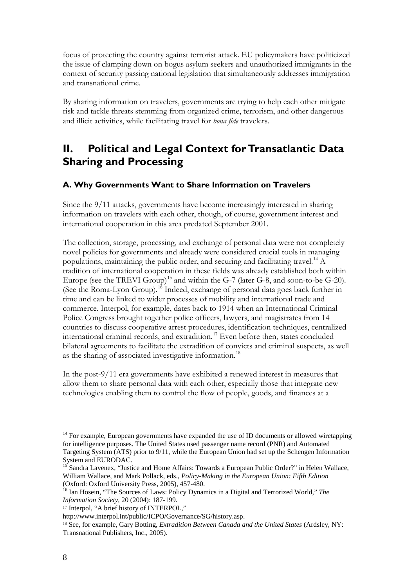focus of protecting the country against terrorist attack. EU policymakers have politicized the issue of clamping down on bogus asylum seekers and unauthorized immigrants in the context of security passing national legislation that simultaneously addresses immigration and transnational crime.

By sharing information on travelers, governments are trying to help each other mitigate risk and tackle threats stemming from organized crime, terrorism, and other dangerous and illicit activities, while facilitating travel for *bona fide* travelers.

## <span id="page-9-0"></span>**II. Political and Legal Context for Transatlantic Data Sharing and Processing**

## <span id="page-9-1"></span>**A. Why Governments Want to Share Information on Travelers**

Since the 9/11 attacks, governments have become increasingly interested in sharing information on travelers with each other, though, of course, government interest and international cooperation in this area predated September 2001.

The collection, storage, processing, and exchange of personal data were not completely novel policies for governments and already were considered crucial tools in managing populations, maintaining the public order, and securing and facilitating travel.<sup>[14](#page-9-2)</sup>  $\Lambda$ tradition of international cooperation in these fields was already established both within Europe (see the TREVI Group)<sup>[15](#page-9-3)</sup> and within the G-7 (later G-8, and soon-to-be G-20). (See the Roma-Lyon Group).<sup>[16](#page-9-4)</sup> Indeed, exchange of personal data goes back further in time and can be linked to wider processes of mobility and international trade and commerce. Interpol, for example, dates back to 1914 when an International Criminal Police Congress brought together police officers, lawyers, and magistrates from 14 countries to discuss cooperative arrest procedures, identification techniques, centralized international criminal records, and extradition.[17](#page-9-5) Even before then, states concluded bilateral agreements to facilitate the extradition of convicts and criminal suspects, as well as the sharing of associated investigative information.<sup>[18](#page-9-6)</sup>

In the post-9/11 era governments have exhibited a renewed interest in measures that allow them to share personal data with each other, especially those that integrate new technologies enabling them to control the flow of people, goods, and finances at a

<span id="page-9-2"></span> $14$  For example, European governments have expanded the use of ID documents or allowed wiretapping for intelligence purposes. The United States used passenger name record (PNR) and Automated Targeting System (ATS) prior to 9/11, while the European Union had set up the Schengen Information

<span id="page-9-3"></span>System and EURODAC.<br><sup>15</sup> Sandra Lavenex, "Justice and Home Affairs: Towards a European Public Order?" in Helen Wallace, William Wallace, and Mark Pollack, eds., *Policy-Making in the European Union: Fifth Edition*

<span id="page-9-4"></span><sup>&</sup>lt;sup>16</sup> Ian Hosein, "The Sources of Laws: Policy Dynamics in a Digital and Terrorized World," *The Information Society,* 20 (2004): 187-199.

<span id="page-9-5"></span><sup>17</sup> Interpol, "A brief history of INTERPOL,"

http://www.interpol.int/public/ICPO/Governance/SG/history.asp.

<span id="page-9-6"></span><sup>18</sup> See, for example, Gary Botting, *Extradition Between Canada and the United States* (Ardsley, NY: Transnational Publishers, Inc., 2005).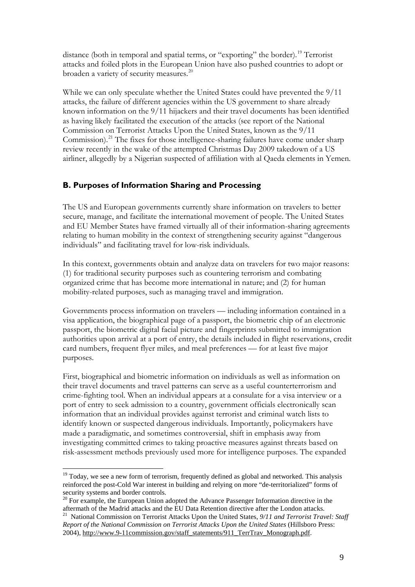distance (both in temporal and spatial terms, or "exporting" the border).<sup>[19](#page-10-1)</sup> Terrorist attacks and foiled plots in the European Union have also pushed countries to adopt or broaden a variety of security measures.<sup>[20](#page-10-2)</sup>

While we can only speculate whether the United States could have prevented the 9/11 attacks, the failure of different agencies within the US government to share already known information on the 9/11 hijackers and their travel documents has been identified as having likely facilitated the execution of the attacks (see report of the National Commission on Terrorist Attacks Upon the United States, known as the 9/11 Commission).<sup>[21](#page-10-3)</sup> The fixes for those intelligence-sharing failures have come under sharp review recently in the wake of the attempted Christmas Day 2009 takedown of a US airliner, allegedly by a Nigerian suspected of affiliation with al Qaeda elements in Yemen.

## <span id="page-10-0"></span>**B. Purposes of Information Sharing and Processing**

The US and European governments currently share information on travelers to better secure, manage, and facilitate the international movement of people. The United States and EU Member States have framed virtually all of their information-sharing agreements relating to human mobility in the context of strengthening security against "dangerous individuals" and facilitating travel for low-risk individuals.

In this context, governments obtain and analyze data on travelers for two major reasons: (1) for traditional security purposes such as countering terrorism and combating organized crime that has become more international in nature; and (2) for human mobility-related purposes, such as managing travel and immigration.

Governments process information on travelers — including information contained in a visa application, the biographical page of a passport, the biometric chip of an electronic passport, the biometric digital facial picture and fingerprints submitted to immigration authorities upon arrival at a port of entry, the details included in flight reservations, credit card numbers, frequent flyer miles, and meal preferences — for at least five major purposes.

First, biographical and biometric information on individuals as well as information on their travel documents and travel patterns can serve as a useful counterterrorism and crime-fighting tool. When an individual appears at a consulate for a visa interview or a port of entry to seek admission to a country, government officials electronically scan information that an individual provides against terrorist and criminal watch lists to identify known or suspected dangerous individuals. Importantly, policymakers have made a paradigmatic, and sometimes controversial, shift in emphasis away from investigating committed crimes to taking proactive measures against threats based on risk-assessment methods previously used more for intelligence purposes. The expanded

<span id="page-10-1"></span><sup>&</sup>lt;sup>19</sup> Today, we see a new form of terrorism, frequently defined as global and networked. This analysis reinforced the post-Cold War interest in building and relying on more "de-territorialized" forms of security systems and border controls.

<span id="page-10-2"></span><sup>&</sup>lt;sup>20</sup> For example, the European Union adopted the Advance Passenger Information directive in the aftermath of the Madrid attacks and the EU Data Retention directive after the London attacks.

<span id="page-10-3"></span><sup>21</sup> National Commission on Terrorist Attacks Upon the United States, *9/11 and Terrorist Travel: Staff Report of the National Commission on Terrorist Attacks Upon the United States* (Hillsboro Press: 2004), [http://www.9-11commission.gov/staff\\_statements/911\\_TerrTrav\\_Monograph.pdf.](http://www.9-11commission.gov/staff_statements/911_TerrTrav_Monograph.pdf)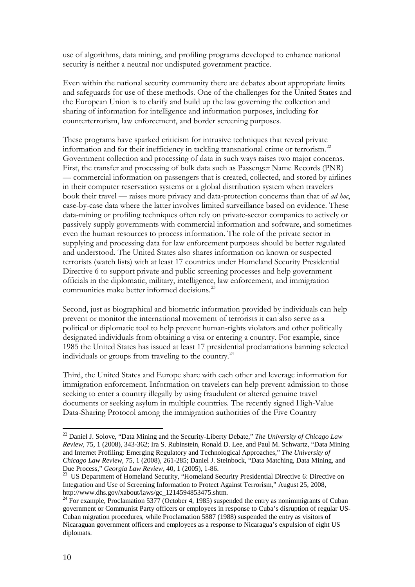use of algorithms, data mining, and profiling programs developed to enhance national security is neither a neutral nor undisputed government practice.

Even within the national security community there are debates about appropriate limits and safeguards for use of these methods. One of the challenges for the United States and the European Union is to clarify and build up the law governing the collection and sharing of information for intelligence and information purposes, including for counterterrorism, law enforcement, and border screening purposes.

These programs have sparked criticism for intrusive techniques that reveal private information and for their inefficiency in tackling transnational crime or terrorism.<sup>[22](#page-11-0)</sup> Government collection and processing of data in such ways raises two major concerns. First, the transfer and processing of bulk data such as Passenger Name Records (PNR) — commercial information on passengers that is created, collected, and stored by airlines in their computer reservation systems or a global distribution system when travelers book their travel — raises more privacy and data-protection concerns than that of *ad hoc*, case-by-case data where the latter involves limited surveillance based on evidence. These data-mining or profiling techniques often rely on private-sector companies to actively or passively supply governments with commercial information and software, and sometimes even the human resources to process information. The role of the private sector in supplying and processing data for law enforcement purposes should be better regulated and understood. The United States also shares information on known or suspected terrorists (watch lists) with at least 17 countries under Homeland Security Presidential Directive 6 to support private and public screening processes and help government officials in the diplomatic, military, intelligence, law enforcement, and immigration communities make better informed decisions.<sup>2</sup>

Second, just as biographical and biometric information provided by individuals can help prevent or monitor the international movement of terrorists it can also serve as a political or diplomatic tool to help prevent human-rights violators and other politically designated individuals from obtaining a visa or entering a country. For example, since 1985 the United States has issued at least 17 presidential proclamations banning selected individuals or groups from traveling to the country.<sup>[24](#page-11-2)</sup>

Third, the United States and Europe share with each other and leverage information for immigration enforcement. Information on travelers can help prevent admission to those seeking to enter a country illegally by using fraudulent or altered genuine travel documents or seeking asylum in multiple countries. The recently signed High-Value Data-Sharing Protocol among the immigration authorities of the Five Country

<span id="page-11-0"></span> <sup>22</sup> Daniel J. Solove, "Data Mining and the Security-Liberty Debate," *The University of Chicago Law Review,* 75, 1 (2008), 343-362; Ira S. Rubinstein, Ronald D. Lee, and Paul M. Schwartz, "Data Mining and Internet Profiling: Emerging Regulatory and Technological Approaches," *The University of Chicago Law Review,* 75, 1 (2008), 261-285; Daniel J. Steinbock, "Data Matching, Data Mining, and

<span id="page-11-1"></span>Due Process," *Georgia Law Review,* 40, 1 (2005), 1-86. 23 US Department of Homeland Security, "Homeland Security Presidential Directive 6: Directive on Integration and Use of Screening Information to Protect Against Terrorism," August 25, 2008, [http://www.dhs.gov/xabout/laws/gc\\_1214594853475.shtm.](http://www.dhs.gov/xabout/laws/gc_1214594853475.shtm)<br><sup>24</sup> For example, Proclamation 5377 (October 4, 1985) suspended the entry as nonimmigrants of Cuban

<span id="page-11-2"></span>government or Communist Party officers or employees in response to Cuba's disruption of regular US-Cuban migration procedures, while Proclamation 5887 (1988) suspended the entry as visitors of Nicaraguan government officers and employees as a response to Nicaragua's expulsion of eight US diplomats.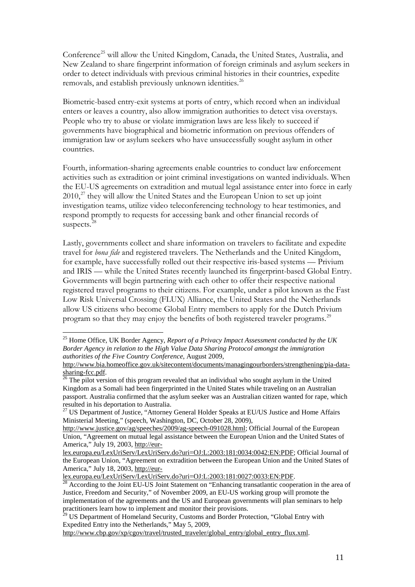Conference<sup>[25](#page-12-0)</sup> will allow the United Kingdom, Canada, the United States, Australia, and New Zealand to share fingerprint information of foreign criminals and asylum seekers in order to detect individuals with previous criminal histories in their countries, expedite removals, and establish previously unknown identities.<sup>[26](#page-12-1)</sup>

Biometric-based entry-exit systems at ports of entry, which record when an individual enters or leaves a country, also allow immigration authorities to detect visa overstays. People who try to abuse or violate immigration laws are less likely to succeed if governments have biographical and biometric information on previous offenders of immigration law or asylum seekers who have unsuccessfully sought asylum in other countries.

Fourth, information-sharing agreements enable countries to conduct law enforcement activities such as extradition or joint criminal investigations on wanted individuals. When the EU-US agreements on extradition and mutual legal assistance enter into force in early  $2010$ <sup>[27](#page-12-2)</sup>, they will allow the United States and the European Union to set up joint investigation teams, utilize video teleconferencing technology to hear testimonies, and respond promptly to requests for accessing bank and other financial records of suspects.<sup>[28](#page-12-3)</sup>

Lastly, governments collect and share information on travelers to facilitate and expedite travel for *bona fide* and registered travelers. The Netherlands and the United Kingdom, for example, have successfully rolled out their respective iris-based systems — Privium and IRIS — while the United States recently launched its fingerprint-based Global Entry. Governments will begin partnering with each other to offer their respective national registered travel programs to their citizens. For example, under a pilot known as the Fast Low Risk Universal Crossing (FLUX) Alliance, the United States and the Netherlands allow US citizens who become Global Entry members to apply for the Dutch Privium program so that they may enjoy the benefits of both registered traveler programs.<sup>[29](#page-12-4)</sup>

<span id="page-12-0"></span> <sup>25</sup> Home Office, UK Border Agency, *Report of a Privacy Impact Assessment conducted by the UK Border Agency in relation to the High Value Data Sharing Protocol amongst the immigration authorities of the Five Country Conference*, August 2009,

[http://www.bia.homeoffice.gov.uk/sitecontent/documents/managingourborders/strengthening/pia-data](http://www.bia.homeoffice.gov.uk/sitecontent/documents/managingourborders/strengthening/pia-data-sharing-fcc.pdf)[sharing-fcc.pdf.](http://www.bia.homeoffice.gov.uk/sitecontent/documents/managingourborders/strengthening/pia-data-sharing-fcc.pdf)<br><sup>26</sup> The pilot version of this program revealed that an individual who sought asylum in the United

<span id="page-12-1"></span>Kingdom as a Somali had been fingerprinted in the United States while traveling on an Australian passport. Australia confirmed that the asylum seeker was an Australian citizen wanted for rape, which resulted in his deportation to Australia.

<span id="page-12-2"></span><sup>&</sup>lt;sup>27</sup> US Department of Justice, "Attorney General Holder Speaks at EU/US Justice and Home Affairs Ministerial Meeting," (speech, Washington, DC, October 28, 2009),

[http://www.justice.gov/ag/speeches/2009/ag-speech-091028.html;](http://www.justice.gov/ag/speeches/2009/ag-speech-091028.html) Official Journal of the European Union, "Agreement on mutual legal assistance between the European Union and the United States of America," July 19, 2003, [http://eur-](http://eur-lex.europa.eu/LexUriServ/LexUriServ.do?uri=OJ:L:2003:181:0034:0042:EN:PDF)

[lex.europa.eu/LexUriServ/LexUriServ.do?uri=OJ:L:2003:181:0034:0042:EN:PDF;](http://eur-lex.europa.eu/LexUriServ/LexUriServ.do?uri=OJ:L:2003:181:0034:0042:EN:PDF) Official Journal of the European Union, "Agreement on extradition between the European Union and the United States of America," July 18, 2003, http://eur-<br>lex.europa.eu/LexUriServ/LexUriServ.do?uri=OJ:L:2003:181:0027:0033:EN:PDF.

<span id="page-12-3"></span> $\frac{28}{28}$  According to the Joint EU-US Joint Statement on "Enhancing transatlantic cooperation in the area of Justice, Freedom and Security," of November 2009, an EU-US working group will promote the implementation of the agreements and the US and European governments will plan seminars to help practitioners learn how to implement and monitor their provisions.

<span id="page-12-4"></span><sup>&</sup>lt;sup>29</sup> US Department of Homeland Security, Customs and Border Protection, "Global Entry with Expedited Entry into the Netherlands," May 5, 2009,

[http://www.cbp.gov/xp/cgov/travel/trusted\\_traveler/global\\_entry/global\\_entry\\_flux.xml.](http://www.cbp.gov/xp/cgov/travel/trusted_traveler/global_entry/global_entry_flux.xml)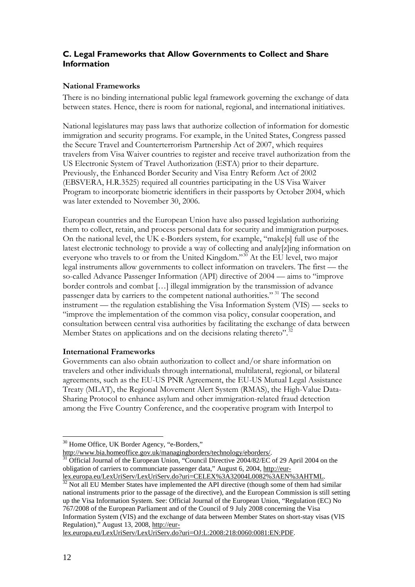## <span id="page-13-0"></span>**C. Legal Frameworks that Allow Governments to Collect and Share Information**

## **National Frameworks**

There is no binding international public legal framework governing the exchange of data between states. Hence, there is room for national, regional, and international initiatives.

National legislatures may pass laws that authorize collection of information for domestic immigration and security programs. For example, in the United States, Congress passed the Secure Travel and Counterterrorism Partnership Act of 2007, which requires travelers from Visa Waiver countries to register and receive travel authorization from the US Electronic System of Travel Authorization (ESTA) prior to their departure. Previously, the Enhanced Border Security and Visa Entry Reform Act of 2002 (EBSVERA, H.R.3525) required all countries participating in the US Visa Waiver Program to incorporate biometric identifiers in their passports by October 2004, which was later extended to November 30, 2006.

European countries and the European Union have also passed legislation authorizing them to collect, retain, and process personal data for security and immigration purposes. On the national level, the UK e-Borders system, for example, "make[s] full use of the latest electronic technology to provide a way of collecting and analy[z]ing information on everyone who travels to or from the United Kingdom."[30](#page-13-1) At the EU level, two major legal instruments allow governments to collect information on travelers. The first — the so-called Advance Passenger Information (API) directive of 2004 — aims to "improve border controls and combat […] illegal immigration by the transmission of advance passenger data by carriers to the competent national authorities." [31](#page-13-2) The second instrument — the regulation establishing the Visa Information System (VIS) — seeks to "improve the implementation of the common visa policy, consular cooperation, and consultation between central visa authorities by facilitating the exchange of data between Member States on applications and on the decisions relating thereto".<sup>32</sup>

### **International Frameworks**

Governments can also obtain authorization to collect and/or share information on travelers and other individuals through international, multilateral, regional, or bilateral agreements, such as the EU-US PNR Agreement, the EU-US Mutual Legal Assistance Treaty (MLAT), the Regional Movement Alert System (RMAS), the High-Value Data-Sharing Protocol to enhance asylum and other immigration-related fraud detection among the Five Country Conference, and the cooperative program with Interpol to

<span id="page-13-1"></span><sup>&</sup>lt;sup>30</sup> Home Office, UK Border Agency, "e-Borders,"

<span id="page-13-2"></span>[http://www.bia.homeoffice.gov.uk/managingborders/technology/eborders/.](http://www.bia.homeoffice.gov.uk/managingborders/technology/eborders/)<br><sup>31</sup> Official Journal of the European Union, "Council Directive 2004/82/EC of 29 April 2004 on the obligation of carriers to communciate passenger data," August 6, 2004, http://eur-<br>lex.europa.eu/LexUriServ/LexUriServ.do?uri=CELEX%3A32004L0082%3AEN%3AHTML.

<span id="page-13-3"></span> $\frac{32}{32}$  Not all EU Member States have implemented the API directive (though some of them had similar national instruments prior to the passage of the directive), and the European Commission is still setting up the Visa Information System. See: Official Journal of the European Union, "Regulation (EC) No 767/2008 of the European Parliament and of the Council of 9 July 2008 concerning the Visa Information System (VIS) and the exchange of data between Member States on short-stay visas (VIS Regulation)," August 13, 2008, [http://eur-](http://eur-lex.europa.eu/LexUriServ/LexUriServ.do?uri=OJ:L:2008:218:0060:0081:EN:PDF)

[lex.europa.eu/LexUriServ/LexUriServ.do?uri=OJ:L:2008:218:0060:0081:EN:PDF.](http://eur-lex.europa.eu/LexUriServ/LexUriServ.do?uri=OJ:L:2008:218:0060:0081:EN:PDF)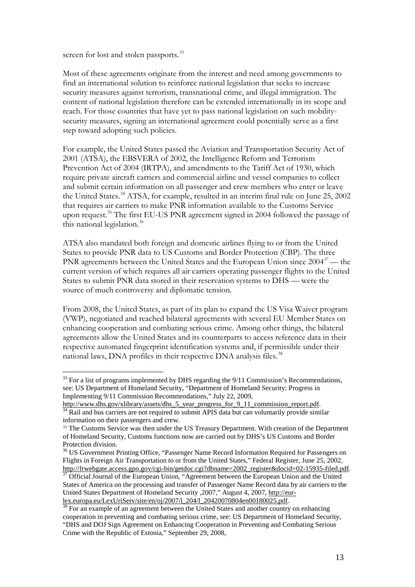screen for lost and stolen passports.<sup>33</sup>

Most of these agreements originate from the interest and need among governments to find an international solution to reinforce national legislation that seeks to increase security measures against terrorism, transnational crime, and illegal immigration. The content of national legislation therefore can be extended internationally in its scope and reach. For those countries that have yet to pass national legislation on such mobilitysecurity measures, signing an international agreement could potentially serve as a first step toward adopting such policies.

For example, the United States passed the Aviation and Transportation Security Act of 2001 (ATSA), the EBSVERA of 2002, the Intelligence Reform and Terrorism Prevention Act of 2004 (IRTPA), and amendments to the Tariff Act of 1930, which require private aircraft carriers and commercial airline and vessel companies to collect and submit certain information on all passenger and crew members who enter or leave the United States.<sup>[34](#page-14-1)</sup> ATSA, for example, resulted in an interim final rule on June 25, 2002 that requires air carriers to make PNR information available to the Customs Service upon request.<sup>[35](#page-14-2)</sup> The first EU-US PNR agreement signed in 2004 followed the passage of this national legislation.<sup>[36](#page-14-3)</sup>

ATSA also mandated both foreign and domestic airlines flying to or from the United States to provide PNR data to US Customs and Border Protection (CBP). The three PNR agreements between the United States and the European Union since 2004<sup>[37](#page-14-4)</sup>— the current version of which requires all air carriers operating passenger flights to the United States to submit PNR data stored in their reservation systems to DHS — were the source of much controversy and diplomatic tension.

From 2008, the United States, as part of its plan to expand the US Visa Waiver program (VWP), negotiated and reached bilateral agreements with several EU Member States on enhancing cooperation and combating serious crime. Among other things, the bilateral agreements allow the United States and its counterparts to access reference data in their respective automated fingerprint identification systems and, if permissible under their national laws, DNA profiles in their respective DNA analysis files.<sup>[38](#page-14-5)</sup>

<span id="page-14-0"></span> $33$  For a list of programs implemented by DHS regarding the  $9/11$  Commission's Recommendations, see: US Department of Homeland Security, "Department of Homeland Security: Progress in Implementing 9/11 Commission Recommendations," July 22, 2009,

<span id="page-14-1"></span>[http://www.dhs.gov/xlibrary/assets/dhs\\_5\\_year\\_progress\\_for\\_9\\_11\\_commission\\_report.pdf.](http://www.dhs.gov/xlibrary/assets/dhs_5_year_progress_for_9_11_commission_report.pdf) 34 Rail and bus carriers are not required to submit APIS data but can voluntarily provide similar information on their passengers and crew.

<span id="page-14-2"></span><sup>&</sup>lt;sup>35</sup> The Customs Service was then under the US Treasury Department. With creation of the Department of Homeland Security, Customs functions now are carried out by DHS's US Customs and Border Protection division.

<span id="page-14-3"></span><sup>&</sup>lt;sup>36</sup> US Government Printing Office, "Passenger Name Record Information Required for Passengers on Flights in Foreign Air Transportation to or from the United States," Federal Register, June 25, 2002, [http://frwebgate.access.gpo.gov/cgi-bin/getdoc.cgi?dbname=2002\\_register&docid=02-15935-filed.pdf.](http://frwebgate.access.gpo.gov/cgi-bin/getdoc.cgi?dbname=2002_register&docid=02-15935-filed.pdf) 37 Official Journal of the European Union, "Agreement between the European Union and the United

<span id="page-14-4"></span>States of America on the processing and transfer of Passenger Name Record data by air carriers to the United States Department of Homeland Security , 2007," August 4, 2007, http://eur-<br>lex.europa.eu/LexUriServ/site/en/oj/2007/1\_204/1\_20420070804en00180025.pdf.

<span id="page-14-5"></span> $\frac{38}{38}$  For an example of an agreement between the United States and another country on enhancing cooperation in preventing and combating serious crime, see: US Department of Homeland Security, "DHS and DOJ Sign Agreement on Enhancing Cooperation in Preventing and Combating Serious Crime with the Republic of Estonia," September 29, 2008,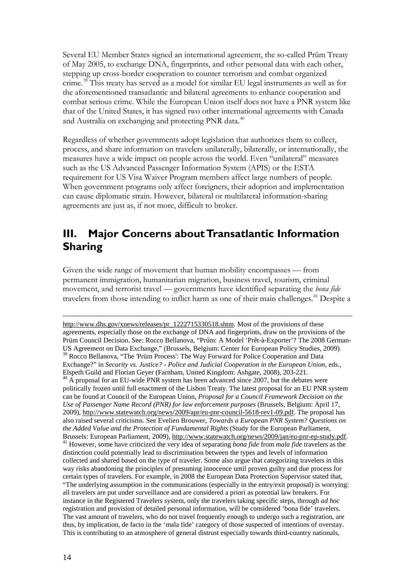Several EU Member States signed an international agreement, the so-called Prüm Treaty of May 2005, to exchange DNA, fingerprints, and other personal data with each other, stepping up cross-border cooperation to counter terrorism and combat organized crime.[39](#page-15-1) This treaty has served as a model for similar EU legal instruments as well as for the aforementioned transatlantic and bilateral agreements to enhance cooperation and combat serious crime. While the European Union itself does not have a PNR system like that of the United States, it has signed two other international agreements with Canada and Australia on exchanging and protecting PNR data.<sup>[40](#page-15-2)</sup>

Regardless of whether governments adopt legislation that authorizes them to collect, process, and share information on travelers unilaterally, bilaterally, or internationally, the measures have a wide impact on people across the world. Even "unilateral" measures such as the US Advanced Passenger Information System (APIS) or the ESTA requirement for US Visa Waiver Program members affect large numbers of people. When government programs only affect foreigners, their adoption and implementation can cause diplomatic strain. However, bilateral or multilateral information-sharing agreements are just as, if not more, difficult to broker.

## <span id="page-15-0"></span>**III. Major Concerns about Transatlantic Information Sharing**

Given the wide range of movement that human mobility encompasses — from permanent immigration, humanitarian migration, business travel, tourism, criminal movement, and terrorist travel — governments have identified separating the *bona fide* travelers from those intending to inflict harm as one of their main challenges.<sup>[41](#page-15-3)</sup> Despite a

<span id="page-15-3"></span><span id="page-15-2"></span><span id="page-15-1"></span>[http://www.dhs.gov/xnews/releases/pr\\_1222715330518.shtm](http://www.dhs.gov/xnews/releases/pr_1222715330518.shtm). Most of the provisions of these agreements, especially those on the exchange of DNA and fingerprints, draw on the provisions of the Prüm Council Decision. See: Rocco Bellanova, "Prüm: A Model 'Prêt-à-Exporter'? The 2008 German-US Agreement on Data Exchange," (Brussels, Belgium: Center for European Policy Studies, 2009). US Agreement on Data Exchange,  $(2.189 \text{ m}) = 1.8$   $\text{m}$  Process. The Way Forward for Police Cooperation and Data  $^{39}$  Rocco Bellanova, "The 'Prüm Process': The Way Forward for Police Cooperation and Data Exchange?" in *Security vs. Justice? - Police and Judicial Cooperation in the European Union*, eds.,  $^{40}$  A proposal for an EU-wide PNR system has been advanced since 2007, but the debates were politically frozen until full enactment of the Lisbon Treaty. The latest proposal for an EU PNR system can be found at Council of the European Union, *Proposal for a Council Framework Decision on the Use of Passenger Name Record (PNR) for law enforcement purposes* (Brussels, Belgium: April 17, 2009), [http://www.statewatch.org/news/2009/apr/eu-pnr-council-5618-rev1-09.pdf.](http://www.statewatch.org/news/2009/apr/eu-pnr-council-5618-rev1-09.pdf) The proposal has also raised several criticisms. See Evelien Brouwer, *Towards a European PNR System? Questions on the Added Value and the Protection of Fundamental Rights* (Study for the European Parliament, Brussels: European Parliament, 2009)[, http://www.statewatch.org/news/2009/jan/eu-pnr-ep-study.pdf.](http://www.statewatch.org/news/2009/jan/eu-pnr-ep-study.pdf) 41 However, some have criticized the very idea of separating *bona fide* from *mala fide* travelers as the distinction could potentially lead to discrimination between the types and levels of information collected and shared based on the type of traveler. Some also argue that categorizing travelers in this way risks abandoning the principles of presuming innocence until proven guilty and due process for certain types of travelers. For example, in 2008 the European Data Protection Supervisor stated that, "The underlying assumption in the communications (especially in the entry/exit proposal) is worrying: all travelers are put under surveillance and are considered a priori as potential law breakers. For instance in the Registered Travelers system, only the travelers taking specific steps, through *ad hoc* registration and provision of detailed personal information, will be considered 'bona fide' travelers. The vast amount of travelers, who do not travel frequently enough to undergo such a registration, are thus, by implication, de facto in the 'mala fide' category of those suspected of intentions of overstay. This is contributing to an atmosphere of general distrust especially towards third-country nationals,

 $\overline{a}$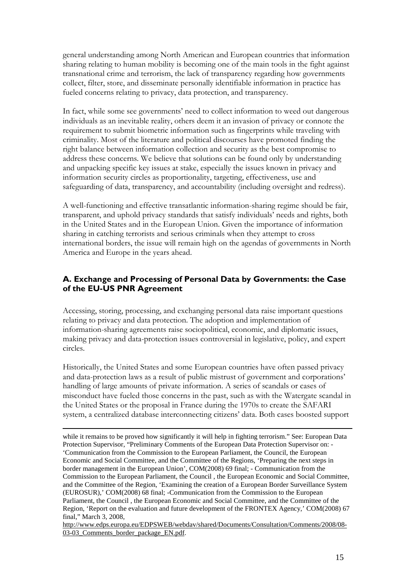general understanding among North American and European countries that information sharing relating to human mobility is becoming one of the main tools in the fight against transnational crime and terrorism, the lack of transparency regarding how governments collect, filter, store, and disseminate personally identifiable information in practice has fueled concerns relating to privacy, data protection, and transparency.

In fact, while some see governments' need to collect information to weed out dangerous individuals as an inevitable reality, others deem it an invasion of privacy or connote the requirement to submit biometric information such as fingerprints while traveling with criminality. Most of the literature and political discourses have promoted finding the right balance between information collection and security as the best compromise to address these concerns. We believe that solutions can be found only by understanding and unpacking specific key issues at stake, especially the issues known in privacy and information security circles as proportionality, targeting, effectiveness, use and safeguarding of data, transparency, and accountability (including oversight and redress).

A well-functioning and effective transatlantic information-sharing regime should be fair, transparent, and uphold privacy standards that satisfy individuals' needs and rights, both in the United States and in the European Union. Given the importance of information sharing in catching terrorists and serious criminals when they attempt to cross international borders, the issue will remain high on the agendas of governments in North America and Europe in the years ahead.

## <span id="page-16-0"></span>**A. Exchange and Processing of Personal Data by Governments: the Case of the EU-US PNR Agreement**

Accessing, storing, processing, and exchanging personal data raise important questions relating to privacy and data protection. The adoption and implementation of information-sharing agreements raise sociopolitical, economic, and diplomatic issues, making privacy and data-protection issues controversial in legislative, policy, and expert circles.

Historically, the United States and some European countries have often passed privacy and data-protection laws as a result of public mistrust of government and corporations' handling of large amounts of private information. A series of scandals or cases of misconduct have fueled those concerns in the past, such as with the Watergate scandal in the United States or the proposal in France during the 1970s to create the SAFARI system, a centralized database interconnecting citizens' data. Both cases boosted support

 while it remains to be proved how significantly it will help in fighting terrorism." See: European Data Protection Supervisor, "Preliminary Comments of the European Data Protection Supervisor on: - 'Communication from the Commission to the European Parliament, the Council, the European Economic and Social Committee, and the Committee of the Regions, 'Preparing the next steps in border management in the European Union', COM(2008) 69 final; - Communication from the Commission to the European Parliament, the Council , the European Economic and Social Committee, and the Committee of the Region, 'Examining the creation of a European Border Surveillance System (EUROSUR),' COM(2008) 68 final; -Communication from the Commission to the European Parliament, the Council , the European Economic and Social Committee, and the Committee of the Region, 'Report on the evaluation and future development of the FRONTEX Agency,' COM(2008) 67 final," March 3, 2008,

[http://www.edps.europa.eu/EDPSWEB/webdav/shared/Documents/Consultation/Comments/2008/08-](http://www.edps.europa.eu/EDPSWEB/webdav/shared/Documents/Consultation/Comments/2008/08-03-03_Comments_border_package_EN.pdf) [03-03\\_Comments\\_border\\_package\\_EN.pdf.](http://www.edps.europa.eu/EDPSWEB/webdav/shared/Documents/Consultation/Comments/2008/08-03-03_Comments_border_package_EN.pdf)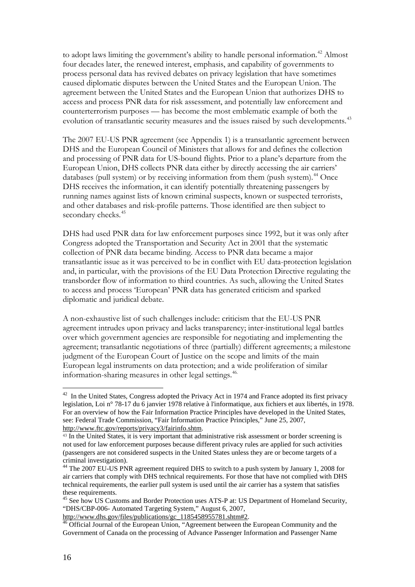to adopt laws limiting the government's ability to handle personal information.<sup>[42](#page-17-0)</sup> Almost four decades later, the renewed interest, emphasis, and capability of governments to process personal data has revived debates on privacy legislation that have sometimes caused diplomatic disputes between the United States and the European Union. The agreement between the United States and the European Union that authorizes DHS to access and process PNR data for risk assessment, and potentially law enforcement and counterterrorism purposes — has become the most emblematic example of both the evolution of transatlantic security measures and the issues raised by such developments.<sup>[43](#page-17-1)</sup>

The 2007 EU-US PNR agreement (see Appendix 1) is a transatlantic agreement between DHS and the European Council of Ministers that allows for and defines the collection and processing of PNR data for US-bound flights. Prior to a plane's departure from the European Union, DHS collects PNR data either by directly accessing the air carriers' databases (pull system) or by receiving information from them (push system). $44$  Once DHS receives the information, it can identify potentially threatening passengers by running names against lists of known criminal suspects, known or suspected terrorists, and other databases and risk-profile patterns. Those identified are then subject to secondary checks.<sup>[45](#page-17-3)</sup>

DHS had used PNR data for law enforcement purposes since 1992, but it was only after Congress adopted the Transportation and Security Act in 2001 that the systematic collection of PNR data became binding. Access to PNR data became a major transatlantic issue as it was perceived to be in conflict with EU data-protection legislation and, in particular, with the provisions of the EU Data Protection Directive regulating the transborder flow of information to third countries. As such, allowing the United States to access and process 'European' PNR data has generated criticism and sparked diplomatic and juridical debate.

A non-exhaustive list of such challenges include: criticism that the EU-US PNR agreement intrudes upon privacy and lacks transparency; inter-institutional legal battles over which government agencies are responsible for negotiating and implementing the agreement; transatlantic negotiations of three (partially) different agreements; a milestone judgment of the European Court of Justice on the scope and limits of the main European legal instruments on data protection; and a wide proliferation of similar information-sharing measures in other legal settings.<sup>[46](#page-17-4).</sup>

<span id="page-17-0"></span><sup>&</sup>lt;sup>42</sup> In the United States, Congress adopted the Privacy Act in 1974 and France adopted its first privacy legislation, Loi n° 78-17 du 6 janvier 1978 relative à l'informatique, aux fichiers et aux libertés, in 1978. For an overview of how the Fair Information Practice Principles have developed in the United States, see: Federal Trade Commission, "Fair Information Practice Principles," June 25, 2007, [http://www.ftc.gov/reports/privacy3/fairinfo.shtm.](http://www.ftc.gov/reports/privacy3/fairinfo.shtm)

<span id="page-17-1"></span><sup>43</sup> In the United States, it is very important that administrative risk assessment or border screening is not used for law enforcement purposes because different privacy rules are applied for such activities (passengers are not considered suspects in the United States unless they are or become targets of a criminal investigation).

<span id="page-17-2"></span><sup>&</sup>lt;sup>44</sup> The 2007 EU-US PNR agreement required DHS to switch to a push system by January 1, 2008 for air carriers that comply with DHS technical requirements. For those that have not complied with DHS technical requirements, the earlier pull system is used until the air carrier has a system that satisfies these requirements.

<span id="page-17-3"></span><sup>&</sup>lt;sup>45</sup> See how US Customs and Border Protection uses ATS-P at: US Department of Homeland Security, "DHS/CBP-006- Automated Targeting System," August 6, 2007,<br>http://www.dhs.gov/files/publications/gc 1185458955781.shtm#2.

<span id="page-17-4"></span> $h^5$  Official Journal of the European Union, "Agreement between the European Community and the Government of Canada on the processing of Advance Passenger Information and Passenger Name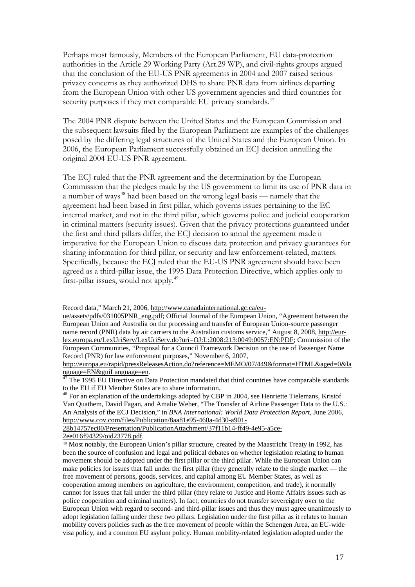Perhaps most famously, Members of the European Parliament, EU data-protection authorities in the Article 29 Working Party (Art.29 WP), and civil-rights groups argued that the conclusion of the EU-US PNR agreements in 2004 and 2007 raised serious privacy concerns as they authorized DHS to share PNR data from airlines departing from the European Union with other US government agencies and third countries for security purposes if they met comparable EU privacy standards.<sup>[47](#page-18-0)</sup>

The 2004 PNR dispute between the United States and the European Commission and the subsequent lawsuits filed by the European Parliament are examples of the challenges posed by the differing legal structures of the United States and the European Union. In 2006, the European Parliament successfully obtained an ECJ decision annulling the original 2004 EU-US PNR agreement.

The ECJ ruled that the PNR agreement and the determination by the European Commission that the pledges made by the US government to limit its use of PNR data in a number of ways<sup>[48](#page-18-1)</sup> had been based on the wrong legal basis — namely that the agreement had been based in first pillar, which governs issues pertaining to the EC internal market, and not in the third pillar, which governs police and judicial cooperation in criminal matters (security issues). Given that the privacy protections guaranteed under the first and third pillars differ, the ECJ decision to annul the agreement made it imperative for the European Union to discuss data protection and privacy guarantees for sharing information for third pillar, or security and law enforcement-related, matters. Specifically, because the ECJ ruled that the EU-US PNR agreement should have been agreed as a third-pillar issue, the 1995 Data Protection Directive, which applies only to first-pillar issues, would not apply.<sup>[49](#page-18-2)</sup>

[28b14757ec00/Presentation/PublicationAttachment/37f11b14-ff49-4e95-a5ce-](http://www.cov.com/files/Publication/8aa81e95-460a-4d30-a901-28b14757ec00/Presentation/PublicationAttachment/37f11b14-ff49-4e95-a5ce-2ee016f94329/oid23778.pdf)

[2ee016f94329/oid23778.pdf.](http://www.cov.com/files/Publication/8aa81e95-460a-4d30-a901-28b14757ec00/Presentation/PublicationAttachment/37f11b14-ff49-4e95-a5ce-2ee016f94329/oid23778.pdf)

 $\overline{a}$ 

Record data," March 21, 2006, [http://www.canadainternational.gc.ca/eu-](http://www.canadainternational.gc.ca/eu-ue/assets/pdfs/031005PNR_eng.pdf)

[ue/assets/pdfs/031005PNR\\_eng.pdf;](http://www.canadainternational.gc.ca/eu-ue/assets/pdfs/031005PNR_eng.pdf) Official Journal of the European Union, "Agreement between the European Union and Australia on the processing and transfer of European Union-source passenger name record (PNR) data by air carriers to the Australian customs service," August 8, 2008[, http://eur](http://eur-lex.europa.eu/LexUriServ/LexUriServ.do?uri=OJ:L:2008:213:0049:0057:EN:PDF)[lex.europa.eu/LexUriServ/LexUriServ.do?uri=OJ:L:2008:213:0049:0057:EN:PDF;](http://eur-lex.europa.eu/LexUriServ/LexUriServ.do?uri=OJ:L:2008:213:0049:0057:EN:PDF) Commission of the European Communities, "Proposal for a Council Framework Decision on the use of Passenger Name Record (PNR) for law enforcement purposes," November 6, 2007,

[http://europa.eu/rapid/pressReleasesAction.do?reference=MEMO/07/449&format=HTML&aged=0&la](http://europa.eu/rapid/pressReleasesAction.do?reference=MEMO/07/449&format=HTML&aged=0&language=EN&guiLanguage=en)<br>nguage=EN&guiLanguage=en.<br><sup>47</sup> El electronic primeri

<span id="page-18-0"></span>The 1995 EU Directive on Data Protection mandated that third countries have comparable standards to the EU if EU Member States are to share information.

<span id="page-18-1"></span><sup>&</sup>lt;sup>48</sup> For an explanation of the undertakings adopted by CBP in 2004, see Henriette Tielemans, Kristof Van Quathem, David Fagan, and Amalie Weber, "The Transfer of Airline Passenger Data to the U.S.: An Analysis of the ECJ Decision," in *BNA International: World Data Protection Report*, June 2006, [http://www.cov.com/files/Publication/8aa81e95-460a-4d30-a901-](http://www.cov.com/files/Publication/8aa81e95-460a-4d30-a901-28b14757ec00/Presentation/PublicationAttachment/37f11b14-ff49-4e95-a5ce-2ee016f94329/oid23778.pdf)

<span id="page-18-2"></span><sup>49</sup> Most notably, the European Union's pillar structure, created by the Maastricht Treaty in 1992, has been the source of confusion and legal and political debates on whether legislation relating to human movement should be adopted under the first pillar or the third pillar. While the European Union can make policies for issues that fall under the first pillar (they generally relate to the single market — the free movement of persons, goods, services, and capital among EU Member States, as well as cooperation among members on agriculture, the environment, competition, and trade), it normally cannot for issues that fall under the third pillar (they relate to Justice and Home Affairs issues such as police cooperation and criminal matters). In fact, countries do not transfer sovereignty over to the European Union with regard to second- and third-pillar issues and thus they must agree unanimously to adopt legislation falling under these two pillars. Legislation under the first pillar as it relates to human mobility covers policies such as the free movement of people within the Schengen Area, an EU-wide visa policy, and a common EU asylum policy. Human mobility-related legislation adopted under the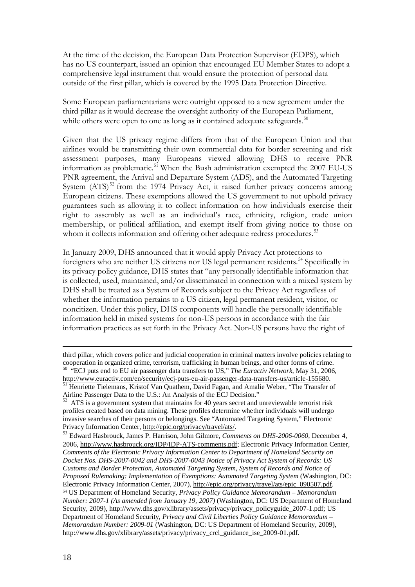At the time of the decision, the European Data Protection Supervisor (EDPS), which has no US counterpart, issued an opinion that encouraged EU Member States to adopt a comprehensive legal instrument that would ensure the protection of personal data outside of the first pillar, which is covered by the 1995 Data Protection Directive.

Some European parliamentarians were outright opposed to a new agreement under the third pillar as it would decrease the oversight authority of the European Parliament, while others were open to one as long as it contained adequate safeguards.<sup>[50](#page-19-0)</sup>

Given that the US privacy regime differs from that of the European Union and that airlines would be transmitting their own commercial data for border screening and risk assessment purposes, many Europeans viewed allowing DHS to receive PNR information as problematic.<sup>[51](#page-19-1)</sup> When the Bush administration exempted the 2007 EU-US PNR agreement, the Arrival and Departure System (ADS), and the Automated Targeting System  $(ATS)^{52}$  $(ATS)^{52}$  $(ATS)^{52}$  from the 1974 Privacy Act, it raised further privacy concerns among European citizens. These exemptions allowed the US government to not uphold privacy guarantees such as allowing it to collect information on how individuals exercise their right to assembly as well as an individual's race, ethnicity, religion, trade union membership, or political affiliation, and exempt itself from giving notice to those on whom it collects information and offering other adequate redress procedures.<sup>[53](#page-19-3)</sup>

In January 2009, DHS announced that it would apply Privacy Act protections to foreigners who are neither US citizens nor US legal permanent residents.<sup>[54](#page-19-4)</sup> Specifically in its privacy policy guidance, DHS states that "any personally identifiable information that is collected, used, maintained, and/or disseminated in connection with a mixed system by DHS shall be treated as a System of Records subject to the Privacy Act regardless of whether the information pertains to a US citizen, legal permanent resident, visitor, or noncitizen. Under this policy, DHS components will handle the personally identifiable information held in mixed systems for non-US persons in accordance with the fair information practices as set forth in the Privacy Act. Non-US persons have the right of

l

third pillar, which covers police and judicial cooperation in criminal matters involve policies relating to cooperation in organized crime, terrorism, trafficking in human beings, and other forms of crime. 50 "ECJ puts end to EU air passenger data transfers to US," *The Euractiv Network*, May 31, 2006,

<span id="page-19-1"></span><span id="page-19-0"></span>[http://www.euractiv.com/en/security/ecj-puts-eu-air-passenger-data-transfers-us/article-155680.](http://www.euractiv.com/en/security/ecj-puts-eu-air-passenger-data-transfers-us/article-155680)<br><sup>51</sup> Henriette Tielemans, Kristof Van Quathem, David Fagan, and Amalie Weber, "The Transfer of Airline Passenger Data to the U.S.: An Analysis of the ECJ Decision."<br>
<sup>52</sup> ATS is a covernment in the U.S.: An Analysis of the ECJ Decision."

<span id="page-19-2"></span>ATS is a government system that maintains for 40 years secret and unreviewable terrorist risk profiles created based on data mining. These profiles determine whether individuals will undergo invasive searches of their persons or belongings. See "Automated Targeting System," Electronic Privacy Information Center, [http://epic.org/privacy/travel/ats/.](http://epic.org/privacy/travel/ats/)

<span id="page-19-4"></span><span id="page-19-3"></span><sup>53</sup> Edward Hasbrouck, James P. Harrison, John Gilmore, *Comments on DHS-2006-0060*, December 4, 2006, [http://www.hasbrouck.org/IDP/IDP-ATS-comments.pdf;](http://www.hasbrouck.org/IDP/IDP-ATS-comments.pdf) Electronic Privacy Information Center, *Comments of the Electronic Privacy Information Center to Department of Homeland Security on Docket Nos. DHS-2007-0042 and DHS-2007-0043 Notice of Privacy Act System of Records: US Customs and Border Protection, Automated Targeting System, System of Records and Notice of Proposed Rulemaking: Implementation of Exemptions: Automated Targeting System* (Washington, DC: Electronic Privacy Information Center, 2007), [http://epic.org/privacy/travel/ats/epic\\_090507.pdf.](http://epic.org/privacy/travel/ats/epic_090507.pdf) <sup>54</sup> US Department of Homeland Security, *Privacy Policy Guidance Memorandum – Memorandum Number: 2007-1 (As amended from January 19, 2007)* (Washington, DC: US Department of Homeland Security, 2009)[, http://www.dhs.gov/xlibrary/assets/privacy/privacy\\_policyguide\\_2007-1.pdf;](http://www.dhs.gov/xlibrary/assets/privacy/privacy_policyguide_2007-1.pdf) US Department of Homeland Security, *Privacy and Civil Liberties Policy Guidance Memorandum – Memorandum Number: 2009-01* (Washington, DC: US Department of Homeland Security, 2009), [http://www.dhs.gov/xlibrary/assets/privacy/privacy\\_crcl\\_guidance\\_ise\\_2009-01.pdf.](http://www.dhs.gov/xlibrary/assets/privacy/privacy_crcl_guidance_ise_2009-01.pdf)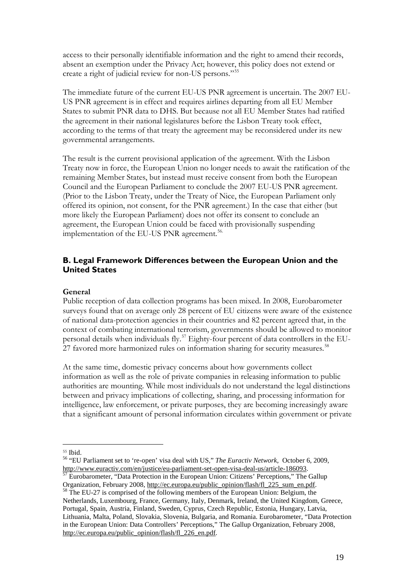access to their personally identifiable information and the right to amend their records, absent an exemption under the Privacy Act; however, this policy does not extend or create a right of judicial review for non-US persons."[55](#page-20-1)

The immediate future of the current EU-US PNR agreement is uncertain. The 2007 EU-US PNR agreement is in effect and requires airlines departing from all EU Member States to submit PNR data to DHS. But because not all EU Member States had ratified the agreement in their national legislatures before the Lisbon Treaty took effect, according to the terms of that treaty the agreement may be reconsidered under its new governmental arrangements.

The result is the current provisional application of the agreement. With the Lisbon Treaty now in force, the European Union no longer needs to await the ratification of the remaining Member States, but instead must receive consent from both the European Council and the European Parliament to conclude the 2007 EU-US PNR agreement. (Prior to the Lisbon Treaty, under the Treaty of Nice, the European Parliament only offered its opinion, not consent, for the PNR agreement.) In the case that either (but more likely the European Parliament) does not offer its consent to conclude an agreement, the European Union could be faced with provisionally suspending implementation of the EU-US PNR agreement.<sup>[56](#page-20-2).</sup>

### <span id="page-20-0"></span>**B. Legal Framework Differences between the European Union and the United States**

#### **General**

Public reception of data collection programs has been mixed. In 2008, Eurobarometer surveys found that on average only 28 percent of EU citizens were aware of the existence of national data-protection agencies in their countries and 82 percent agreed that, in the context of combating international terrorism, governments should be allowed to monitor personal details when individuals fly.<sup>[57](#page-20-3)</sup> Eighty-four percent of data controllers in the EU-27 favored more harmonized rules on information sharing for security measures.<sup>[58](#page-20-4)</sup>

At the same time, domestic privacy concerns about how governments collect information as well as the role of private companies in releasing information to public authorities are mounting. While most individuals do not understand the legal distinctions between and privacy implications of collecting, sharing, and processing information for intelligence, law enforcement, or private purposes, they are becoming increasingly aware that a significant amount of personal information circulates within government or private

 $\overline{a}$ 

<span id="page-20-2"></span><span id="page-20-1"></span><sup>55</sup> Ibid. <sup>56</sup> "EU Parliament set to 're-open' visa deal with US," *The Euractiv Network*, October 6, 2009, [http://www.euractiv.com/en/justice/eu-parliament-set-open-visa-deal-us/article-186093.](http://www.euractiv.com/en/justice/eu-parliament-set-open-visa-deal-us/article-186093)<br><sup>57</sup> Eurobarometer, "Data Protection in the European Union: Citizens' Perceptions," The Gallup

<span id="page-20-3"></span>Organization, February 2008, [http://ec.europa.eu/public\\_opinion/flash/fl\\_225\\_sum\\_en.pdf.](http://ec.europa.eu/public_opinion/flash/fl_225_sum_en.pdf) <sup>58</sup> The EU-27 is comprised of the following members of the European Union: Belgium, the

<span id="page-20-4"></span>Netherlands, Luxembourg, France, Germany, Italy, Denmark, Ireland, the United Kingdom, Greece, Portugal, Spain, Austria, Finland, Sweden, Cyprus, Czech Republic, Estonia, Hungary, Latvia, Lithuania, Malta, Poland, Slovakia, Slovenia, Bulgaria, and Romania. Eurobarometer, "Data Protection in the European Union: Data Controllers' Perceptions," The Gallup Organization, February 2008, [http://ec.europa.eu/public\\_opinion/flash/fl\\_226\\_en.pdf.](http://ec.europa.eu/public_opinion/flash/fl_226_en.pdf)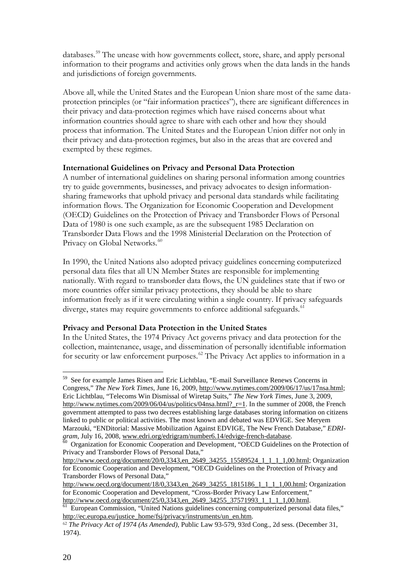databases.<sup>[59](#page-21-0)</sup> The unease with how governments collect, store, share, and apply personal information to their programs and activities only grows when the data lands in the hands and jurisdictions of foreign governments.

Above all, while the United States and the European Union share most of the same dataprotection principles (or "fair information practices"), there are significant differences in their privacy and data-protection regimes which have raised concerns about what information countries should agree to share with each other and how they should process that information. The United States and the European Union differ not only in their privacy and data-protection regimes, but also in the areas that are covered and exempted by these regimes.

#### **International Guidelines on Privacy and Personal Data Protection**

A number of international guidelines on sharing personal information among countries try to guide governments, businesses, and privacy advocates to design informationsharing frameworks that uphold privacy and personal data standards while facilitating information flows. The Organization for Economic Cooperation and Development (OECD) Guidelines on the Protection of Privacy and Transborder Flows of Personal Data of 1980 is one such example, as are the subsequent 1985 Declaration on Transborder Data Flows and the 1998 Ministerial Declaration on the Protection of Privacy on Global Networks.<sup>[60](#page-21-1)</sup>

In 1990, the United Nations also adopted privacy guidelines concerning computerized personal data files that all UN Member States are responsible for implementing nationally. With regard to transborder data flows, the UN guidelines state that if two or more countries offer similar privacy protections, they should be able to share information freely as if it were circulating within a single country. If privacy safeguards diverge, states may require governments to enforce additional safeguards.<sup>[61](#page-21-2)</sup>

### **Privacy and Personal Data Protection in the United States**

In the United States, the 1974 Privacy Act governs privacy and data protection for the collection, maintenance, usage, and dissemination of personally identifiable information for security or law enforcement purposes.<sup>[62](#page-21-3)</sup> The Privacy Act applies to information in a

<span id="page-21-0"></span> <sup>59</sup> See for example James Risen and Eric Lichtblau, "E-mail Surveillance Renews Concerns in Congress," *The New York Times*, June 16, 2009, [http://www.nytimes.com/2009/06/17/us/17nsa.html;](http://www.nytimes.com/2009/06/17/us/17nsa.html) Eric Lichtblau, "Telecoms Win Dismissal of Wiretap Suits," *The New York Times*, June 3, 2009, [http://www.nytimes.com/2009/06/04/us/politics/04nsa.html?\\_r=1.](http://www.nytimes.com/2009/06/04/us/politics/04nsa.html?_r=1) In the summer of 2008, the French government attempted to pass two decrees establishing large databases storing information on citizens linked to public or political activities. The most known and debated was EDVIGE. See Meryem Marzouki, "ENDitorial: Massive Mobilization Against EDVIGE, The New French Database," *EDRIgram*, July 16, 2008, [www.edri.org/edrigram/number6.14/edvige-french-database.](http://www.edri.org/edrigram/number6.14/edvige-french-database)<br><sup>60</sup> Organization for Economic Cooperation and Development, "OECD Guidelines on the Protection of

<span id="page-21-1"></span>Privacy and Transborder Flows of Personal Data,"

[http://www.oecd.org/document/20/0,3343,en\\_2649\\_34255\\_15589524\\_1\\_1\\_1\\_1,00.html;](http://www.oecd.org/document/20/0,3343,en_2649_34255_15589524_1_1_1_1,00.html) Organization for Economic Cooperation and Development, "OECD Guidelines on the Protection of Privacy and Transborder Flows of Personal Data,"

[http://www.oecd.org/document/18/0,3343,en\\_2649\\_34255\\_1815186\\_1\\_1\\_1\\_1,00.html;](http://www.oecd.org/document/18/0,3343,en_2649_34255_1815186_1_1_1_1,00.html) Organization for Economic Cooperation and Development, "Cross-Border Privacy Law Enforcement,"<br>http://www.oecd.org/document/25/0,3343,en\_2649\_34255\_37571993\_1\_1\_1\_1,00.html.

<span id="page-21-2"></span> $\frac{61}{61}$  European Commission, "United Nations guidelines concerning computerized personal data files," [http://ec.europa.eu/justice\\_home/fsj/privacy/instruments/un\\_en.htm.](http://ec.europa.eu/justice_home/fsj/privacy/instruments/un_en.htm)

<span id="page-21-3"></span><sup>62</sup> *The Privacy Act of 1974 (As Amended)*, Public Law 93-579, 93rd Cong., 2d sess. (December 31, 1974).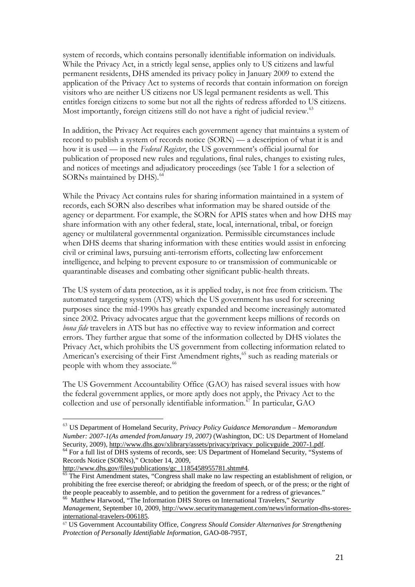system of records, which contains personally identifiable information on individuals. While the Privacy Act, in a strictly legal sense, applies only to US citizens and lawful permanent residents, DHS amended its privacy policy in January 2009 to extend the application of the Privacy Act to systems of records that contain information on foreign visitors who are neither US citizens nor US legal permanent residents as well. This entitles foreign citizens to some but not all the rights of redress afforded to US citizens. Most importantly, foreign citizens still do not have a right of judicial review. [63](#page-22-0)

In addition, the Privacy Act requires each government agency that maintains a system of record to publish a system of records notice (SORN) — a description of what it is and how it is used — in the *Federal Register*, the US government's official journal for publication of proposed new rules and regulations, final rules, changes to existing rules, and notices of meetings and adjudicatory proceedings (see Table 1 for a selection of SORNs maintained by DHS).<sup>[64](#page-22-1)</sup>

While the Privacy Act contains rules for sharing information maintained in a system of records, each SORN also describes what information may be shared outside of the agency or department. For example, the SORN for APIS states when and how DHS may share information with any other federal, state, local, international, tribal, or foreign agency or multilateral governmental organization. Permissible circumstances include when DHS deems that sharing information with these entities would assist in enforcing civil or criminal laws, pursuing anti-terrorism efforts, collecting law enforcement intelligence, and helping to prevent exposure to or transmission of communicable or quarantinable diseases and combating other significant public-health threats.

The US system of data protection, as it is applied today, is not free from criticism. The automated targeting system (ATS) which the US government has used for screening purposes since the mid-1990s has greatly expanded and become increasingly automated since 2002. Privacy advocates argue that the government keeps millions of records on *bona fide* travelers in ATS but has no effective way to review information and correct errors. They further argue that some of the information collected by DHS violates the Privacy Act, which prohibits the US government from collecting information related to American's exercising of their First Amendment rights,<sup>[65](#page-22-2)</sup> such as reading materials or people with whom they associate.<sup>[66](#page-22-3)</sup>

The US Government Accountability Office (GAO) has raised several issues with how the federal government applies, or more aptly does not apply, the Privacy Act to the collection and use of personally identifiable information.<sup>[67](#page-22-4)</sup> In particular, GAO

l

<span id="page-22-0"></span><sup>63</sup> US Department of Homeland Security, *Privacy Policy Guidance Memorandum – Memorandum Number: 2007-1(As amended fromJanuary 19, 2007)* (Washington, DC: US Department of Homeland Security, 2009), http://www.dhs.gov/xlibrary/assets/privacy/privacy policyguide 2007-1.pdf. <sup>64</sup> For a full list of DHS systems of records, see: US Department of Homeland Security, "Systems of Records Notice (SORNs)," October 14, 2009,<br>http://www.dhs.gov/files/publications/gc\_1185458955781.shtm#4.

<span id="page-22-1"></span>

<span id="page-22-2"></span> $65$  The First Amendment states, "Congress shall make no law respecting an establishment of religion, or prohibiting the free exercise thereof; or abridging the freedom of speech, or of the press; or the right of the people peaceably to assemble, and to petition the government for a redress of grievances." 66 Matthew Harwood, "The Information DHS Stores on International Travelers," *Security* 

<span id="page-22-3"></span>*Management*, September 10, 2009[, http://www.securitymanagement.com/news/information-dhs-stores](http://www.securitymanagement.com/news/information-dhs-stores-international-travelers-006185)[international-travelers-006185.](http://www.securitymanagement.com/news/information-dhs-stores-international-travelers-006185)

<span id="page-22-4"></span><sup>67</sup> US Government Accountability Office, *Congress Should Consider Alternatives for Strengthening Protection of Personally Identifiable Information*, GAO-08-795T,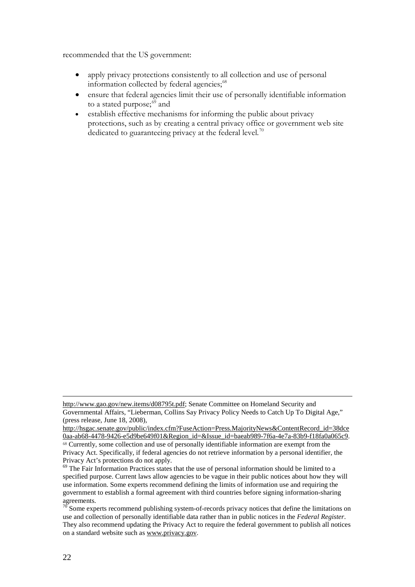recommended that the US government:

- apply privacy protections consistently to all collection and use of personal information collected by federal agencies;<sup>[68](#page-23-0)</sup>
- ensure that federal agencies limit their use of personally identifiable information to a stated purpose; $^{69}$  $^{69}$  $^{69}$  and
- establish effective mechanisms for informing the public about privacy protections, such as by creating a central privacy office or government web site dedicated to guaranteeing privacy at the federal level.<sup>[70](#page-23-2)</sup>

 $\overline{a}$ 

[http://www.gao.gov/new.items/d08795t.pdf;](http://www.gao.gov/new.items/d08795t.pdf) Senate Committee on Homeland Security and Governmental Affairs, "Lieberman, Collins Say Privacy Policy Needs to Catch Up To Digital Age," (press release, June 18, 2008),

[http://hsgac.senate.gov/public/index.cfm?FuseAction=Press.MajorityNews&ContentRecord\\_id=38dce](http://hsgac.senate.gov/public/index.cfm?FuseAction=Press.MajorityNews&ContentRecord_id=38dce0aa-ab68-4478-9426-e5d9be649f01&Region_id=&Issue_id=baeab989-7f6a-4e7a-83b9-f18fa0a065c9) [0aa-ab68-4478-9426-e5d9be649f01&Region\\_id=&Issue\\_id=baeab989-7f6a-4e7a-83b9-f18fa0a065c9.](http://hsgac.senate.gov/public/index.cfm?FuseAction=Press.MajorityNews&ContentRecord_id=38dce0aa-ab68-4478-9426-e5d9be649f01&Region_id=&Issue_id=baeab989-7f6a-4e7a-83b9-f18fa0a065c9)

<span id="page-23-0"></span><sup>68</sup> Currently, some collection and use of personally identifiable information are exempt from the Privacy Act. Specifically, if federal agencies do not retrieve information by a personal identifier, the Privacy Act's protections do not apply.

<span id="page-23-1"></span> $69$  The Fair Information Practices states that the use of personal information should be limited to a specified purpose. Current laws allow agencies to be vague in their public notices about how they will use information. Some experts recommend defining the limits of information use and requiring the government to establish a formal agreement with third countries before signing information-sharing agreements.

<span id="page-23-2"></span>Some experts recommend publishing system-of-records privacy notices that define the limitations on use and collection of personally identifiable data rather than in public notices in the *Federal Register*. They also recommend updating the Privacy Act to require the federal government to publish all notices on a standard website such as [www.privacy.gov.](http://www.privacy.gov/)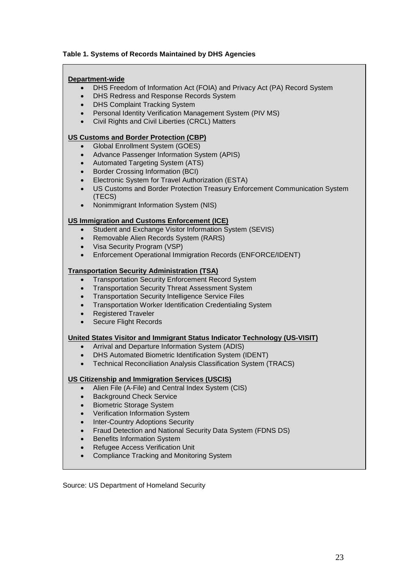#### **Table 1. Systems of Records Maintained by DHS Agencies**

#### **Department-wide**

- DHS Freedom of Information Act (FOIA) and Privacy Act (PA) Record System
- DHS Redress and Response Records System
- DHS Complaint Tracking System
- Personal Identity Verification Management System (PIV MS)
- Civil Rights and Civil Liberties (CRCL) Matters

#### **US Customs and Border Protection (CBP)**

- Global Enrollment System (GOES)
- Advance Passenger Information System (APIS)
- Automated Targeting System (ATS)
- Border Crossing Information (BCI)
- Electronic System for Travel Authorization (ESTA)
- US Customs and Border Protection Treasury Enforcement Communication System (TECS)
- Nonimmigrant Information System (NIS)

#### **US Immigration and Customs Enforcement (ICE)**

- Student and Exchange Visitor Information System (SEVIS)
- Removable Alien Records System (RARS)
- Visa Security Program (VSP)
- Enforcement Operational Immigration Records (ENFORCE/IDENT)

#### **Transportation Security Administration (TSA)**

- Transportation Security Enforcement Record System
- Transportation Security Threat Assessment System
- Transportation Security Intelligence Service Files
- Transportation Worker Identification Credentialing System
- Registered Traveler
- Secure Flight Records

#### **United States Visitor and Immigrant Status Indicator Technology (US-VISIT)**

- Arrival and Departure Information System (ADIS)
- DHS Automated Biometric Identification System (IDENT)
- Technical Reconciliation Analysis Classification System (TRACS)

### **US Citizenship and Immigration Services (USCIS)**

- Alien File (A-File) and Central Index System (CIS)
- Background Check Service
- Biometric Storage System
- Verification Information System
- Inter-Country Adoptions Security
- Fraud Detection and National Security Data System (FDNS DS)
- Benefits Information System
- Refugee Access Verification Unit
- Compliance Tracking and Monitoring System

Source: US Department of Homeland Security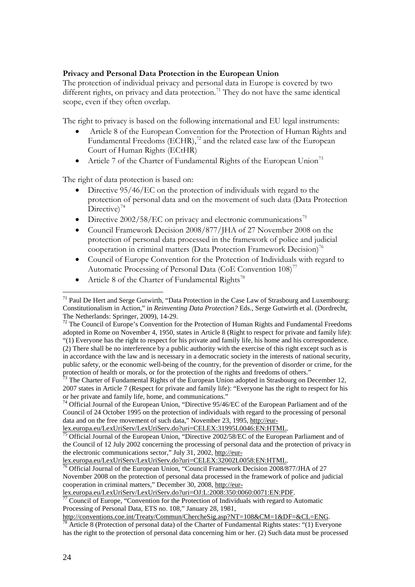## **Privacy and Personal Data Protection in the European Union**

The protection of individual privacy and personal data in Europe is covered by two different rights, on privacy and data protection.<sup>[71](#page-25-0)</sup> They do not have the same identical scope, even if they often overlap.

The right to privacy is based on the following international and EU legal instruments:

- Article 8 of the European Convention for the Protection of Human Rights and Fundamental Freedoms (ECHR),<sup>[72](#page-25-1)</sup> and the related case law of the European Court of Human Rights (ECtHR)
- Article 7 of the Charter of Fundamental Rights of the European Union<sup>[73](#page-25-2)</sup>

The right of data protection is based on:

- Directive 95/46/EC on the protection of individuals with regard to the protection of personal data and on the movement of such data (Data Protection Directive) $^{74}$  $^{74}$  $^{74}$
- Directive 2002/58/EC on privacy and electronic communications<sup>[75](#page-25-4)</sup>
- Council Framework Decision 2008/877/JHA of 27 November 2008 on the protection of personal data processed in the framework of police and judicial cooperation in criminal matters (Data Protection Framework Decision)<sup>76</sup>
- Council of Europe Convention for the Protection of Individuals with regard to Automatic Processing of Personal Data (CoE Convention 108)<sup>[77](#page-25-6)</sup>
- Article 8 of the Charter of Fundamental Rights<sup>[78](#page-25-7)</sup>

<span id="page-25-3"></span>Council of 24 October 1995 on the protection of individuals with regard to the processing of personal data and on the free movement of such data," November 23, 1995, http://eur-<br>lex.europa.eu/LexUriServ/LexUriServ.do?uri=CELEX:31995L0046:EN:HTML.

<span id="page-25-4"></span>Official Journal of the European Union, "Directive 2002/58/EC of the European Parliament and of the Council of 12 July 2002 concerning the processing of personal data and the protection of privacy in the electronic communications sector," July 31, 2002, http://eur-<br>lex.europa.eu/LexUriServ/LexUriServ.do?uri=CELEX:32002L0058:EN:HTML.

<span id="page-25-5"></span>Official Journal of the European Union, "Council Framework Decision 2008/877/JHA of 27 November 2008 on the protection of personal data processed in the framework of police and judicial cooperation in criminal matters," December 30, 2008, [http://eur-](http://eur-lex.europa.eu/LexUriServ/LexUriServ.do?uri=OJ:L:2008:350:0060:0071:EN:PDF)

[lex.europa.eu/LexUriServ/LexUriServ.do?uri=OJ:L:2008:350:0060:0071:EN:PDF.](http://eur-lex.europa.eu/LexUriServ/LexUriServ.do?uri=OJ:L:2008:350:0060:0071:EN:PDF)<br><sup>77</sup> Council of Europe, "Convention for the Protection of Individuals with regard to Automatic

<span id="page-25-6"></span>Processing of Personal Data, ETS no. 108," January 28, 1981,

[http://conventions.coe.int/Treaty/Commun/ChercheSig.asp?NT=108&CM=1&DF=&CL=ENG.](http://conventions.coe.int/Treaty/Commun/ChercheSig.asp?NT=108&CM=1&DF=&CL=ENG)<br><sup>78</sup> Article 8 (Protection of personal data) of the Charter of Fundamental Rights states: "(1) Everyone

<span id="page-25-7"></span>has the right to the protection of personal data concerning him or her. (2) Such data must be processed

<span id="page-25-0"></span> $71$  Paul De Hert and Serge Gutwirth, "Data Protection in the Case Law of Strasbourg and Luxembourg: Constitutionalism in Action," in *Reinventing Data Protection?* Eds., Serge Gutwirth et al. (Dordrecht,

<span id="page-25-1"></span> $72$  The Council of Europe's Convention for the Protection of Human Rights and Fundamental Freedoms adopted in Rome on November 4, 1950, states in Article 8 (Right to respect for private and family life): "(1) Everyone has the right to respect for his private and family life, his home and his correspondence. (2) There shall be no interference by a public authority with the exercise of this right except such as is in accordance with the law and is necessary in a democratic society in the interests of national security, public safety, or the economic well-being of the country, for the prevention of disorder or crime, for the

protection of health or morals, or for the protection of the rights and freedoms of others."<br><sup>73</sup> The Charter of Fundamental Rights of the European Union adopted in Strasbourg on December 12,

<span id="page-25-2"></span><sup>2007</sup> states in Article 7 (Respect for private and family life): "Everyone has the right to respect for his or her private and family life, home, and communications."<br><sup>74</sup> Official Journal of the European Union, "Directive 95/46/EC of the European Parliament and of the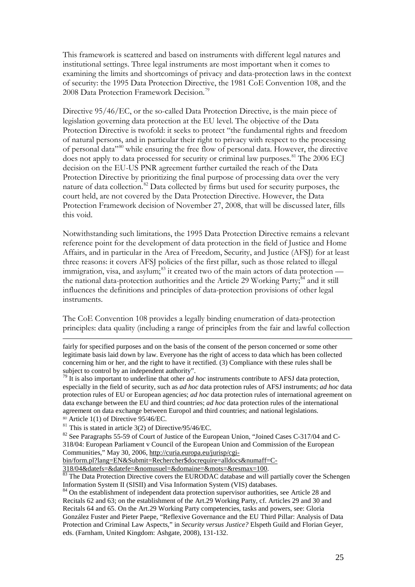This framework is scattered and based on instruments with different legal natures and institutional settings. Three legal instruments are most important when it comes to examining the limits and shortcomings of privacy and data-protection laws in the context of security: the 1995 Data Protection Directive, the 1981 CoE Convention 108, and the 2008 Data Protection Framework Decision.<sup>[79](#page-26-0)</sup>

Directive 95/46/EC, or the so-called Data Protection Directive, is the main piece of legislation governing data protection at the EU level. The objective of the Data Protection Directive is twofold: it seeks to protect "the fundamental rights and freedom of natural persons, and in particular their right to privacy with respect to the processing of personal data"[80](#page-26-1) while ensuring the free flow of personal data. However, the directive does not apply to data processed for security or criminal law purposes.<sup>[81](#page-26-2)</sup> The 2006 ECJ decision on the EU-US PNR agreement further curtailed the reach of the Data Protection Directive by prioritizing the final purpose of processing data over the very nature of data collection.<sup>[82](#page-26-3)</sup> Data collected by firms but used for security purposes, the court held, are not covered by the Data Protection Directive. However, the Data Protection Framework decision of November 27, 2008, that will be discussed later, fills this void.

Notwithstanding such limitations, the 1995 Data Protection Directive remains a relevant reference point for the development of data protection in the field of Justice and Home Affairs, and in particular in the Area of Freedom, Security, and Justice (AFSJ) for at least three reasons: it covers AFSJ policies of the first pillar, such as those related to illegal immigration, visa, and asylum; $^{83}$  $^{83}$  $^{83}$  it created two of the main actors of data protection — the national data-protection authorities and the Article 29 Working Party;<sup>[84](#page-26-5)</sup> and it still influences the definitions and principles of data-protection provisions of other legal instruments.

The CoE Convention 108 provides a legally binding enumeration of data-protection principles: data quality (including a range of principles from the fair and lawful collection

 $\overline{a}$ 

fairly for specified purposes and on the basis of the consent of the person concerned or some other legitimate basis laid down by law. Everyone has the right of access to data which has been collected concerning him or her, and the right to have it rectified. (3) Compliance with these rules shall be subject to control by an independent authority".

<span id="page-26-0"></span><sup>79</sup> It is also important to underline that other *ad hoc* instruments contribute to AFSJ data protection, especially in the field of security, such as *ad hoc* data protection rules of AFSJ instruments; *ad hoc* data protection rules of EU or European agencies; *ad hoc* data protection rules of international agreement on data exchange between the EU and third countries; *ad hoc* data protection rules of the international agreement on data exchange between Europol and third countries; and national legislations.

<span id="page-26-1"></span> $80$  Article 1(1) of Directive 95/46/EC.

<span id="page-26-2"></span> $81$  This is stated in article 3(2) of Directive/95/46/EC.

<span id="page-26-3"></span><sup>&</sup>lt;sup>82</sup> See Paragraphs 55-59 of Court of Justice of the European Union, "Joined Cases C-317/04 and C-318/04: European Parliament v Council of the European Union and Commission of the European Communities," May 30, 2006, [http://curia.europa.eu/jurisp/cgi-](http://curia.europa.eu/jurisp/cgi-bin/form.pl?lang=EN&Submit=Rechercher$docrequire=alldocs&numaff=C-318/04&datefs=&datefe=&nomusuel=&domaine=&mots=&resmax=100)

[bin/form.pl?lang=EN&Submit=Rechercher\\$docrequire=alldocs&numaff=C-](http://curia.europa.eu/jurisp/cgi-bin/form.pl?lang=EN&Submit=Rechercher$docrequire=alldocs&numaff=C-318/04&datefs=&datefe=&nomusuel=&domaine=&mots=&resmax=100)

<span id="page-26-4"></span> $\frac{318}{^{04}$ &datefs=&datefe=&nomusuel=&domaine=&mots=&resmax=100.<br><sup>83</sup> The Data Protection Directive covers the EURODAC database and will partially cover the Schengen Information System II (SISII) and Visa Information System (VIS) databases.

<span id="page-26-5"></span><sup>&</sup>lt;sup>84</sup> On the establishment of independent data protection supervisor authorities, see Article 28 and Recitals 62 and 63; on the establishment of the Art.29 Working Party, cf. Articles 29 and 30 and Recitals 64 and 65. On the Art.29 Working Party competencies, tasks and powers, see: Gloria González Fuster and Pieter Paepe, "Reflexive Governance and the EU Third Pillar: Analysis of Data Protection and Criminal Law Aspects," in *Security versus Justice?* Elspeth Guild and Florian Geyer, eds. (Farnham, United Kingdom: Ashgate, 2008), 131-132.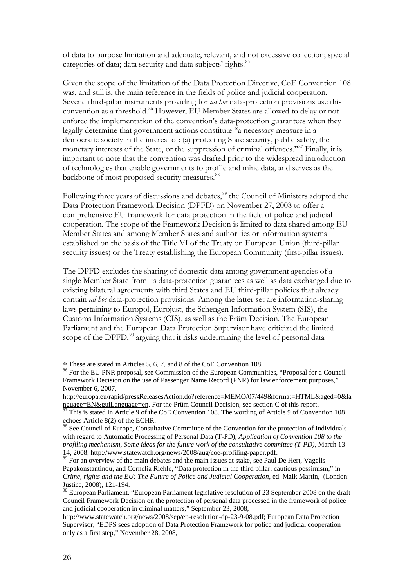of data to purpose limitation and adequate, relevant, and not excessive collection; special categories of data; data security and data subjects' rights.<sup>[85](#page-27-0)</sup>

Given the scope of the limitation of the Data Protection Directive, CoE Convention 108 was, and still is, the main reference in the fields of police and judicial cooperation. Several third-pillar instruments providing for *ad hoc* data-protection provisions use this convention as a threshold.<sup>[86](#page-27-1)</sup> However, EU Member States are allowed to delay or not enforce the implementation of the convention's data-protection guarantees when they legally determine that government actions constitute "a necessary measure in a democratic society in the interest of: (a) protecting State security, public safety, the monetary interests of the State, or the suppression of criminal offences."<sup>[87](#page-27-2)</sup> Finally, it is important to note that the convention was drafted prior to the widespread introduction of technologies that enable governments to profile and mine data, and serves as the backbone of most proposed security measures.<sup>[88](#page-27-3)</sup>

Following three years of discussions and debates,<sup>[89](#page-27-4)</sup> the Council of Ministers adopted the Data Protection Framework Decision (DPFD) on November 27, 2008 to offer a comprehensive EU framework for data protection in the field of police and judicial cooperation. The scope of the Framework Decision is limited to data shared among EU Member States and among Member States and authorities or information systems established on the basis of the Title VI of the Treaty on European Union (third-pillar security issues) or the Treaty establishing the European Community (first-pillar issues).

The DPFD excludes the sharing of domestic data among government agencies of a single Member State from its data-protection guarantees as well as data exchanged due to existing bilateral agreements with third States and EU third-pillar policies that already contain *ad hoc* data-protection provisions. Among the latter set are information-sharing laws pertaining to Europol, Eurojust, the Schengen Information System (SIS), the Customs Information Systems (CIS), as well as the Prüm Decision. The European Parliament and the European Data Protection Supervisor have criticized the limited scope of the DPFD, $90$  arguing that it risks undermining the level of personal data

l

<span id="page-27-0"></span><sup>&</sup>lt;sup>85</sup> These are stated in Articles 5, 6, 7, and 8 of the CoE Convention 108.

<span id="page-27-1"></span><sup>&</sup>lt;sup>86</sup> For the EU PNR proposal, see Commission of the European Communities, "Proposal for a Council" Framework Decision on the use of Passenger Name Record (PNR) for law enforcement purposes," November 6, 2007,

[http://europa.eu/rapid/pressReleasesAction.do?reference=MEMO/07/449&format=HTML&aged=0&la](http://europa.eu/rapid/pressReleasesAction.do?reference=MEMO/07/449&format=HTML&aged=0&language=EN&guiLanguage=en) [nguage=EN&guiLanguage=en.](http://europa.eu/rapid/pressReleasesAction.do?reference=MEMO/07/449&format=HTML&aged=0&language=EN&guiLanguage=en) For the Prüm Council Decision, see section C of this report.<br><sup>87</sup> This is stated in Article 9 of the CoE Convention 108. The wording of Article 9 of Convention 108

<span id="page-27-2"></span>echoes Article 8(2) of the ECHR.

<span id="page-27-3"></span><sup>88</sup> See Council of Europe, Consultative Committee of the Convention for the protection of Individuals with regard to Automatic Processing of Personal Data (T-PD), *Application of Convention 108 to the profiling mechanism, Some ideas for the future work of the consultative committee (T-PD), March 13-*<br>14, 2008, http://www.statewatch.org/news/2008/aug/coe-profiling-paper.pdf.

<span id="page-27-4"></span> $\frac{14}{89}$  For an overview of the main debates and the main issues at stake, see Paul De Hert, Vagelis Papakonstantinou, and Cornelia Riehle, "Data protection in the third pillar: cautious pessimism," in *Crime, rights and the EU: The Future of Police and Judicial Cooperation*, ed. Maik Martin, (London: Justice, 2008), 121-194.

<span id="page-27-5"></span><sup>&</sup>lt;sup>90</sup> European Parliament, "European Parliament legislative resolution of 23 September 2008 on the draft Council Framework Decision on the protection of personal data processed in the framework of police and judicial cooperation in criminal matters," September 23, 2008,

[http://www.statewatch.org/news/2008/sep/ep-resolution-dp-23-9-08.pdf;](http://www.statewatch.org/news/2008/sep/ep-resolution-dp-23-9-08.pdf) European Data Protection Supervisor, "EDPS sees adoption of Data Protection Framework for police and judicial cooperation only as a first step," November 28, 2008,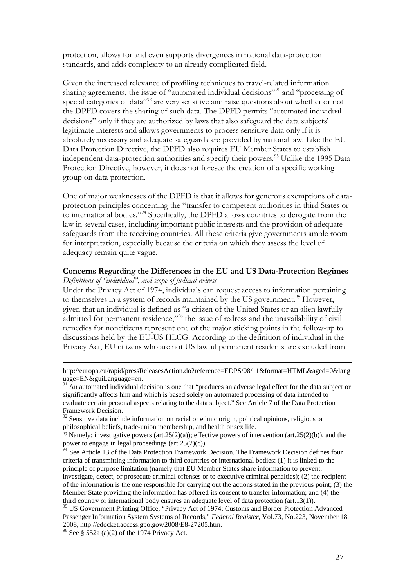protection, allows for and even supports divergences in national data-protection standards, and adds complexity to an already complicated field.

Given the increased relevance of profiling techniques to travel-related information sharing agreements, the issue of "automated individual decisions"<sup>[91](#page-28-0)</sup> and "processing of special categories of data"<sup>[92](#page-28-1)</sup> are very sensitive and raise questions about whether or not the DPFD covers the sharing of such data. The DPFD permits "automated individual decisions" only if they are authorized by laws that also safeguard the data subjects' legitimate interests and allows governments to process sensitive data only if it is absolutely necessary and adequate safeguards are provided by national law. Like the EU Data Protection Directive, the DPFD also requires EU Member States to establish independent data-protection authorities and specify their powers.<sup>[93](#page-28-2)</sup> Unlike the 1995 Data Protection Directive, however, it does not foresee the creation of a specific working group on data protection.

One of major weaknesses of the DPFD is that it allows for generous exemptions of dataprotection principles concerning the "transfer to competent authorities in third States or to international bodies."<sup>[94](#page-28-3)</sup> Specifically, the DPFD allows countries to derogate from the law in several cases, including important public interests and the provision of adequate safeguards from the receiving countries. All these criteria give governments ample room for interpretation, especially because the criteria on which they assess the level of adequacy remain quite vague.

#### **Concerns Regarding the Differences in the EU and US Data-Protection Regimes** *Definitions of "individual", and scope of judicial redress*

Under the Privacy Act of 1974, individuals can request access to information pertaining to themselves in a system of records maintained by the US government.<sup>[95](#page-28-4)</sup> However, given that an individual is defined as "a citizen of the United States or an alien lawfully admitted for permanent residence,"<sup>[96](#page-28-5)</sup> the issue of redress and the unavailability of civil remedies for noncitizens represent one of the major sticking points in the follow-up to discussions held by the EU-US HLCG. According to the definition of individual in the Privacy Act, EU citizens who are not US lawful permanent residents are excluded from

 $\overline{a}$ 

[http://europa.eu/rapid/pressReleasesAction.do?reference=EDPS/08/11&format=HTML&aged=0&lang](http://europa.eu/rapid/pressReleasesAction.do?reference=EDPS/08/11&format=HTML&aged=0&language=EN&guiLanguage=en)

<span id="page-28-0"></span>[uage=EN&guiLanguage=en](http://europa.eu/rapid/pressReleasesAction.do?reference=EDPS/08/11&format=HTML&aged=0&language=EN&guiLanguage=en).<br><sup>91</sup> An automated individual decision is one that "produces an adverse legal effect for the data subject or significantly affects him and which is based solely on automated processing of data intended to evaluate certain personal aspects relating to the data subject." See Article 7 of the Data Protection Framework Decision.

<span id="page-28-1"></span><sup>&</sup>lt;sup>92</sup> Sensitive data include information on racial or ethnic origin, political opinions, religious or philosophical beliefs, trade-union membership, and health or sex life.

<span id="page-28-2"></span> $93$  Namely: investigative powers (art.25(2)(a)); effective powers of intervention (art.25(2)(b)), and the power to engage in legal proceedings (art.25(2)(c)).

<span id="page-28-3"></span> $94$  See Article 13 of the Data Protection Framework Decision. The Framework Decision defines four criteria of transmitting information to third countries or international bodies: (1) it is linked to the principle of purpose limitation (namely that EU Member States share information to prevent, investigate, detect, or prosecute criminal offenses or to executive criminal penalties); (2) the recipient of the information is the one responsible for carrying out the actions stated in the previous point; (3) the Member State providing the information has offered its consent to transfer information; and (4) the third country or international body ensures an adequate level of data protection (art.13(1)).

<span id="page-28-4"></span><sup>&</sup>lt;sup>95</sup> US Government Printing Office, "Privacy Act of 1974; Customs and Border Protection Advanced Passenger Information System Systems of Records," *Federal Register*, Vol.73, No.223, November 18,

<span id="page-28-5"></span><sup>&</sup>lt;sup>96</sup> See § 552a (a)(2) of the 1974 Privacy Act.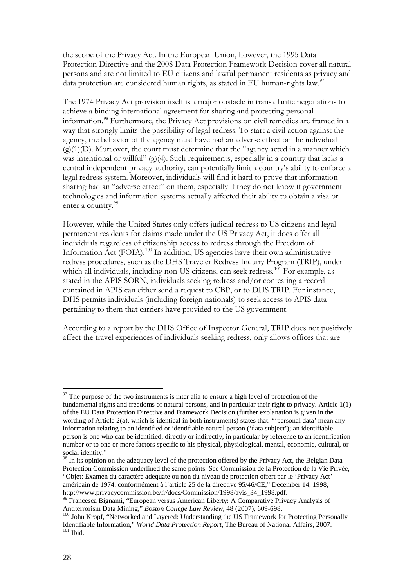the scope of the Privacy Act. In the European Union, however, the 1995 Data Protection Directive and the 2008 Data Protection Framework Decision cover all natural persons and are not limited to EU citizens and lawful permanent residents as privacy and data protection are considered human rights, as stated in EU human-rights law.<sup>[97](#page-29-0)</sup>

The 1974 Privacy Act provision itself is a major obstacle in transatlantic negotiations to achieve a binding international agreement for sharing and protecting personal information.<sup>[98](#page-29-1)</sup> Furthermore, the Privacy Act provisions on civil remedies are framed in a way that strongly limits the possibility of legal redress. To start a civil action against the agency, the behavior of the agency must have had an adverse effect on the individual  $(g)(1)(D)$ . Moreover, the court must determine that the "agency acted in a manner which was intentional or willful"  $(g)(4)$ . Such requirements, especially in a country that lacks a central independent privacy authority, can potentially limit a country's ability to enforce a legal redress system. Moreover, individuals will find it hard to prove that information sharing had an "adverse effect" on them, especially if they do not know if government technologies and information systems actually affected their ability to obtain a visa or enter a country.<sup>[99](#page-29-2)</sup>

However, while the United States only offers judicial redress to US citizens and legal permanent residents for claims made under the US Privacy Act, it does offer all individuals regardless of citizenship access to redress through the Freedom of Information Act (FOIA).<sup>[100](#page-29-3)</sup> In addition, US agencies have their own administrative redress procedures, such as the DHS Traveler Redress Inquiry Program (TRIP), under which all individuals, including non-US citizens, can seek redress.<sup>[101](#page-29-4)</sup> For example, as stated in the APIS SORN, individuals seeking redress and/or contesting a record contained in APIS can either send a request to CBP, or to DHS TRIP. For instance, DHS permits individuals (including foreign nationals) to seek access to APIS data pertaining to them that carriers have provided to the US government.

According to a report by the DHS Office of Inspector General, TRIP does not positively affect the travel experiences of individuals seeking redress, only allows offices that are

<span id="page-29-0"></span> $97$  The purpose of the two instruments is inter alia to ensure a high level of protection of the fundamental rights and freedoms of natural persons, and in particular their right to privacy. Article 1(1) of the EU Data Protection Directive and Framework Decision (further explanation is given in the wording of Article 2(a), which is identical in both instruments) states that: "'personal data' mean any information relating to an identified or identifiable natural person ('data subject'); an identifiable person is one who can be identified, directly or indirectly, in particular by reference to an identification number or to one or more factors specific to his physical, physiological, mental, economic, cultural, or social identity."

<span id="page-29-1"></span><sup>&</sup>lt;sup>98</sup> In its opinion on the adequacy level of the protection offered by the Privacy Act, the Belgian Data Protection Commission underlined the same points. See Commission de la Protection de la Vie Privée, "Objet: Examen du caractère adequate ou non du niveau de protection offert par le 'Privacy Act' américain de 1974, conformément à l'article 25 de la directive 95/46/CE," December 14, 1998, http://www.privacycommission.be/fr/docs/Commission/1998/avis 34 1998.pdf. 99 Francesca Bignami, "European versus American Liberty: A Comparative Privacy Analysis of

<span id="page-29-4"></span><span id="page-29-3"></span><span id="page-29-2"></span>Antiterrorism Data Mining," *Boston College Law Review*, 48 (2007), 609-698.<br><sup>100</sup> John Kropf, "Networked and Layered: Understanding the US Framework for Protecting Personally Identifiable Information," *World Data Protection Report*, The Bureau of National Affairs, 2007.<br><sup>101</sup> Ibid.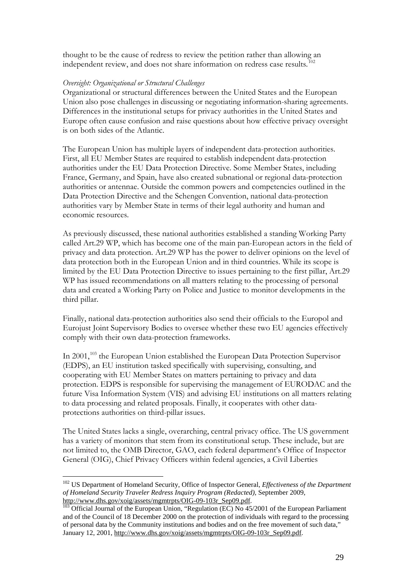thought to be the cause of redress to review the petition rather than allowing an independent review, and does not share information on redress case results.<sup>[102](#page-30-0)</sup>

### *Oversight: Organizational or Structural Challenges*

Organizational or structural differences between the United States and the European Union also pose challenges in discussing or negotiating information-sharing agreements. Differences in the institutional setups for privacy authorities in the United States and Europe often cause confusion and raise questions about how effective privacy oversight is on both sides of the Atlantic.

The European Union has multiple layers of independent data-protection authorities. First, all EU Member States are required to establish independent data-protection authorities under the EU Data Protection Directive. Some Member States, including France, Germany, and Spain, have also created subnational or regional data-protection authorities or antennae. Outside the common powers and competencies outlined in the Data Protection Directive and the Schengen Convention, national data-protection authorities vary by Member State in terms of their legal authority and human and economic resources.

As previously discussed, these national authorities established a standing Working Party called Art.29 WP, which has become one of the main pan-European actors in the field of privacy and data protection. Art.29 WP has the power to deliver opinions on the level of data protection both in the European Union and in third countries. While its scope is limited by the EU Data Protection Directive to issues pertaining to the first pillar, Art.29 WP has issued recommendations on all matters relating to the processing of personal data and created a Working Party on Police and Justice to monitor developments in the third pillar.

Finally, national data-protection authorities also send their officials to the Europol and Eurojust Joint Supervisory Bodies to oversee whether these two EU agencies effectively comply with their own data-protection frameworks.

In 2001,<sup>[103](#page-30-1)</sup> the European Union established the European Data Protection Supervisor (EDPS), an EU institution tasked specifically with supervising, consulting, and cooperating with EU Member States on matters pertaining to privacy and data protection. EDPS is responsible for supervising the management of EURODAC and the future Visa Information System (VIS) and advising EU institutions on all matters relating to data processing and related proposals. Finally, it cooperates with other dataprotections authorities on third-pillar issues.

The United States lacks a single, overarching, central privacy office. The US government has a variety of monitors that stem from its constitutional setup. These include, but are not limited to, the OMB Director, GAO, each federal department's Office of Inspector General (OIG), Chief Privacy Officers within federal agencies, a Civil Liberties

<span id="page-30-0"></span><sup>&</sup>lt;sup>102</sup> US Department of Homeland Security, Office of Inspector General, *Effectiveness of the Department of Homeland Security Traveler Redress Inquiry Program (Redacted)*, September 2009,

<span id="page-30-1"></span> $\frac{1}{103}$  Official Journal of the European Union, "Regulation (EC) No 45/2001 of the European Parliament and of the Council of 18 December 2000 on the protection of individuals with regard to the processing of personal data by the Community institutions and bodies and on the free movement of such data," January 12, 2001[, http://www.dhs.gov/xoig/assets/mgmtrpts/OIG-09-103r\\_Sep09.pdf.](http://www.dhs.gov/xoig/assets/mgmtrpts/OIG-09-103r_Sep09.pdf)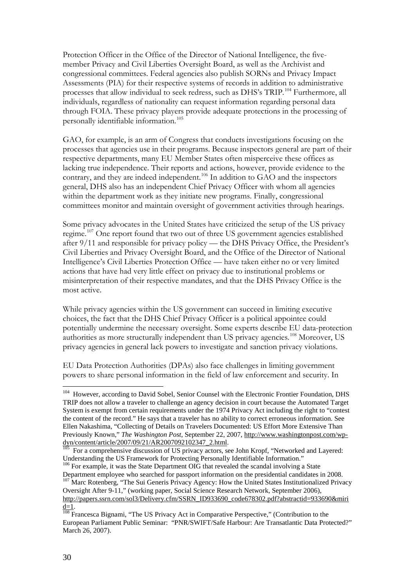Protection Officer in the Office of the Director of National Intelligence, the fivemember Privacy and Civil Liberties Oversight Board, as well as the Archivist and congressional committees. Federal agencies also publish SORNs and Privacy Impact Assessments (PIA) for their respective systems of records in addition to administrative processes that allow individual to seek redress, such as DHS's TRIP.[104](#page-31-0) Furthermore, all individuals, regardless of nationality can request information regarding personal data through FOIA. These privacy players provide adequate protections in the processing of personally identifiable information.<sup>[105](#page-31-1)</sup>

GAO, for example, is an arm of Congress that conducts investigations focusing on the processes that agencies use in their programs. Because inspectors general are part of their respective departments, many EU Member States often misperceive these offices as lacking true independence. Their reports and actions, however, provide evidence to the contrary, and they are indeed independent.<sup>[106](#page-31-2)</sup> In addition to GAO and the inspectors general, DHS also has an independent Chief Privacy Officer with whom all agencies within the department work as they initiate new programs. Finally, congressional committees monitor and maintain oversight of government activities through hearings.

Some privacy advocates in the United States have criticized the setup of the US privacy regime.<sup>[107](#page-31-3)</sup> One report found that two out of three US government agencies established after 9/11 and responsible for privacy policy — the DHS Privacy Office, the President's Civil Liberties and Privacy Oversight Board, and the Office of the Director of National Intelligence's Civil Liberties Protection Office — have taken either no or very limited actions that have had very little effect on privacy due to institutional problems or misinterpretation of their respective mandates, and that the DHS Privacy Office is the most active.

While privacy agencies within the US government can succeed in limiting executive choices, the fact that the DHS Chief Privacy Officer is a political appointee could potentially undermine the necessary oversight. Some experts describe EU data-protection authorities as more structurally independent than US privacy agencies.<sup>[108](#page-31-4)</sup> Moreover, US privacy agencies in general lack powers to investigate and sanction privacy violations.

EU Data Protection Authorities (DPAs) also face challenges in limiting government powers to share personal information in the field of law enforcement and security. In

<span id="page-31-2"></span>Department employee who searched for passport information on the presidential candidates in 2008.

<span id="page-31-3"></span><sup>107</sup> Marc Rotenberg, "The Sui Generis Privacy Agency: How the United States Institutionalized Privacy Oversight After 9-11," (working paper, Social Science Research Network, September 2006), [http://papers.ssrn.com/sol3/Delivery.cfm/SSRN\\_ID933690\\_code678302.pdf?abstractid=933690&miri](http://papers.ssrn.com/sol3/Delivery.cfm/SSRN_ID933690_code678302.pdf?abstractid=933690&mirid=1)

<span id="page-31-0"></span><sup>&</sup>lt;sup>104</sup> However, according to David Sobel, Senior Counsel with the Electronic Frontier Foundation, DHS TRIP does not allow a traveler to challenge an agency decision in court because the Automated Target System is exempt from certain requirements under the 1974 Privacy Act including the right to "contest the content of the record." He says that a traveler has no ability to correct erroneous information. See Ellen Nakashima, "Collecting of Details on Travelers Documented: US Effort More Extensive Than Previously Known," *The Washington Post*, September 22, 2007, <u>http://www.washingtonpost.com/wp-<br>dyn/content/article/2007/09/21/AR2007092102347\_2.html</u>.

<span id="page-31-1"></span>For a comprehensive discussion of US privacy actors, see John Kropf, "Networked and Layered: Understanding the US Framework for Protecting Personally Identifiable Information." <sup>106</sup> For example, it was the State Department OIG that revealed the scandal involving a State

<span id="page-31-4"></span> $\frac{d=1}{108}$  Francesca Bignami, "The US Privacy Act in Comparative Perspective," (Contribution to the Francesca Bignami, "The US Privacy Act in Comparative Perspective," (Contribution to the European Parliament Public Seminar: "PNR/SWIFT/Safe Harbour: Are Transatlantic Data Protected?" March 26, 2007).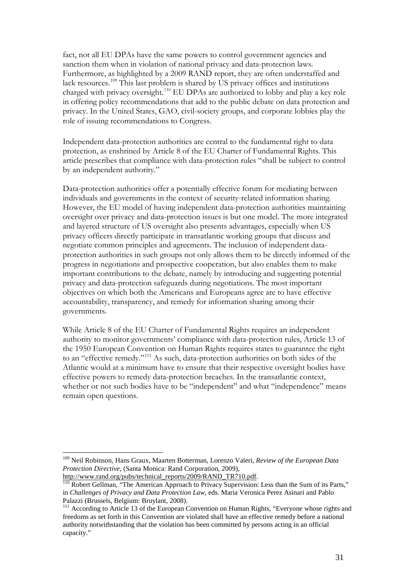fact, not all EU DPAs have the same powers to control government agencies and sanction them when in violation of national privacy and data-protection laws. Furthermore, as highlighted by a 2009 RAND report, they are often understaffed and lack resources.<sup>[109](#page-32-0)</sup> This last problem is shared by US privacy offices and institutions charged with privacy oversight.<sup>[110](#page-32-1)</sup> EU DPAs are authorized to lobby and play a key role in offering policy recommendations that add to the public debate on data protection and privacy. In the United States, GAO, civil-society groups, and corporate lobbies play the role of issuing recommendations to Congress.

Independent data-protection authorities are central to the fundamental right to data protection, as enshrined by Article 8 of the EU Charter of Fundamental Rights. This article prescribes that compliance with data-protection rules "shall be subject to control by an independent authority."

Data-protection authorities offer a potentially effective forum for mediating between individuals and governments in the context of security-related information sharing. However, the EU model of having independent data-protection authorities maintaining oversight over privacy and data-protection issues is but one model. The more integrated and layered structure of US oversight also presents advantages, especially when US privacy officers directly participate in transatlantic working groups that discuss and negotiate common principles and agreements. The inclusion of independent dataprotection authorities in such groups not only allows them to be directly informed of the progress in negotiations and prospective cooperation, but also enables them to make important contributions to the debate, namely by introducing and suggesting potential privacy and data-protection safeguards during negotiations. The most important objectives on which both the Americans and Europeans agree are to have effective accountability, transparency, and remedy for information sharing among their governments.

While Article 8 of the EU Charter of Fundamental Rights requires an independent authority to monitor governments' compliance with data-protection rules, Article 13 of the 1950 European Convention on Human Rights requires states to guarantee the right to an "effective remedy."[111](#page-32-2) As such, data-protection authorities on both sides of the Atlantic would at a minimum have to ensure that their respective oversight bodies have effective powers to remedy data-protection breaches. In the transatlantic context, whether or not such bodies have to be "independent" and what "independence" means remain open questions.

<span id="page-32-0"></span> <sup>109</sup> Neil Robinson, Hans Graux, Maarten Botterman, Lorenzo Valeri, *Review of the European Data Protection Directive*, (Santa Monica: Rand Corporation, 2009), http://www.rand.org/pubs/technical\_reports/2009/RAND\_TR710.pdf.

<span id="page-32-1"></span> $\frac{110}{110}$  Robert Gellman, "The American Approach to Privacy Supervision: Less than the Sum of its Parts," in *Challenges of Privacy and Data Protection Law*, eds. Maria Veronica Perez Asinari and Pablo

<span id="page-32-2"></span>Palazzi (Brussels, Belgium: Bruylant, 2008). <sup>111</sup> According to Article 13 of the European Convention on Human Rights, "Everyone whose rights and freedoms as set forth in this Convention are violated shall have an effective remedy before a national authority notwithstanding that the violation has been committed by persons acting in an official capacity."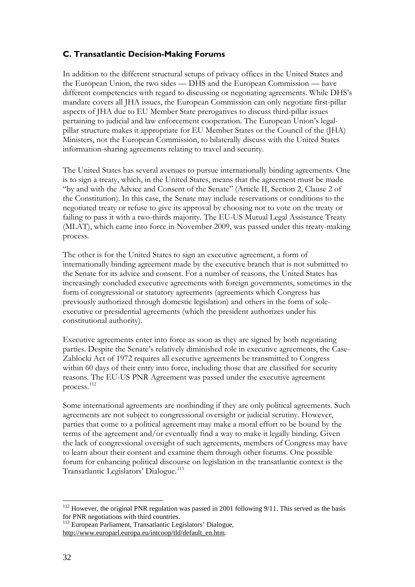## <span id="page-33-0"></span>**C. Transatlantic Decision-Making Forums**

In addition to the different structural setups of privacy offices in the United States and the European Union, the two sides — DHS and the European Commission — have different competencies with regard to discussing or negotiating agreements. While DHS's mandate covers all JHA issues, the European Commission can only negotiate first-pillar aspects of JHA due to EU Member State prerogatives to discuss third-pillar issues pertaining to judicial and law enforcement cooperation. The European Union's legalpillar structure makes it appropriate for EU Member States or the Council of the (JHA) Ministers, not the European Commission, to bilaterally discuss with the United States information-sharing agreements relating to travel and security.

The United States has several avenues to pursue internationally binding agreements. One is to sign a treaty, which, in the United States, means that the agreement must be made "by and with the Advice and Consent of the Senate" (Article II, Section 2, Clause 2 of the Constitution). In this case, the Senate may include reservations or conditions to the negotiated treaty or refuse to give its approval by choosing not to vote on the treaty or failing to pass it with a two-thirds majority. The EU-US Mutual Legal Assistance Treaty (MLAT), which came into force in November 2009, was passed under this treaty-making process.

The other is for the United States to sign an executive agreement, a form of internationally binding agreement made by the executive branch that is not submitted to the Senate for its advice and consent. For a number of reasons, the United States has increasingly concluded executive agreements with foreign governments, sometimes in the form of congressional or statutory agreements (agreements which Congress has previously authorized through domestic legislation) and others in the form of soleexecutive or presidential agreements (which the president authorizes under his constitutional authority).

Executive agreements enter into force as soon as they are signed by both negotiating parties. Despite the Senate's relatively diminished role in executive agreements, the Case-Zablocki Act of 1972 requires all executive agreements be transmitted to Congress within 60 days of their entry into force, including those that are classified for security reasons. The EU-US PNR Agreement was passed under the executive agreement process.[112](#page-33-1)

Some international agreements are nonbinding if they are only political agreements. Such agreements are not subject to congressional oversight or judicial scrutiny. However, parties that come to a political agreement may make a moral effort to be bound by the terms of the agreement and/or eventually find a way to make it legally binding. Given the lack of congressional oversight of such agreements, members of Congress may have to learn about their content and examine them through other forums. One possible forum for enhancing political discourse on legislation in the transatlantic context is the Transatlantic Legislators' Dialogue.<sup>[113](#page-33-2)</sup>

<span id="page-33-1"></span><sup>&</sup>lt;sup>112</sup> However, the original PNR regulation was passed in 2001 following 9/11. This served as the basis for PNR negotiations with third countries.<br><sup>113</sup> European Parliament, Transatlantic Legislators' Dialogue,

<span id="page-33-2"></span>[http://www.europarl.europa.eu/intcoop/tld/default\\_en.htm.](http://www.europarl.europa.eu/intcoop/tld/default_en.htm)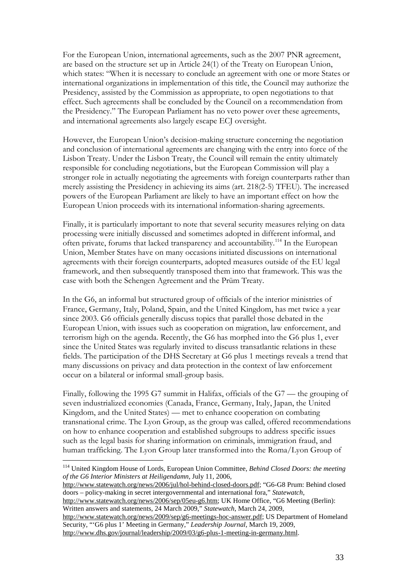For the European Union, international agreements, such as the 2007 PNR agreement, are based on the structure set up in Article 24(1) of the Treaty on European Union, which states: "When it is necessary to conclude an agreement with one or more States or international organizations in implementation of this title, the Council may authorize the Presidency, assisted by the Commission as appropriate, to open negotiations to that effect. Such agreements shall be concluded by the Council on a recommendation from the Presidency." The European Parliament has no veto power over these agreements, and international agreements also largely escape ECJ oversight.

However, the European Union's decision-making structure concerning the negotiation and conclusion of international agreements are changing with the entry into force of the Lisbon Treaty. Under the Lisbon Treaty, the Council will remain the entity ultimately responsible for concluding negotiations, but the European Commission will play a stronger role in actually negotiating the agreements with foreign counterparts rather than merely assisting the Presidency in achieving its aims (art. 218(2-5) TFEU). The increased powers of the European Parliament are likely to have an important effect on how the European Union proceeds with its international information-sharing agreements.

Finally, it is particularly important to note that several security measures relying on data processing were initially discussed and sometimes adopted in different informal, and often private, forums that lacked transparency and accountability.[114](#page-34-0) In the European Union, Member States have on many occasions initiated discussions on international agreements with their foreign counterparts, adopted measures outside of the EU legal framework, and then subsequently transposed them into that framework. This was the case with both the Schengen Agreement and the Prüm Treaty.

In the G6, an informal but structured group of officials of the interior ministries of France, Germany, Italy, Poland, Spain, and the United Kingdom, has met twice a year since 2003. G6 officials generally discuss topics that parallel those debated in the European Union, with issues such as cooperation on migration, law enforcement, and terrorism high on the agenda. Recently, the G6 has morphed into the G6 plus 1, ever since the United States was regularly invited to discuss transatlantic relations in these fields. The participation of the DHS Secretary at G6 plus 1 meetings reveals a trend that many discussions on privacy and data protection in the context of law enforcement occur on a bilateral or informal small-group basis.

Finally, following the 1995 G7 summit in Halifax, officials of the G7 — the grouping of seven industrialized economies (Canada, France, Germany, Italy, Japan, the United Kingdom, and the United States) — met to enhance cooperation on combating transnational crime. The Lyon Group, as the group was called, offered recommendations on how to enhance cooperation and established subgroups to address specific issues such as the legal basis for sharing information on criminals, immigration fraud, and human trafficking. The Lyon Group later transformed into the Roma/Lyon Group of

[http://www.statewatch.org/news/2006/jul/hol-behind-closed-doors.pdf;](http://www.statewatch.org/news/2006/jul/hol-behind-closed-doors.pdf) "G6-G8 Prum: Behind closed doors – policy-making in secret intergovernmental and international fora," *Statewatch*, [http://www.statewatch.org/news/2006/sep/05eu-g6.htm;](http://www.statewatch.org/news/2006/sep/05eu-g6.htm) UK Home Office, "G6 Meeting (Berlin):

Written answers and statements, 24 March 2009," *Statewatch*, March 24, 2009, [http://www.statewatch.org/news/2009/sep/g6-meetings-hoc-answer.pdf;](http://www.statewatch.org/news/2009/sep/g6-meetings-hoc-answer.pdf) US Department of Homeland Security, "'G6 plus 1' Meeting in Germany," *Leadership Journal*, March 19, 2009,

[http://www.dhs.gov/journal/leadership/2009/03/g6-plus-1-meeting-in-germany.html.](http://www.dhs.gov/journal/leadership/2009/03/g6-plus-1-meeting-in-germany.html)

<span id="page-34-0"></span> <sup>114</sup> United Kingdom House of Lords, European Union Committee, *Behind Closed Doors: the meeting of the G6 Interior Ministers at Heiligendamn*, July 11, 2006,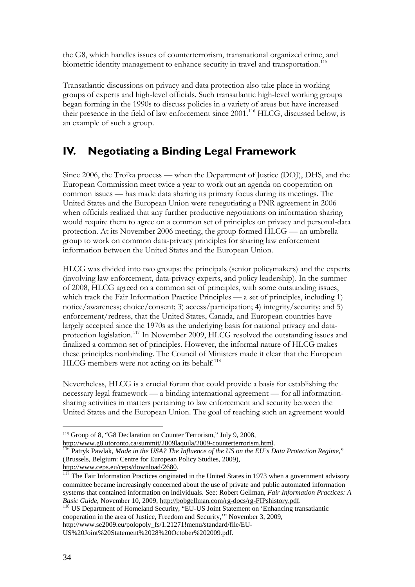the G8, which handles issues of counterterrorism, transnational organized crime, and biometric identity management to enhance security in travel and transportation.<sup>[115](#page-35-1)</sup>

Transatlantic discussions on privacy and data protection also take place in working groups of experts and high-level officials. Such transatlantic high-level working groups began forming in the 1990s to discuss policies in a variety of areas but have increased their presence in the field of law enforcement since 2001.[116](#page-35-2) HLCG, discussed below, is an example of such a group.

## <span id="page-35-0"></span>**IV. Negotiating a Binding Legal Framework**

Since 2006, the Troika process — when the Department of Justice (DOJ), DHS, and the European Commission meet twice a year to work out an agenda on cooperation on common issues — has made data sharing its primary focus during its meetings. The United States and the European Union were renegotiating a PNR agreement in 2006 when officials realized that any further productive negotiations on information sharing would require them to agree on a common set of principles on privacy and personal-data protection. At its November 2006 meeting, the group formed HLCG — an umbrella group to work on common data-privacy principles for sharing law enforcement information between the United States and the European Union.

HLCG was divided into two groups: the principals (senior policymakers) and the experts (involving law enforcement, data-privacy experts, and policy leadership). In the summer of 2008, HLCG agreed on a common set of principles, with some outstanding issues, which track the Fair Information Practice Principles — a set of principles, including 1) notice/awareness; choice/consent; 3) access/participation; 4) integrity/security; and 5) enforcement/redress, that the United States, Canada, and European countries have largely accepted since the 1970s as the underlying basis for national privacy and dataprotection legislation.[117](#page-35-3) In November 2009, HLCG resolved the outstanding issues and finalized a common set of principles. However, the informal nature of HLCG makes these principles nonbinding. The Council of Ministers made it clear that the European HLCG members were not acting on its behalf.<sup>[118](#page-35-4)</sup>

Nevertheless, HLCG is a crucial forum that could provide a basis for establishing the necessary legal framework — a binding international agreement — for all informationsharing activities in matters pertaining to law enforcement and security between the United States and the European Union. The goal of reaching such an agreement would

<span id="page-35-4"></span>**Basic Guide, November 10, 2009, https://bobsellman.com/rg-Fipshistory.pdf. 118** US Department of Homeland Security, "EU-US Joint Statement on 'Enhancing transatlantic cooperation in the area of Justice, Freedom and Security,'" November 3, 2009, [http://www.se2009.eu/polopoly\\_fs/1.21271!menu/standard/file/EU-](http://www.se2009.eu/polopoly_fs/1.21271!menu/standard/file/EU-US%20Joint%20Statement%2028%20October%202009.pdf)[US%20Joint%20Statement%2028%20October%202009.pdf.](http://www.se2009.eu/polopoly_fs/1.21271!menu/standard/file/EU-US%20Joint%20Statement%2028%20October%202009.pdf)

 $\overline{a}$ 

<sup>115</sup> Group of 8, "G8 Declaration on Counter Terrorism," July 9, 2008,

<span id="page-35-2"></span><span id="page-35-1"></span>[http://www.g8.utoronto.ca/summit/2009laquila/2009-counterterrorism.html.](http://www.g8.utoronto.ca/summit/2009laquila/2009-counterterrorism.html) [116](http://www.g8.utoronto.ca/summit/2009laquila/2009-counterterrorism.html) Patryk Pawlak, *Made in the USA? The Influence of the US on the EU's Data Protection Regime*," (Brussels, Belgium: Centre for European Policy Studies, 2009), [http://www.ceps.eu/ceps/download/2680.](http://www.ceps.eu/ceps/download/2680)

<span id="page-35-3"></span> $117$  The Fair Information Practices originated in the United States in 1973 when a government advisory committee became increasingly concerned about the use of private and public automated information systems that contained information on individuals. See: Robert Gellman, *Fair Information Practices: A Basic Guide*, November 10, 2009, http://bobgellman.com/rg-docs/rg-FIPshistory.pdf.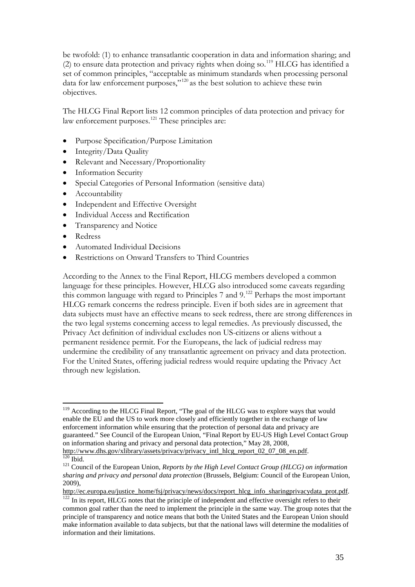be twofold: (1) to enhance transatlantic cooperation in data and information sharing; and (2) to ensure data protection and privacy rights when doing so.<sup>[119](#page-36-0)</sup> HLCG has identified a set of common principles, "acceptable as minimum standards when processing personal data for law enforcement purposes,"<sup>[120](#page-36-1)</sup> as the best solution to achieve these twin objectives.

The HLCG Final Report lists 12 common principles of data protection and privacy for law enforcement purposes.<sup>[121](#page-36-2)</sup> These principles are:

- Purpose Specification/Purpose Limitation
- Integrity/Data Quality
- Relevant and Necessary/Proportionality
- Information Security
- Special Categories of Personal Information (sensitive data)
- Accountability
- Independent and Effective Oversight
- Individual Access and Rectification
- Transparency and Notice
- Redress
- Automated Individual Decisions
- Restrictions on Onward Transfers to Third Countries

According to the Annex to the Final Report, HLCG members developed a common language for these principles. However, HLCG also introduced some caveats regarding this common language with regard to Principles 7 and 9.<sup>[122](#page-36-3)</sup> Perhaps the most important HLCG remark concerns the redress principle. Even if both sides are in agreement that data subjects must have an effective means to seek redress, there are strong differences in the two legal systems concerning access to legal remedies. As previously discussed, the Privacy Act definition of individual excludes non US-citizens or aliens without a permanent residence permit. For the Europeans, the lack of judicial redress may undermine the credibility of any transatlantic agreement on privacy and data protection. For the United States, offering judicial redress would require updating the Privacy Act through new legislation.

<span id="page-36-0"></span><sup>&</sup>lt;sup>119</sup> According to the HLCG Final Report, "The goal of the HLCG was to explore ways that would enable the EU and the US to work more closely and efficiently together in the exchange of law enforcement information while ensuring that the protection of personal data and privacy are guaranteed." See Council of the European Union, "Final Report by EU-US High Level Contact Group on information sharing and privacy and personal data protection," May 28, 2008, http://www.dhs.gov/xlibrary/assets/privacy/privacy\_intl\_hlcg\_report\_02\_07\_08\_en.pdf.

<span id="page-36-2"></span><span id="page-36-1"></span><sup>&</sup>lt;sup>120</sup> Ibid.<br><sup>121</sup> Council of the European Union, *Reports by the High Level Contact Group (HLCG) on information sharing and privacy and personal data protection* (Brussels, Belgium: Council of the European Union, 2009),

[http://ec.europa.eu/justice\\_home/fsj/privacy/news/docs/report\\_hlcg\\_info\\_sharingprivacydata\\_prot.pdf.](http://ec.europa.eu/justice_home/fsj/privacy/news/docs/report_hlcg_info_sharingprivacydata_prot.pdf)  $122$  In its report, HLCG notes that the principle of independent and effective oversight refers to their

<span id="page-36-3"></span>common goal rather than the need to implement the principle in the same way. The group notes that the principle of transparency and notice means that both the United States and the European Union should make information available to data subjects, but that the national laws will determine the modalities of information and their limitations.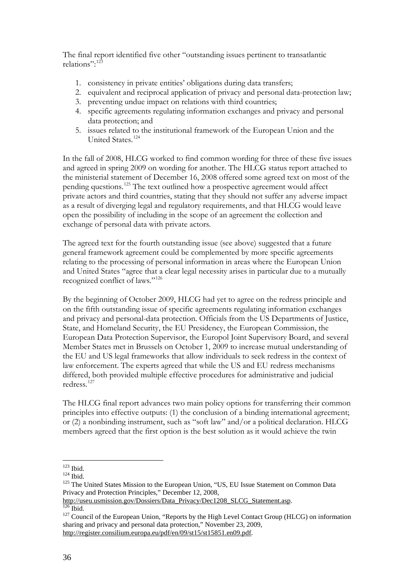The final report identified five other "outstanding issues pertinent to transatlantic relations": [123](#page-37-0)

- 1. consistency in private entities' obligations during data transfers;
- 2. equivalent and reciprocal application of privacy and personal data-protection law;
- 3. preventing undue impact on relations with third countries;
- 4. specific agreements regulating information exchanges and privacy and personal data protection; and
- 5. issues related to the institutional framework of the European Union and the United States.[124](#page-37-1)

In the fall of 2008, HLCG worked to find common wording for three of these five issues and agreed in spring 2009 on wording for another. The HLCG status report attached to the ministerial statement of December 16, 2008 offered some agreed text on most of the pending questions.[125](#page-37-2) The text outlined how a prospective agreement would affect private actors and third countries, stating that they should not suffer any adverse impact as a result of diverging legal and regulatory requirements, and that HLCG would leave open the possibility of including in the scope of an agreement the collection and exchange of personal data with private actors.

The agreed text for the fourth outstanding issue (see above) suggested that a future general framework agreement could be complemented by more specific agreements relating to the processing of personal information in areas where the European Union and United States "agree that a clear legal necessity arises in particular due to a mutually recognized conflict of laws."<sup>[126](#page-37-3)</sup>

By the beginning of October 2009, HLCG had yet to agree on the redress principle and on the fifth outstanding issue of specific agreements regulating information exchanges and privacy and personal-data protection. Officials from the US Departments of Justice, State, and Homeland Security, the EU Presidency, the European Commission, the European Data Protection Supervisor, the Europol Joint Supervisory Board, and several Member States met in Brussels on October 1, 2009 to increase mutual understanding of the EU and US legal frameworks that allow individuals to seek redress in the context of law enforcement. The experts agreed that while the US and EU redress mechanisms differed, both provided multiple effective procedures for administrative and judicial redress.<sup>[127](#page-37-4)</sup>

The HLCG final report advances two main policy options for transferring their common principles into effective outputs: (1) the conclusion of a binding international agreement; or (2) a nonbinding instrument, such as "soft law" and/or a political declaration. HLCG members agreed that the first option is the best solution as it would achieve the twin

<span id="page-37-2"></span>

<span id="page-37-1"></span><span id="page-37-0"></span><sup>&</sup>lt;sup>123</sup> Ibid.<br><sup>124</sup> Ibid.<br><sup>125</sup> The United States Mission to the European Union, "US, EU Issue Statement on Common Data Privacy and Protection Principles," December 12, 2008,<br>http://useu.usmission.gov/Dossiers/Data Privacy/Dec1208 SLCG Statement.asp.

<span id="page-37-3"></span> $\frac{126}{126}$  Ibid.  $\frac{127}{120}$  Council of the European Union, "Reports by the High Level Contact Group (HLCG) on information

<span id="page-37-4"></span>sharing and privacy and personal data protection," November 23, 2009, [http://register.consilium.europa.eu/pdf/en/09/st15/st15851.en09.pdf.](http://register.consilium.europa.eu/pdf/en/09/st15/st15851.en09.pdf)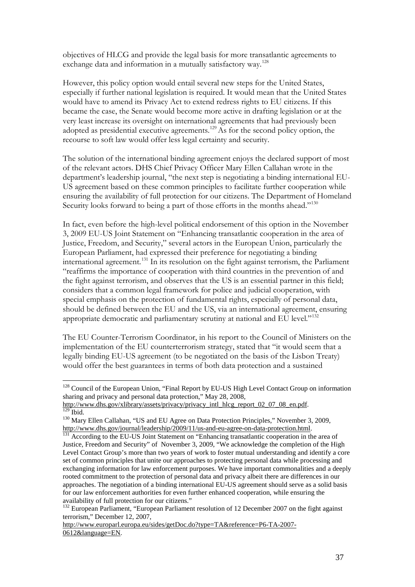objectives of HLCG and provide the legal basis for more transatlantic agreements to exchange data and information in a mutually satisfactory way.<sup>[128](#page-38-0)</sup>

However, this policy option would entail several new steps for the United States, especially if further national legislation is required. It would mean that the United States would have to amend its Privacy Act to extend redress rights to EU citizens. If this became the case, the Senate would become more active in drafting legislation or at the very least increase its oversight on international agreements that had previously been adopted as presidential executive agreements.[129](#page-38-1)As for the second policy option, the recourse to soft law would offer less legal certainty and security.

The solution of the international binding agreement enjoys the declared support of most of the relevant actors. DHS Chief Privacy Officer Mary Ellen Callahan wrote in the department's leadership journal, "the next step is negotiating a binding international EU-US agreement based on these common principles to facilitate further cooperation while ensuring the availability of full protection for our citizens. The Department of Homeland Security looks forward to being a part of those efforts in the months ahead."<sup>[130](#page-38-2)</sup>

In fact, even before the high-level political endorsement of this option in the November 3, 2009 EU-US Joint Statement on "Enhancing transatlantic cooperation in the area of Justice, Freedom, and Security," several actors in the European Union, particularly the European Parliament, had expressed their preference for negotiating a binding international agreement.[131](#page-38-3) In its resolution on the fight against terrorism, the Parliament "reaffirms the importance of cooperation with third countries in the prevention of and the fight against terrorism, and observes that the US is an essential partner in this field; considers that a common legal framework for police and judicial cooperation, with special emphasis on the protection of fundamental rights, especially of personal data, should be defined between the EU and the US, via an international agreement, ensuring appropriate democratic and parliamentary scrutiny at national and EU level."<sup>[132](#page-38-4)</sup>

The EU Counter-Terrorism Coordinator, in his report to the Council of Ministers on the implementation of the EU counterterrorism strategy, stated that "it would seem that a legally binding EU-US agreement (to be negotiated on the basis of the Lisbon Treaty) would offer the best guarantees in terms of both data protection and a sustained

<span id="page-38-0"></span><sup>&</sup>lt;sup>128</sup> Council of the European Union, "Final Report by EU-US High Level Contact Group on information sharing and privacy and personal data protection," May 28, 2008,

[http://www.dhs.gov/xlibrary/assets/privacy/privacy\\_intl\\_hlcg\\_report\\_02\\_07\\_08\\_en.pdf.](http://www.dhs.gov/xlibrary/assets/privacy/privacy_intl_hlcg_report_02_07_08_en.pdf) 130 Ibid. 130 Mary Ellen Callahan, "US and EU Agree on Data Protection Principles," November 3, 2009,

<span id="page-38-2"></span><span id="page-38-1"></span>[http://www.dhs.gov/journal/leadership/2009/11/us-and-eu-agree-on-data-protection.html.](http://www.dhs.gov/journal/leadership/2009/11/us-and-eu-agree-on-data-protection.html)<br><sup>131</sup> According to the EU-US Joint Statement on "Enhancing transatlantic cooperation in the area of

<span id="page-38-3"></span>Justice, Freedom and Security" of November 3, 2009, "We acknowledge the completion of the High Level Contact Group's more than two years of work to foster mutual understanding and identify a core set of common principles that unite our approaches to protecting personal data while processing and exchanging information for law enforcement purposes. We have important commonalities and a deeply rooted commitment to the protection of personal data and privacy albeit there are differences in our approaches. The negotiation of a binding international EU-US agreement should serve as a solid basis for our law enforcement authorities for even further enhanced cooperation, while ensuring the availability of full protection for our citizens."

<span id="page-38-4"></span><sup>&</sup>lt;sup>132</sup> European Parliament, "European Parliament resolution of 12 December 2007 on the fight against terrorism," December 12, 2007,

[http://www.europarl.europa.eu/sides/getDoc.do?type=TA&reference=P6-TA-2007-](http://www.europarl.europa.eu/sides/getDoc.do?type=TA&reference=P6-TA-2007-0612&language=EN) [0612&language=EN.](http://www.europarl.europa.eu/sides/getDoc.do?type=TA&reference=P6-TA-2007-0612&language=EN)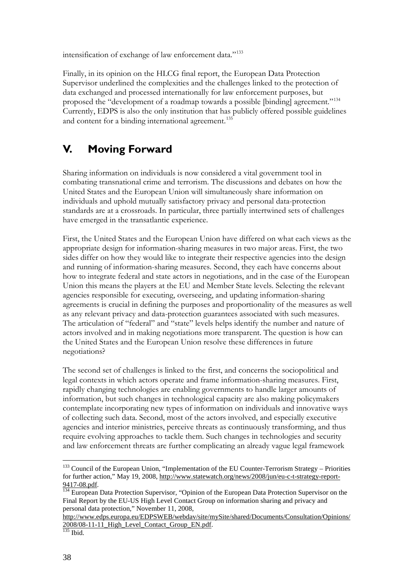intensification of exchange of law enforcement data."<sup>[133](#page-39-1)</sup>

Finally, in its opinion on the HLCG final report, the European Data Protection Supervisor underlined the complexities and the challenges linked to the protection of data exchanged and processed internationally for law enforcement purposes, but proposed the "development of a roadmap towards a possible [binding] agreement."[134](#page-39-2) Currently, EDPS is also the only institution that has publicly offered possible guidelines and content for a binding international agreement.<sup>[135](#page-39-3)</sup>

## <span id="page-39-0"></span>**V. Moving Forward**

Sharing information on individuals is now considered a vital government tool in combating transnational crime and terrorism. The discussions and debates on how the United States and the European Union will simultaneously share information on individuals and uphold mutually satisfactory privacy and personal data-protection standards are at a crossroads. In particular, three partially intertwined sets of challenges have emerged in the transatlantic experience.

First, the United States and the European Union have differed on what each views as the appropriate design for information-sharing measures in two major areas. First, the two sides differ on how they would like to integrate their respective agencies into the design and running of information-sharing measures. Second, they each have concerns about how to integrate federal and state actors in negotiations, and in the case of the European Union this means the players at the EU and Member State levels. Selecting the relevant agencies responsible for executing, overseeing, and updating information-sharing agreements is crucial in defining the purposes and proportionality of the measures as well as any relevant privacy and data-protection guarantees associated with such measures. The articulation of "federal" and "state" levels helps identify the number and nature of actors involved and in making negotiations more transparent. The question is how can the United States and the European Union resolve these differences in future negotiations?

The second set of challenges is linked to the first, and concerns the sociopolitical and legal contexts in which actors operate and frame information-sharing measures. First, rapidly changing technologies are enabling governments to handle larger amounts of information, but such changes in technological capacity are also making policymakers contemplate incorporating new types of information on individuals and innovative ways of collecting such data. Second, most of the actors involved, and especially executive agencies and interior ministries, perceive threats as continuously transforming, and thus require evolving approaches to tackle them. Such changes in technologies and security and law enforcement threats are further complicating an already vague legal framework

<span id="page-39-1"></span><sup>&</sup>lt;sup>133</sup> Council of the European Union, "Implementation of the EU Counter-Terrorism Strategy – Priorities for further action," May 19, 2008[, http://www.statewatch.org/news/2008/jun/eu-c-t-strategy-report-](http://www.statewatch.org/news/2008/jun/eu-c-t-strategy-report-9417-08.pdf)

<span id="page-39-2"></span>[<sup>9417-08.</sup>pdf.](http://www.statewatch.org/news/2008/jun/eu-c-t-strategy-report-9417-08.pdf)<br><sup>134</sup> European Data Protection Supervisor, "Opinion of the European Data Protection Supervisor on the Final Report by the EU-US High Level Contact Group on information sharing and privacy and personal data protection," November 11, 2008,

<span id="page-39-3"></span>[http://www.edps.europa.eu/EDPSWEB/webdav/site/mySite/shared/Documents/Consultation/Opinions/](http://www.edps.europa.eu/EDPSWEB/webdav/site/mySite/shared/Documents/Consultation/Opinions/2008/08-11-11_High_Level_Contact_Group_EN.pdf)  $\frac{2008}{^{135}}$  Ibid.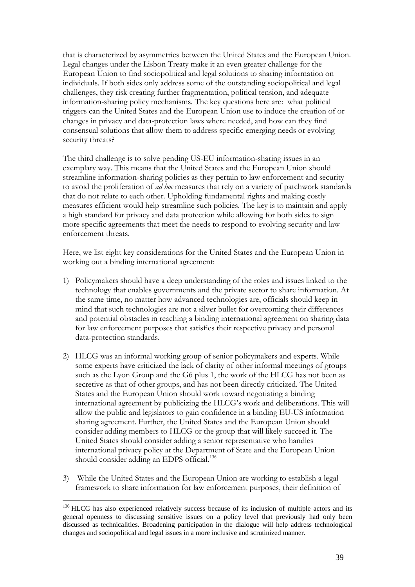that is characterized by asymmetries between the United States and the European Union. Legal changes under the Lisbon Treaty make it an even greater challenge for the European Union to find sociopolitical and legal solutions to sharing information on individuals. If both sides only address some of the outstanding sociopolitical and legal challenges, they risk creating further fragmentation, political tension, and adequate information-sharing policy mechanisms. The key questions here are: what political triggers can the United States and the European Union use to induce the creation of or changes in privacy and data-protection laws where needed, and how can they find consensual solutions that allow them to address specific emerging needs or evolving security threats?

The third challenge is to solve pending US-EU information-sharing issues in an exemplary way. This means that the United States and the European Union should streamline information-sharing policies as they pertain to law enforcement and security to avoid the proliferation of *ad hoc* measures that rely on a variety of patchwork standards that do not relate to each other. Upholding fundamental rights and making costly measures efficient would help streamline such policies. The key is to maintain and apply a high standard for privacy and data protection while allowing for both sides to sign more specific agreements that meet the needs to respond to evolving security and law enforcement threats.

Here, we list eight key considerations for the United States and the European Union in working out a binding international agreement:

- 1) Policymakers should have a deep understanding of the roles and issues linked to the technology that enables governments and the private sector to share information. At the same time, no matter how advanced technologies are, officials should keep in mind that such technologies are not a silver bullet for overcoming their differences and potential obstacles in reaching a binding international agreement on sharing data for law enforcement purposes that satisfies their respective privacy and personal data-protection standards.
- 2) HLCG was an informal working group of senior policymakers and experts. While some experts have criticized the lack of clarity of other informal meetings of groups such as the Lyon Group and the G6 plus 1, the work of the HLCG has not been as secretive as that of other groups, and has not been directly criticized. The United States and the European Union should work toward negotiating a binding international agreement by publicizing the HLCG's work and deliberations. This will allow the public and legislators to gain confidence in a binding EU-US information sharing agreement. Further, the United States and the European Union should consider adding members to HLCG or the group that will likely succeed it. The United States should consider adding a senior representative who handles international privacy policy at the Department of State and the European Union should consider adding an EDPS official. [136](#page-40-0)
- 3) While the United States and the European Union are working to establish a legal framework to share information for law enforcement purposes, their definition of

<span id="page-40-0"></span><sup>&</sup>lt;sup>136</sup> HLCG has also experienced relatively success because of its inclusion of multiple actors and its general openness to discussing sensitive issues on a policy level that previously had only been discussed as technicalities. Broadening participation in the dialogue will help address technological changes and sociopolitical and legal issues in a more inclusive and scrutinized manner.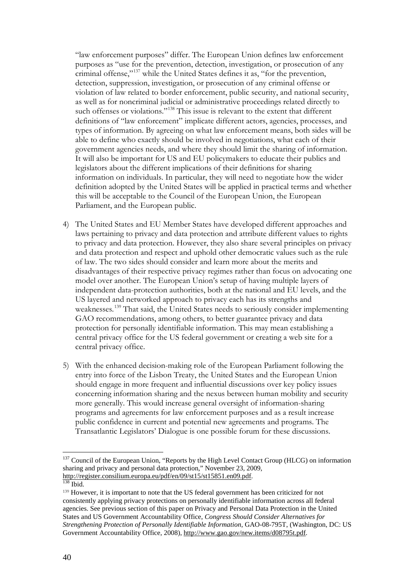"law enforcement purposes" differ. The European Union defines law enforcement purposes as "use for the prevention, detection, investigation, or prosecution of any criminal offense,"[137](#page-41-0) while the United States defines it as, "for the prevention, detection, suppression, investigation, or prosecution of any criminal offense or violation of law related to border enforcement, public security, and national security, as well as for noncriminal judicial or administrative proceedings related directly to such offenses or violations."<sup>[138](#page-41-1)</sup> This issue is relevant to the extent that different definitions of "law enforcement" implicate different actors, agencies, processes, and types of information. By agreeing on what law enforcement means, both sides will be able to define who exactly should be involved in negotiations, what each of their government agencies needs, and where they should limit the sharing of information. It will also be important for US and EU policymakers to educate their publics and legislators about the different implications of their definitions for sharing information on individuals. In particular, they will need to negotiate how the wider definition adopted by the United States will be applied in practical terms and whether this will be acceptable to the Council of the European Union, the European Parliament, and the European public.

- 4) The United States and EU Member States have developed different approaches and laws pertaining to privacy and data protection and attribute different values to rights to privacy and data protection. However, they also share several principles on privacy and data protection and respect and uphold other democratic values such as the rule of law. The two sides should consider and learn more about the merits and disadvantages of their respective privacy regimes rather than focus on advocating one model over another. The European Union's setup of having multiple layers of independent data-protection authorities, both at the national and EU levels, and the US layered and networked approach to privacy each has its strengths and weaknesses.[139](#page-41-2) That said, the United States needs to seriously consider implementing GAO recommendations, among others, to better guarantee privacy and data protection for personally identifiable information. This may mean establishing a central privacy office for the US federal government or creating a web site for a central privacy office.
- 5) With the enhanced decision-making role of the European Parliament following the entry into force of the Lisbon Treaty, the United States and the European Union should engage in more frequent and influential discussions over key policy issues concerning information sharing and the nexus between human mobility and security more generally. This would increase general oversight of information-sharing programs and agreements for law enforcement purposes and as a result increase public confidence in current and potential new agreements and programs. The Transatlantic Legislators' Dialogue is one possible forum for these discussions.

<span id="page-41-0"></span> $\overline{a}$ <sup>137</sup> Council of the European Union, "Reports by the High Level Contact Group (HLCG) on information sharing and privacy and personal data protection," November 23, 2009, [http://register.consilium.europa.eu/pdf/en/09/st15/st15851.en09.pdf.](http://register.consilium.europa.eu/pdf/en/09/st15/st15851.en09.pdf) 138 Ibid.

<span id="page-41-2"></span><span id="page-41-1"></span><sup>139</sup> However, it is important to note that the US federal government has been criticized for not consistently applying privacy protections on personally identifiable information across all federal agencies. See previous section of this paper on Privacy and Personal Data Protection in the United States and US Government Accountability Office, *Congress Should Consider Alternatives for Strengthening Protection of Personally Identifiable Information*, GAO-08-795T, (Washington, DC: US Government Accountability Office, 2008), [http://www.gao.gov/new.items/d08795t.pdf.](http://www.gao.gov/new.items/d08795t.pdf)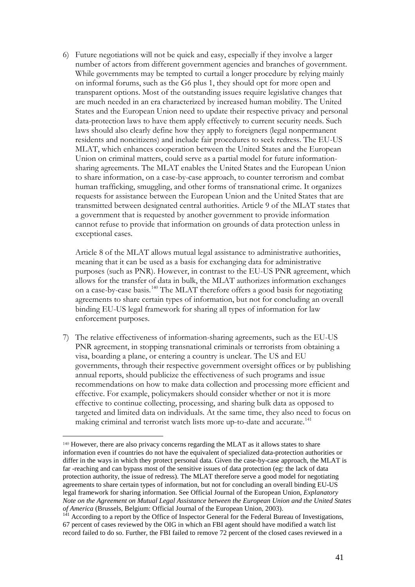6) Future negotiations will not be quick and easy, especially if they involve a larger number of actors from different government agencies and branches of government. While governments may be tempted to curtail a longer procedure by relying mainly on informal forums, such as the G6 plus 1, they should opt for more open and transparent options. Most of the outstanding issues require legislative changes that are much needed in an era characterized by increased human mobility. The United States and the European Union need to update their respective privacy and personal data-protection laws to have them apply effectively to current security needs. Such laws should also clearly define how they apply to foreigners (legal nonpermanent residents and noncitizens) and include fair procedures to seek redress. The EU-US MLAT, which enhances cooperation between the United States and the European Union on criminal matters, could serve as a partial model for future informationsharing agreements. The MLAT enables the United States and the European Union to share information, on a case-by-case approach, to counter terrorism and combat human trafficking, smuggling, and other forms of transnational crime. It organizes requests for assistance between the European Union and the United States that are transmitted between designated central authorities. Article 9 of the MLAT states that a government that is requested by another government to provide information cannot refuse to provide that information on grounds of data protection unless in exceptional cases.

 Article 8 of the MLAT allows mutual legal assistance to administrative authorities, meaning that it can be used as a basis for exchanging data for administrative purposes (such as PNR). However, in contrast to the EU-US PNR agreement, which allows [fo](#page-42-0)r the transfer of data in bulk, the MLAT authorizes information exchanges on a case-by-case basis.140 The MLAT therefore offers a good basis for negotiating agreements to share certain types of information, but not for concluding an overall binding EU-US legal framework for sharing all types of information for law enforcement purposes.

7) The relative effectiveness of information-sharing agreements, such as the EU-US PNR agreement, in stopping transnational criminals or terrorists from obtaining a visa, boarding a plane, or entering a country is unclear. The US and EU governments, through their respective government oversight offices or by publishing annual reports, should publicize the effectiveness of such programs and issue recommendations on how to make data collection and processing more efficient and effective. For example, policymakers should consider whether or not it is more effective to continue colle[ctin](#page-42-1)g, processing, and sharing bulk data as opposed to targeted and limited data on individuals. At the same time, they also need to focus on making criminal and terrorist watch lists more up-to-date and accurate.<sup>141</sup>

 $\overline{a}$ 

<span id="page-42-0"></span><sup>140</sup> However, there are also privacy concerns regarding the MLAT as it allows states to share information even if countries do not have the equivalent of specialized data-protection authorities or differ in the ways in which they protect personal data. Given the case-by-case approach, the MLAT is far -reaching and can bypass most of the sensitive issues of data protection (eg: the lack of data protection authority, the issue of redress). The MLAT therefore serve a good model for negotiating agreements to share certain types of information, but not for concluding an overall binding EU-US legal framework for sharing information. See Official Journal of the European Union, *Explanatory Note on the Agreement on Mutual Legal Assistance between the European Union and the United States of America* (Brussels, Belgium: Official Journal of the European Union, 2003).<br><sup>141</sup> According to a report by the Office of Inspector General for the Federal Bureau of Investigations,

<span id="page-42-1"></span><sup>67</sup> percent of cases reviewed by the OIG in which an FBI agent should have modified a watch list record failed to do so. Further, the FBI failed to remove 72 percent of the closed cases reviewed in a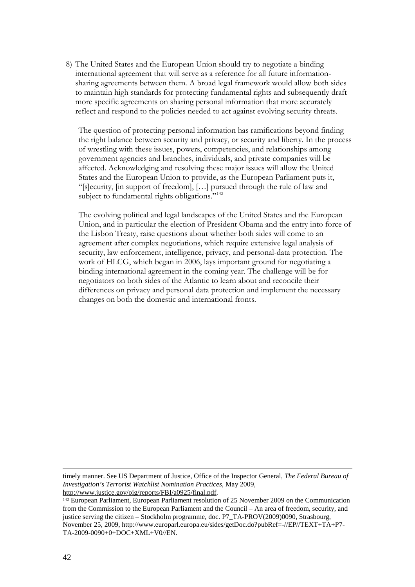8) The United States and the European Union should try to negotiate a binding international agreement that will serve as a reference for all future informationsharing agreements between them. A broad legal framework would allow both sides to maintain high standards for protecting fundamental rights and subsequently draft more specific agreements on sharing personal information that more accurately reflect and respond to the policies needed to act against evolving security threats.

The question of protecting personal information has ramifications beyond finding the right balance between security and privacy, or security and liberty. In the process of wrestling with these issues, powers, competencies, and relationships among government agencies and branches, individuals, and private companies will be affected. Acknowledging and resolving these major issues will allow the United States and the European Union to provide, as the European Parliament puts it, "[s]ecurity, [in support of freedom], […] pursued through the rule of law and subject [to](#page-43-0) fundamental rights obligations."<sup>142</sup>

The evolving political and legal landscapes of the United States and the European Union, and in particular the election of President Obama and the entry into force of the Lisbon Treaty, raise questions about whether both sides will come to an agreement after complex negotiations, which require extensive legal analysis of security, law enforcement, intelligence, privacy, and personal-data protection. The work of HLCG, which began in 2006, lays important ground for negotiating a binding international agreement in the coming year. The challenge will be for negotiators on both sides of the Atlantic to learn about and reconcile their differences on privacy and personal data protection and implement the necessary changes on both the domestic and international fronts.

timely manner. See US Department of Justice, Office of the Inspector General, *The Federal Bureau of Investigation's Terrorist Watchlist Nomination Practices*, May 2009, [http://www.justice.gov/oig/reports/FBI/a0925/final.pdf.](http://www.justice.gov/oig/reports/FBI/a0925/final.pdf)

<span id="page-43-0"></span><sup>142</sup> European Parliament, European Parliament resolution of 25 November 2009 on the Communication from the Commission to the European Parliament and the Council – An area of freedom, security, and justice serving the citizen – Stockholm programme, doc. P7\_TA-PROV(2009)0090, Strasbourg, November 25, 2009[, http://www.europarl.europa.eu/sides/getDoc.do?pubRef=-//EP//TEXT+TA+P7-](http://www.europarl.europa.eu/sides/getDoc.do?pubRef=-//EP//TEXT+TA+P7-TA-2009-0090+0+DOC+XML+V0//EN) [TA-2009-0090+0+DOC+XML+V0//EN.](http://www.europarl.europa.eu/sides/getDoc.do?pubRef=-//EP//TEXT+TA+P7-TA-2009-0090+0+DOC+XML+V0//EN)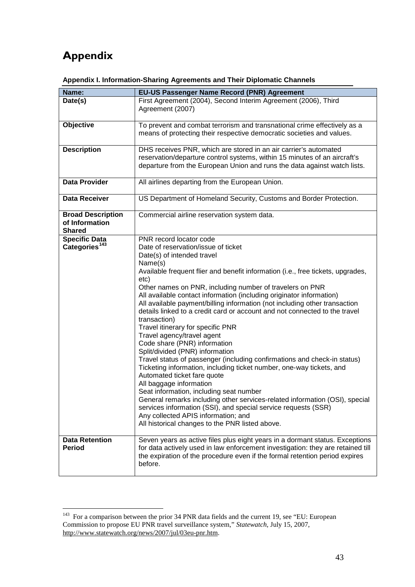# <span id="page-44-0"></span>**Appendix**

| Name:                                                       | EU-US Passenger Name Record (PNR) Agreement                                                                                                                                                                                                                                                                                                                                                                                                                                                                                                                                                                                                                                                                                                                                                                                                                                                                                                                                                                                                                                                                                                                  |
|-------------------------------------------------------------|--------------------------------------------------------------------------------------------------------------------------------------------------------------------------------------------------------------------------------------------------------------------------------------------------------------------------------------------------------------------------------------------------------------------------------------------------------------------------------------------------------------------------------------------------------------------------------------------------------------------------------------------------------------------------------------------------------------------------------------------------------------------------------------------------------------------------------------------------------------------------------------------------------------------------------------------------------------------------------------------------------------------------------------------------------------------------------------------------------------------------------------------------------------|
|                                                             | First Agreement (2004), Second Interim Agreement (2006), Third                                                                                                                                                                                                                                                                                                                                                                                                                                                                                                                                                                                                                                                                                                                                                                                                                                                                                                                                                                                                                                                                                               |
| Date(s)                                                     | Agreement (2007)                                                                                                                                                                                                                                                                                                                                                                                                                                                                                                                                                                                                                                                                                                                                                                                                                                                                                                                                                                                                                                                                                                                                             |
| Objective                                                   | To prevent and combat terrorism and transnational crime effectively as a<br>means of protecting their respective democratic societies and values.                                                                                                                                                                                                                                                                                                                                                                                                                                                                                                                                                                                                                                                                                                                                                                                                                                                                                                                                                                                                            |
| <b>Description</b>                                          | DHS receives PNR, which are stored in an air carrier's automated<br>reservation/departure control systems, within 15 minutes of an aircraft's<br>departure from the European Union and runs the data against watch lists.                                                                                                                                                                                                                                                                                                                                                                                                                                                                                                                                                                                                                                                                                                                                                                                                                                                                                                                                    |
| <b>Data Provider</b>                                        | All airlines departing from the European Union.                                                                                                                                                                                                                                                                                                                                                                                                                                                                                                                                                                                                                                                                                                                                                                                                                                                                                                                                                                                                                                                                                                              |
| <b>Data Receiver</b>                                        | US Department of Homeland Security, Customs and Border Protection.                                                                                                                                                                                                                                                                                                                                                                                                                                                                                                                                                                                                                                                                                                                                                                                                                                                                                                                                                                                                                                                                                           |
| <b>Broad Description</b><br>of Information<br><b>Shared</b> | Commercial airline reservation system data.                                                                                                                                                                                                                                                                                                                                                                                                                                                                                                                                                                                                                                                                                                                                                                                                                                                                                                                                                                                                                                                                                                                  |
| <b>Specific Data</b><br>Categories <sup>143</sup>           | PNR record locator code<br>Date of reservation/issue of ticket<br>Date(s) of intended travel<br>Name(s)<br>Available frequent flier and benefit information (i.e., free tickets, upgrades,<br>etc)<br>Other names on PNR, including number of travelers on PNR<br>All available contact information (including originator information)<br>All available payment/billing information (not including other transaction<br>details linked to a credit card or account and not connected to the travel<br>transaction)<br>Travel itinerary for specific PNR<br>Travel agency/travel agent<br>Code share (PNR) information<br>Split/divided (PNR) information<br>Travel status of passenger (including confirmations and check-in status)<br>Ticketing information, including ticket number, one-way tickets, and<br>Automated ticket fare quote<br>All baggage information<br>Seat information, including seat number<br>General remarks including other services-related information (OSI), special<br>services information (SSI), and special service requests (SSR)<br>Any collected APIS information; and<br>All historical changes to the PNR listed above. |
| <b>Data Retention</b><br><b>Period</b>                      | Seven years as active files plus eight years in a dormant status. Exceptions<br>for data actively used in law enforcement investigation: they are retained till<br>the expiration of the procedure even if the formal retention period expires<br>before.                                                                                                                                                                                                                                                                                                                                                                                                                                                                                                                                                                                                                                                                                                                                                                                                                                                                                                    |

| Appendix I. Information-Sharing Agreements and Their Diplomatic Channels |
|--------------------------------------------------------------------------|
|--------------------------------------------------------------------------|

<span id="page-44-1"></span><sup>&</sup>lt;sup>143</sup> For a comparison between the prior 34 PNR data fields and the current 19, see "EU: European Commission to propose EU PNR travel surveillance system," *Statewatch*, July 15, 2007, [http://www.statewatch.org/news/2007/jul/03eu-pnr.htm.](http://www.statewatch.org/news/2007/jul/03eu-pnr.htm)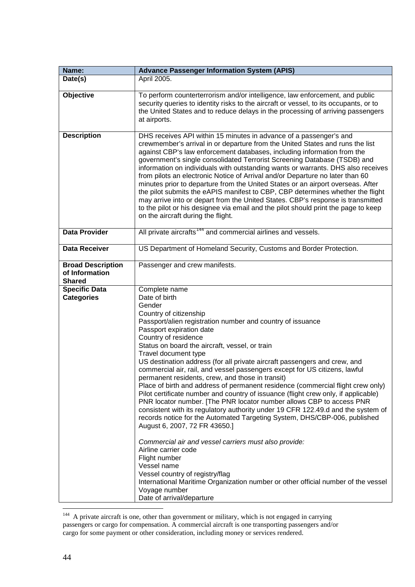| Name:                                                       | <b>Advance Passenger Information System (APIS)</b>                                                                                                                                                                                                                                                                                                                                                                                                                                                                                                                                                                                                                                                                                                                                                                                                                                                                                                                                                                                                                                                                                                                                                                      |
|-------------------------------------------------------------|-------------------------------------------------------------------------------------------------------------------------------------------------------------------------------------------------------------------------------------------------------------------------------------------------------------------------------------------------------------------------------------------------------------------------------------------------------------------------------------------------------------------------------------------------------------------------------------------------------------------------------------------------------------------------------------------------------------------------------------------------------------------------------------------------------------------------------------------------------------------------------------------------------------------------------------------------------------------------------------------------------------------------------------------------------------------------------------------------------------------------------------------------------------------------------------------------------------------------|
| Date(s)                                                     | April 2005.                                                                                                                                                                                                                                                                                                                                                                                                                                                                                                                                                                                                                                                                                                                                                                                                                                                                                                                                                                                                                                                                                                                                                                                                             |
| Objective                                                   | To perform counterterrorism and/or intelligence, law enforcement, and public<br>security queries to identity risks to the aircraft or vessel, to its occupants, or to<br>the United States and to reduce delays in the processing of arriving passengers<br>at airports.                                                                                                                                                                                                                                                                                                                                                                                                                                                                                                                                                                                                                                                                                                                                                                                                                                                                                                                                                |
| <b>Description</b>                                          | DHS receives API within 15 minutes in advance of a passenger's and<br>crewmember's arrival in or departure from the United States and runs the list<br>against CBP's law enforcement databases, including information from the<br>government's single consolidated Terrorist Screening Database (TSDB) and<br>information on individuals with outstanding wants or warrants. DHS also receives<br>from pilots an electronic Notice of Arrival and/or Departure no later than 60<br>minutes prior to departure from the United States or an airport overseas. After<br>the pilot submits the eAPIS manifest to CBP, CBP determines whether the flight<br>may arrive into or depart from the United States. CBP's response is transmitted<br>to the pilot or his designee via email and the pilot should print the page to keep<br>on the aircraft during the flight.                                                                                                                                                                                                                                                                                                                                                     |
| <b>Data Provider</b>                                        | All private aircrafts <sup>144</sup> and commercial airlines and vessels.                                                                                                                                                                                                                                                                                                                                                                                                                                                                                                                                                                                                                                                                                                                                                                                                                                                                                                                                                                                                                                                                                                                                               |
| <b>Data Receiver</b>                                        | US Department of Homeland Security, Customs and Border Protection.                                                                                                                                                                                                                                                                                                                                                                                                                                                                                                                                                                                                                                                                                                                                                                                                                                                                                                                                                                                                                                                                                                                                                      |
| <b>Broad Description</b><br>of Information<br><b>Shared</b> | Passenger and crew manifests.                                                                                                                                                                                                                                                                                                                                                                                                                                                                                                                                                                                                                                                                                                                                                                                                                                                                                                                                                                                                                                                                                                                                                                                           |
| <b>Specific Data</b><br><b>Categories</b>                   | Complete name<br>Date of birth<br>Gender<br>Country of citizenship<br>Passport/alien registration number and country of issuance<br>Passport expiration date<br>Country of residence<br>Status on board the aircraft, vessel, or train<br>Travel document type<br>US destination address (for all private aircraft passengers and crew, and<br>commercial air, rail, and vessel passengers except for US citizens, lawful<br>permanent residents, crew, and those in transit)<br>Place of birth and address of permanent residence (commercial flight crew only)<br>Pilot certificate number and country of issuance (flight crew only, if applicable)<br>PNR locator number. [The PNR locator number allows CBP to access PNR<br>consistent with its regulatory authority under 19 CFR 122.49.d and the system of<br>records notice for the Automated Targeting System, DHS/CBP-006, published<br>August 6, 2007, 72 FR 43650.]<br>Commercial air and vessel carriers must also provide:<br>Airline carrier code<br>Flight number<br>Vessel name<br>Vessel country of registry/flag<br>International Maritime Organization number or other official number of the vessel<br>Voyage number<br>Date of arrival/departure |

<span id="page-45-0"></span><sup>&</sup>lt;sup>144</sup> A private aircraft is one, other than government or military, which is not engaged in carrying passengers or cargo for compensation. A commercial aircraft is one transporting passengers and/or cargo for some payment or other consideration, including money or services rendered.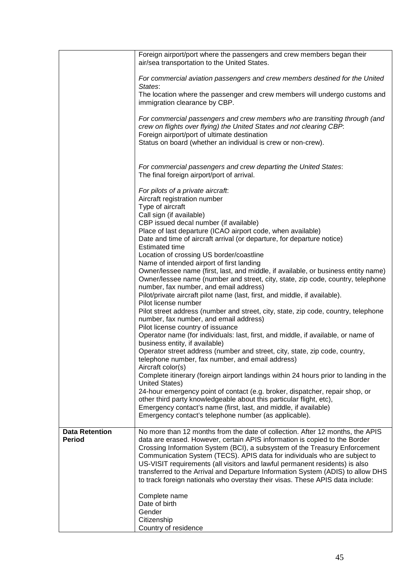|                                        | Foreign airport/port where the passengers and crew members began their<br>air/sea transportation to the United States.                                                                                                                                                                                                                                                                                                                                                                                                                                                    |
|----------------------------------------|---------------------------------------------------------------------------------------------------------------------------------------------------------------------------------------------------------------------------------------------------------------------------------------------------------------------------------------------------------------------------------------------------------------------------------------------------------------------------------------------------------------------------------------------------------------------------|
|                                        | For commercial aviation passengers and crew members destined for the United<br>States:                                                                                                                                                                                                                                                                                                                                                                                                                                                                                    |
|                                        | The location where the passenger and crew members will undergo customs and<br>immigration clearance by CBP.                                                                                                                                                                                                                                                                                                                                                                                                                                                               |
|                                        | For commercial passengers and crew members who are transiting through (and<br>crew on flights over flying) the United States and not clearing CBP:<br>Foreign airport/port of ultimate destination                                                                                                                                                                                                                                                                                                                                                                        |
|                                        | Status on board (whether an individual is crew or non-crew).                                                                                                                                                                                                                                                                                                                                                                                                                                                                                                              |
|                                        | For commercial passengers and crew departing the United States:<br>The final foreign airport/port of arrival.                                                                                                                                                                                                                                                                                                                                                                                                                                                             |
|                                        | For pilots of a private aircraft:<br>Aircraft registration number                                                                                                                                                                                                                                                                                                                                                                                                                                                                                                         |
|                                        | Type of aircraft<br>Call sign (if available)                                                                                                                                                                                                                                                                                                                                                                                                                                                                                                                              |
|                                        | CBP issued decal number (if available)<br>Place of last departure (ICAO airport code, when available)                                                                                                                                                                                                                                                                                                                                                                                                                                                                     |
|                                        | Date and time of aircraft arrival (or departure, for departure notice)<br><b>Estimated time</b>                                                                                                                                                                                                                                                                                                                                                                                                                                                                           |
|                                        | Location of crossing US border/coastline<br>Name of intended airport of first landing                                                                                                                                                                                                                                                                                                                                                                                                                                                                                     |
|                                        | Owner/lessee name (first, last, and middle, if available, or business entity name)<br>Owner/lessee name (number and street, city, state, zip code, country, telephone<br>number, fax number, and email address)                                                                                                                                                                                                                                                                                                                                                           |
|                                        | Pilot/private aircraft pilot name (last, first, and middle, if available).<br>Pilot license number                                                                                                                                                                                                                                                                                                                                                                                                                                                                        |
|                                        | Pilot street address (number and street, city, state, zip code, country, telephone<br>number, fax number, and email address)                                                                                                                                                                                                                                                                                                                                                                                                                                              |
|                                        | Pilot license country of issuance<br>Operator name (for individuals: last, first, and middle, if available, or name of<br>business entity, if available)                                                                                                                                                                                                                                                                                                                                                                                                                  |
|                                        | Operator street address (number and street, city, state, zip code, country,<br>telephone number, fax number, and email address)                                                                                                                                                                                                                                                                                                                                                                                                                                           |
|                                        | Aircraft color(s)<br>Complete itinerary (foreign airport landings within 24 hours prior to landing in the<br><b>United States)</b>                                                                                                                                                                                                                                                                                                                                                                                                                                        |
|                                        | 24-hour emergency point of contact (e.g. broker, dispatcher, repair shop, or<br>other third party knowledgeable about this particular flight, etc),                                                                                                                                                                                                                                                                                                                                                                                                                       |
|                                        | Emergency contact's name (first, last, and middle, if available)<br>Emergency contact's telephone number (as applicable).                                                                                                                                                                                                                                                                                                                                                                                                                                                 |
| <b>Data Retention</b><br><b>Period</b> | No more than 12 months from the date of collection. After 12 months, the APIS<br>data are erased. However, certain APIS information is copied to the Border<br>Crossing Information System (BCI), a subsystem of the Treasury Enforcement<br>Communication System (TECS). APIS data for individuals who are subject to<br>US-VISIT requirements (all visitors and lawful permanent residents) is also<br>transferred to the Arrival and Departure Information System (ADIS) to allow DHS<br>to track foreign nationals who overstay their visas. These APIS data include: |
|                                        | Complete name<br>Date of birth<br>Gender<br>Citizenship                                                                                                                                                                                                                                                                                                                                                                                                                                                                                                                   |
|                                        | Country of residence                                                                                                                                                                                                                                                                                                                                                                                                                                                                                                                                                      |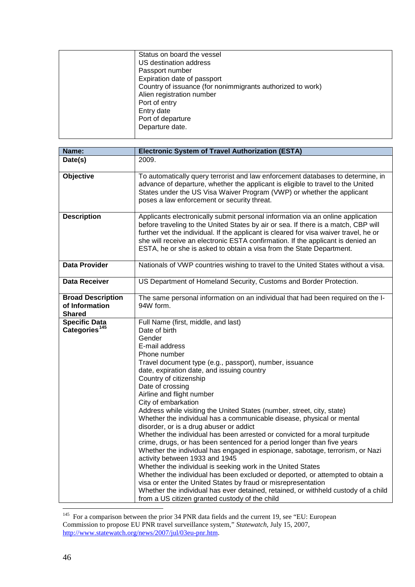| Status on board the vessel                                 |
|------------------------------------------------------------|
| US destination address                                     |
| Passport number                                            |
| Expiration date of passport                                |
| Country of issuance (for nonimmigrants authorized to work) |
| Alien registration number                                  |
| Port of entry                                              |
| Entry date                                                 |
| Port of departure                                          |
| Departure date.                                            |
|                                                            |

| Name:                                                       | <b>Electronic System of Travel Authorization (ESTA)</b>                                                                                                                                                                                                                                                                                                                                                                                                                                                                                                                                                                                                                                                                                                                                                                                                                                                                                                                                                                                                                                                                                          |
|-------------------------------------------------------------|--------------------------------------------------------------------------------------------------------------------------------------------------------------------------------------------------------------------------------------------------------------------------------------------------------------------------------------------------------------------------------------------------------------------------------------------------------------------------------------------------------------------------------------------------------------------------------------------------------------------------------------------------------------------------------------------------------------------------------------------------------------------------------------------------------------------------------------------------------------------------------------------------------------------------------------------------------------------------------------------------------------------------------------------------------------------------------------------------------------------------------------------------|
| Date(s)                                                     | 2009.                                                                                                                                                                                                                                                                                                                                                                                                                                                                                                                                                                                                                                                                                                                                                                                                                                                                                                                                                                                                                                                                                                                                            |
| <b>Objective</b>                                            | To automatically query terrorist and law enforcement databases to determine, in<br>advance of departure, whether the applicant is eligible to travel to the United<br>States under the US Visa Waiver Program (VWP) or whether the applicant<br>poses a law enforcement or security threat.                                                                                                                                                                                                                                                                                                                                                                                                                                                                                                                                                                                                                                                                                                                                                                                                                                                      |
| <b>Description</b>                                          | Applicants electronically submit personal information via an online application<br>before traveling to the United States by air or sea. If there is a match, CBP will<br>further vet the individual. If the applicant is cleared for visa waiver travel, he or<br>she will receive an electronic ESTA confirmation. If the applicant is denied an<br>ESTA, he or she is asked to obtain a visa from the State Department.                                                                                                                                                                                                                                                                                                                                                                                                                                                                                                                                                                                                                                                                                                                        |
| <b>Data Provider</b>                                        | Nationals of VWP countries wishing to travel to the United States without a visa.                                                                                                                                                                                                                                                                                                                                                                                                                                                                                                                                                                                                                                                                                                                                                                                                                                                                                                                                                                                                                                                                |
| <b>Data Receiver</b>                                        | US Department of Homeland Security, Customs and Border Protection.                                                                                                                                                                                                                                                                                                                                                                                                                                                                                                                                                                                                                                                                                                                                                                                                                                                                                                                                                                                                                                                                               |
| <b>Broad Description</b><br>of Information<br><b>Shared</b> | The same personal information on an individual that had been required on the I-<br>94W form.                                                                                                                                                                                                                                                                                                                                                                                                                                                                                                                                                                                                                                                                                                                                                                                                                                                                                                                                                                                                                                                     |
| <b>Specific Data</b><br>Categories <sup>145</sup>           | Full Name (first, middle, and last)<br>Date of birth<br>Gender<br>E-mail address<br>Phone number<br>Travel document type (e.g., passport), number, issuance<br>date, expiration date, and issuing country<br>Country of citizenship<br>Date of crossing<br>Airline and flight number<br>City of embarkation<br>Address while visiting the United States (number, street, city, state)<br>Whether the individual has a communicable disease, physical or mental<br>disorder, or is a drug abuser or addict<br>Whether the individual has been arrested or convicted for a moral turpitude<br>crime, drugs, or has been sentenced for a period longer than five years<br>Whether the individual has engaged in espionage, sabotage, terrorism, or Nazi<br>activity between 1933 and 1945<br>Whether the individual is seeking work in the United States<br>Whether the individual has been excluded or deported, or attempted to obtain a<br>visa or enter the United States by fraud or misrepresentation<br>Whether the individual has ever detained, retained, or withheld custody of a child<br>from a US citizen granted custody of the child |

<span id="page-47-0"></span><sup>&</sup>lt;sup>145</sup> For a comparison between the prior 34 PNR data fields and the current 19, see "EU: European Commission to propose EU PNR travel surveillance system," *Statewatch*, July 15, 2007, [http://www.statewatch.org/news/2007/jul/03eu-pnr.htm.](http://www.statewatch.org/news/2007/jul/03eu-pnr.htm)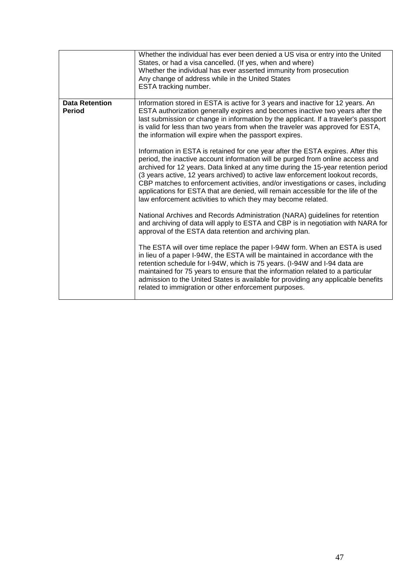|                                        | Whether the individual has ever been denied a US visa or entry into the United<br>States, or had a visa cancelled. (If yes, when and where)<br>Whether the individual has ever asserted immunity from prosecution<br>Any change of address while in the United States<br>ESTA tracking number.                                                                                                                                                                                                                                                                                                                                                                                                                                                                                                                                                                                                                                                                                                                                                                                                                                                                                                                                                                                                                                                                                                                                                                                                                                                                                                                                                                                                     |
|----------------------------------------|----------------------------------------------------------------------------------------------------------------------------------------------------------------------------------------------------------------------------------------------------------------------------------------------------------------------------------------------------------------------------------------------------------------------------------------------------------------------------------------------------------------------------------------------------------------------------------------------------------------------------------------------------------------------------------------------------------------------------------------------------------------------------------------------------------------------------------------------------------------------------------------------------------------------------------------------------------------------------------------------------------------------------------------------------------------------------------------------------------------------------------------------------------------------------------------------------------------------------------------------------------------------------------------------------------------------------------------------------------------------------------------------------------------------------------------------------------------------------------------------------------------------------------------------------------------------------------------------------------------------------------------------------------------------------------------------------|
| <b>Data Retention</b><br><b>Period</b> | Information stored in ESTA is active for 3 years and inactive for 12 years. An<br>ESTA authorization generally expires and becomes inactive two years after the<br>last submission or change in information by the applicant. If a traveler's passport<br>is valid for less than two years from when the traveler was approved for ESTA,<br>the information will expire when the passport expires.<br>Information in ESTA is retained for one year after the ESTA expires. After this<br>period, the inactive account information will be purged from online access and<br>archived for 12 years. Data linked at any time during the 15-year retention period<br>(3 years active, 12 years archived) to active law enforcement lookout records,<br>CBP matches to enforcement activities, and/or investigations or cases, including<br>applications for ESTA that are denied, will remain accessible for the life of the<br>law enforcement activities to which they may become related.<br>National Archives and Records Administration (NARA) guidelines for retention<br>and archiving of data will apply to ESTA and CBP is in negotiation with NARA for<br>approval of the ESTA data retention and archiving plan.<br>The ESTA will over time replace the paper I-94W form. When an ESTA is used<br>in lieu of a paper I-94W, the ESTA will be maintained in accordance with the<br>retention schedule for I-94W, which is 75 years. (I-94W and I-94 data are<br>maintained for 75 years to ensure that the information related to a particular<br>admission to the United States is available for providing any applicable benefits<br>related to immigration or other enforcement purposes. |
|                                        |                                                                                                                                                                                                                                                                                                                                                                                                                                                                                                                                                                                                                                                                                                                                                                                                                                                                                                                                                                                                                                                                                                                                                                                                                                                                                                                                                                                                                                                                                                                                                                                                                                                                                                    |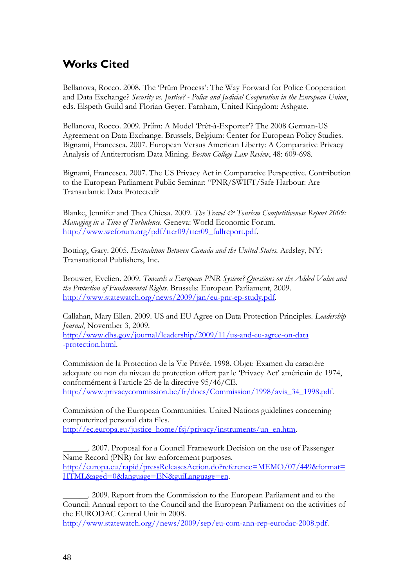## <span id="page-49-0"></span>**Works Cited**

Bellanova, Rocco. 2008. The 'Prüm Process': The Way Forward for Police Cooperation and Data Exchange? *Security vs. Justice? - Police and Judicial Cooperation in the European Union*, eds. Elspeth Guild and Florian Geyer. Farnham, United Kingdom: Ashgate.

Bellanova, Rocco. 2009. Prüm: A Model 'Prêt-à-Exporter'? The 2008 German-US Agreement on Data Exchange. Brussels, Belgium: Center for European Policy Studies. Bignami, Francesca. 2007. European Versus American Liberty: A Comparative Privacy Analysis of Antiterrorism Data Mining. *Boston College Law Review*, 48: 609-698.

Bignami, Francesca. 2007. The US Privacy Act in Comparative Perspective. Contribution to the European Parliament Public Seminar: "PNR/SWIFT/Safe Harbour: Are Transatlantic Data Protected?

Blanke, Jennifer and Thea Chiesa. 2009. *The Travel & Tourism Competitiveness Report 2009*: *Managing in a Time of Turbulence.* Geneva: World Economic Forum. [http://www.weforum.org/pdf/ttcr09/ttcr09\\_fullreport.pdf.](http://www.weforum.org/pdf/ttcr09/ttcr09_fullreport.pdf)

Botting, Gary. 2005. *Extradition Between Canada and the United States*. Ardsley, NY: Transnational Publishers, Inc.

Brouwer, Evelien. 2009. *Towards a European PNR System? Questions on the Added Value and the Protection of Fundamental Rights.* Brussels: European Parliament, 2009. [http://www.statewatch.org/news/2009/jan/eu-pnr-ep-study.pdf.](http://www.statewatch.org/news/2009/jan/eu-pnr-ep-study.pdf)

Callahan, Mary Ellen. 2009. US and EU Agree on Data Protection Principles. *Leadership Journal*, November 3, 2009.

[http://www.dhs.gov/journal/leadership/2009/11/us-and-eu-agree-on-data](http://www.dhs.gov/journal/leadership/2009/11/us-and-eu-agree-on-data-protection.html) [-protection.html.](http://www.dhs.gov/journal/leadership/2009/11/us-and-eu-agree-on-data-protection.html)

Commission de la Protection de la Vie Privée. 1998. Objet: Examen du caractère adequate ou non du niveau de protection offert par le 'Privacy Act' américain de 1974, conformément à l'article 25 de la directive 95/46/CE. [http://www.privacycommission.be/fr/docs/Commission/1998/avis\\_34\\_1998.pdf.](http://www.privacycommission.be/fr/docs/Commission/1998/avis_34_1998.pdf)

Commission of the European Communities. United Nations guidelines concerning computerized personal data files. [http://ec.europa.eu/justice\\_home/fsj/privacy/instruments/un\\_en.htm.](http://ec.europa.eu/justice_home/fsj/privacy/instruments/un_en.htm)

\_\_\_\_\_\_. 2007. Proposal for a Council Framework Decision on the use of Passenger Name Record (PNR) for law enforcement purposes. [http://europa.eu/rapid/pressReleasesAction.do?reference=MEMO/07/449&format=](http://europa.eu/rapid/pressReleasesAction.do?reference=MEMO/07/449&format=HTML&aged=0&language=EN&guiLanguage=en) [HTML&aged=0&language=EN&guiLanguage=en.](http://europa.eu/rapid/pressReleasesAction.do?reference=MEMO/07/449&format=HTML&aged=0&language=EN&guiLanguage=en)

\_\_\_\_\_\_. 2009. Report from the Commission to the European Parliament and to the Council: Annual report to the Council and the European Parliament on the activities of the EURODAC Central Unit in 2008.

[http://www.statewatch.org//news/2009/sep/eu-com-ann-rep-eurodac-2008.pdf.](http://www.statewatch.org/news/2009/sep/eu-com-ann-rep-eurodac-2008.pdf)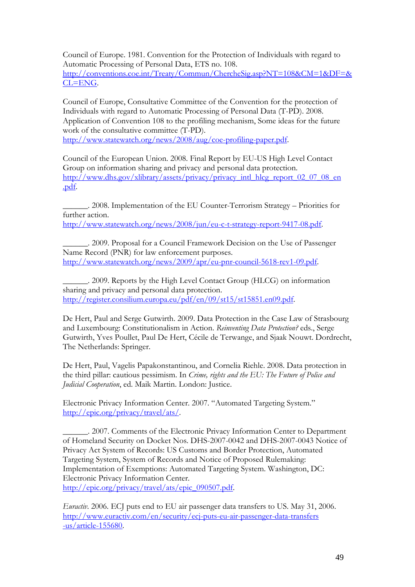Council of Europe. 1981. Convention for the Protection of Individuals with regard to Automatic Processing of Personal Data, ETS no. 108. [http://conventions.coe.int/Treaty/Commun/ChercheSig.asp?NT=108&CM=1&DF=&](http://conventions.coe.int/Treaty/Commun/ChercheSig.asp?NT=108&CM=1&DF=&CL=ENG) [CL=ENG.](http://conventions.coe.int/Treaty/Commun/ChercheSig.asp?NT=108&CM=1&DF=&CL=ENG)

Council of Europe, Consultative Committee of the Convention for the protection of Individuals with regard to Automatic Processing of Personal Data (T-PD). 2008. Application of Convention 108 to the profiling mechanism, Some ideas for the future work of the consultative committee (T-PD).

[http://www.statewatch.org/news/2008/aug/coe-profiling-paper.pdf.](http://www.statewatch.org/news/2008/aug/coe-profiling-paper.pdf)

Council of the European Union. 2008. Final Report by EU-US High Level Contact Group on information sharing and privacy and personal data protection. [http://www.dhs.gov/xlibrary/assets/privacy/privacy\\_intl\\_hlcg\\_report\\_02\\_07\\_08\\_en](http://www.dhs.gov/xlibrary/assets/privacy/privacy_intl_hlcg_report_02_07_08_en.pdf) [.pdf.](http://www.dhs.gov/xlibrary/assets/privacy/privacy_intl_hlcg_report_02_07_08_en.pdf)

\_\_\_\_\_\_. 2008. Implementation of the EU Counter-Terrorism Strategy – Priorities for further action.

[http://www.statewatch.org/news/2008/jun/eu-c-t-strategy-report-9417-08.pdf.](http://www.statewatch.org/news/2008/jun/eu-c-t-strategy-report-9417-08.pdf)

\_\_\_\_\_\_. 2009. Proposal for a Council Framework Decision on the Use of Passenger Name Record (PNR) for law enforcement purposes. [http://www.statewatch.org/news/2009/apr/eu-pnr-council-5618-rev1-09.pdf.](http://www.statewatch.org/news/2009/apr/eu-pnr-council-5618-rev1-09.pdf)

\_\_\_\_\_\_. 2009. Reports by the High Level Contact Group (HLCG) on information sharing and privacy and personal data protection. [http://register.consilium.europa.eu/pdf/en/09/st15/st15851.en09.pdf.](http://register.consilium.europa.eu/pdf/en/09/st15/st15851.en09.pdf)

De Hert, Paul and Serge Gutwirth. 2009. Data Protection in the Case Law of Strasbourg and Luxembourg: Constitutionalism in Action. *Reinventing Data Protection?* eds., Serge Gutwirth, Yves Poullet, Paul De Hert, Cécile de Terwange, and Sjaak Nouwt. Dordrecht, The Netherlands: Springer.

De Hert, Paul, Vagelis Papakonstantinou, and Cornelia Riehle. 2008. Data protection in the third pillar: cautious pessimism. In *Crime, rights and the EU: The Future of Police and Judicial Cooperation*, ed. Maik Martin. London: Justice.

Electronic Privacy Information Center. 2007. "Automated Targeting System." [http://epic.org/privacy/travel/ats/.](http://epic.org/privacy/travel/ats/)

\_\_\_\_\_\_. 2007. Comments of the Electronic Privacy Information Center to Department of Homeland Security on Docket Nos. DHS-2007-0042 and DHS-2007-0043 Notice of Privacy Act System of Records: US Customs and Border Protection, Automated Targeting System, System of Records and Notice of Proposed Rulemaking: Implementation of Exemptions: Automated Targeting System. Washington, DC: Electronic Privacy Information Center.

[http://epic.org/privacy/travel/ats/epic\\_090507.pdf.](http://epic.org/privacy/travel/ats/epic_090507.pdf)

*Euractiv*. 2006. ECJ puts end to EU air passenger data transfers to US. May 31, 2006. [http://www.euractiv.com/en/security/ecj-puts-eu-air-passenger-data-transfers](http://www.euractiv.com/en/security/ecj-puts-eu-air-passenger-data-transfers-us/article-155680) [-us/article-155680.](http://www.euractiv.com/en/security/ecj-puts-eu-air-passenger-data-transfers-us/article-155680)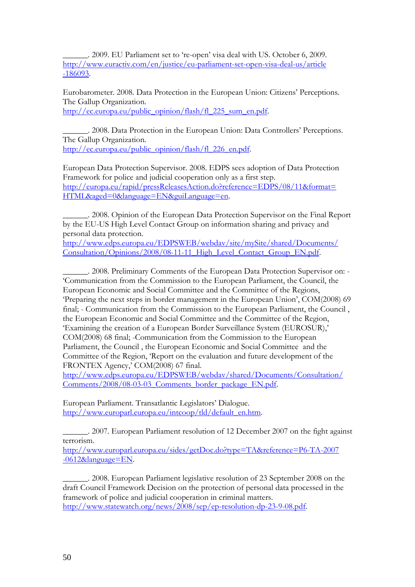\_\_\_\_\_\_. 2009. EU Parliament set to 're-open' visa deal with US. October 6, 2009. [http://www.euractiv.com/en/justice/eu-parliament-set-open-visa-deal-us/article](http://www.euractiv.com/en/justice/eu-parliament-set-open-visa-deal-us/article-186093) [-186093.](http://www.euractiv.com/en/justice/eu-parliament-set-open-visa-deal-us/article-186093)

Eurobarometer. 2008. Data Protection in the European Union: Citizens' Perceptions. The Gallup Organization. [http://ec.europa.eu/public\\_opinion/flash/fl\\_225\\_sum\\_en.pdf.](http://ec.europa.eu/public_opinion/flash/fl_225_sum_en.pdf)

\_\_\_\_\_\_. 2008. Data Protection in the European Union: Data Controllers' Perceptions. The Gallup Organization. [http://ec.europa.eu/public\\_opinion/flash/fl\\_226\\_en.pdf.](http://ec.europa.eu/public_opinion/flash/fl_226_en.pdf)

European Data Protection Supervisor. 2008. EDPS sees adoption of Data Protection Framework for police and judicial cooperation only as a first step. [http://europa.eu/rapid/pressReleasesAction.do?reference=EDPS/08/11&format=](http://europa.eu/rapid/pressReleasesAction.do?reference=EDPS/08/11&format=HTML&aged=0&language=EN&guiLanguage=en) [HTML&aged=0&language=EN&guiLanguage=en.](http://europa.eu/rapid/pressReleasesAction.do?reference=EDPS/08/11&format=HTML&aged=0&language=EN&guiLanguage=en)

\_\_\_\_\_\_. 2008. Opinion of the European Data Protection Supervisor on the Final Report by the EU-US High Level Contact Group on information sharing and privacy and personal data protection.

[http://www.edps.europa.eu/EDPSWEB/webdav/site/mySite/shared/Documents/](http://www.edps.europa.eu/EDPSWEB/webdav/site/mySite/shared/Documents/Consultation/Opinions/2008/08-11-11_High_Level_Contact_Group_EN.pdf) [Consultation/Opinions/2008/08-11-11\\_High\\_Level\\_Contact\\_Group\\_EN.pdf.](http://www.edps.europa.eu/EDPSWEB/webdav/site/mySite/shared/Documents/Consultation/Opinions/2008/08-11-11_High_Level_Contact_Group_EN.pdf)

\_\_\_\_\_\_. 2008. Preliminary Comments of the European Data Protection Supervisor on: - 'Communication from the Commission to the European Parliament, the Council, the European Economic and Social Committee and the Committee of the Regions, 'Preparing the next steps in border management in the European Union', COM(2008) 69 final; - Communication from the Commission to the European Parliament, the Council , the European Economic and Social Committee and the Committee of the Region, 'Examining the creation of a European Border Surveillance System (EUROSUR),' COM(2008) 68 final; -Communication from the Commission to the European Parliament, the Council , the European Economic and Social Committee and the Committee of the Region, 'Report on the evaluation and future development of the FRONTEX Agency,' COM(2008) 67 final.

[http://www.edps.europa.eu/EDPSWEB/webdav/shared/Documents/Consultation/](http://www.edps.europa.eu/EDPSWEB/webdav/shared/Documents/Consultation/Comments/2008/08-03-03_Comments_border_package_EN.pdf) [Comments/2008/08-03-03\\_Comments\\_border\\_package\\_EN.pdf.](http://www.edps.europa.eu/EDPSWEB/webdav/shared/Documents/Consultation/Comments/2008/08-03-03_Comments_border_package_EN.pdf)

European Parliament. Transatlantic Legislators' Dialogue. [http://www.europarl.europa.eu/intcoop/tld/default\\_en.htm.](http://www.europarl.europa.eu/intcoop/tld/default_en.htm)

\_\_\_\_\_\_. 2007. European Parliament resolution of 12 December 2007 on the fight against terrorism.

[http://www.europarl.europa.eu/sides/getDoc.do?type=TA&reference=P6-TA-2007](http://www.europarl.europa.eu/sides/getDoc.do?type=TA&reference=P6-TA-2007-0612&language=EN) [-0612&language=EN.](http://www.europarl.europa.eu/sides/getDoc.do?type=TA&reference=P6-TA-2007-0612&language=EN)

\_\_\_\_\_\_. 2008. European Parliament legislative resolution of 23 September 2008 on the draft Council Framework Decision on the protection of personal data processed in the framework of police and judicial cooperation in criminal matters. [http://www.statewatch.org/news/2008/sep/ep-resolution-dp-23-9-08.pdf.](http://www.statewatch.org/news/2008/sep/ep-resolution-dp-23-9-08.pdf)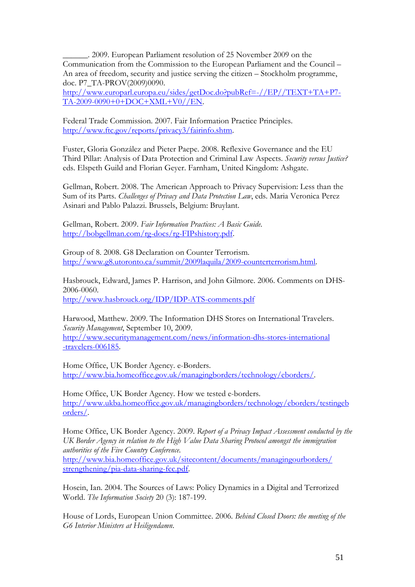\_\_\_\_\_\_. 2009. European Parliament resolution of 25 November 2009 on the Communication from the Commission to the European Parliament and the Council – An area of freedom, security and justice serving the citizen – Stockholm programme, doc. P7\_TA-PROV(2009)0090.

[http://www.europarl.europa.eu/sides/getDoc.do?pubRef=-//EP//TEXT+TA+P7-](http://www.europarl.europa.eu/sides/getDoc.do?pubRef=-//EP//TEXT+TA+P7-TA-2009-0090+0+DOC+XML+V0//EN) [TA-2009-0090+0+DOC+XML+V0//EN.](http://www.europarl.europa.eu/sides/getDoc.do?pubRef=-//EP//TEXT+TA+P7-TA-2009-0090+0+DOC+XML+V0//EN)

Federal Trade Commission. 2007. Fair Information Practice Principles. [http://www.ftc.gov/reports/privacy3/fairinfo.shtm.](http://www.ftc.gov/reports/privacy3/fairinfo.shtm)

Fuster, Gloria González and Pieter Paepe. 2008. Reflexive Governance and the EU Third Pillar: Analysis of Data Protection and Criminal Law Aspects. *Security versus Justice?*  eds. Elspeth Guild and Florian Geyer. Farnham, United Kingdom: Ashgate.

Gellman, Robert. 2008. The American Approach to Privacy Supervision: Less than the Sum of its Parts. *Challenges of Privacy and Data Protection Law*, eds. Maria Veronica Perez Asinari and Pablo Palazzi. Brussels, Belgium: Bruylant.

Gellman, Robert. 2009. *Fair Information Practices: A Basic Guide*. [http://bobgellman.com/rg-docs/rg-FIPshistory.pdf.](http://bobgellman.com/rg-docs/rg-FIPshistory.pdf)

Group of 8. 2008. G8 Declaration on Counter Terrorism. [http://www.g8.utoronto.ca/summit/2009laquila/2009-counterterrorism.html.](http://www.g8.utoronto.ca/summit/2009laquila/2009-counterterrorism.html)

Hasbrouck, Edward, James P. Harrison, and John Gilmore. 2006. Comments on DHS-2006-0060. <http://www.hasbrouck.org/IDP/IDP-ATS-comments.pdf>

Harwood, Matthew. 2009. The Information DHS Stores on International Travelers. *Security Management*, September 10, 2009. [http://www.securitymanagement.com/news/information-dhs-stores-international](http://www.securitymanagement.com/news/information-dhs-stores-international-travelers-006185) [-travelers-006185.](http://www.securitymanagement.com/news/information-dhs-stores-international-travelers-006185)

Home Office, UK Border Agency. e-Borders. [http://www.bia.homeoffice.gov.uk/managingborders/technology/eborders/.](http://www.bia.homeoffice.gov.uk/managingborders/technology/eborders/)

Home Office, UK Border Agency. How we tested e-borders. [http://www.ukba.homeoffice.gov.uk/managingborders/technology/eborders/testingeb](http://www.ukba.homeoffice.gov.uk/managingborders/technology/eborders/testingeborders/) [orders/.](http://www.ukba.homeoffice.gov.uk/managingborders/technology/eborders/testingeborders/)

Home Office, UK Border Agency. 2009. *Report of a Privacy Impact Assessment conducted by the UK Border Agency in relation to the High Value Data Sharing Protocol amongst the immigration authorities of the Five Country Conference*. [http://www.bia.homeoffice.gov.uk/sitecontent/documents/managingourborders/](http://www.bia.homeoffice.gov.uk/sitecontent/documents/managingourborders/strengthening/pia-data-sharing-fcc.pdf) [strengthening/pia-data-sharing-fcc.pdf.](http://www.bia.homeoffice.gov.uk/sitecontent/documents/managingourborders/strengthening/pia-data-sharing-fcc.pdf)

Hosein, Ian. 2004. The Sources of Laws: Policy Dynamics in a Digital and Terrorized World. *The Information Society* 20 (3): 187-199.

House of Lords, European Union Committee. 2006. *Behind Closed Doors: the meeting of the G6 Interior Ministers at Heiligendamn*.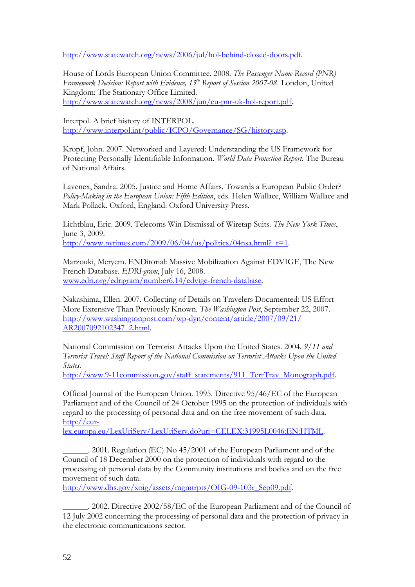[http://www.statewatch.org/news/2006/jul/hol-behind-closed-doors.pdf.](http://www.statewatch.org/news/2006/jul/hol-behind-closed-doors.pdf)

House of Lords European Union Committee. 2008. *The Passenger Name Record (PNR) Framework Decision: Report with Evidence, 15th Report of Session 2007-08*. London, United Kingdom: The Stationary Office Limited. [http://www.statewatch.org/news/2008/jun/eu-pnr-uk-hol-report.pdf.](http://www.statewatch.org/news/2008/jun/eu-pnr-uk-hol-report.pdf)

Interpol. A brief history of INTERPOL. [http://www.interpol.int/public/ICPO/Governance/SG/history.asp.](http://www.interpol.int/public/ICPO/Governance/SG/history.asp)

Kropf, John. 2007. Networked and Layered: Understanding the US Framework for Protecting Personally Identifiable Information. *World Data Protection Report.* The Bureau of National Affairs.

Lavenex, Sandra. 2005. Justice and Home Affairs. Towards a European Public Order? *Policy-Making in the European Union: Fifth Edition*, eds. Helen Wallace, William Wallace and Mark Pollack. Oxford, England: Oxford University Press.

Lichtblau, Eric. 2009. Telecoms Win Dismissal of Wiretap Suits. *The New York Times*, June 3, 2009. http://www.nytimes.com/2009/06/04/us/politics/04nsa.html? $r=1$ .

Marzouki, Meryem. ENDitorial: Massive Mobilization Against EDVIGE, The New French Database. *EDRI-gram*, July 16, 2008. [www.edri.org/edrigram/number6.14/edvige-french-database.](http://www.edri.org/edrigram/number6.14/edvige-french-database)

Nakashima, Ellen. 2007. Collecting of Details on Travelers Documented: US Effort More Extensive Than Previously Known. *The Washington Post*, September 22, 2007. [http://www.washingtonpost.com/wp-dyn/content/article/2007/09/21/](http://www.washingtonpost.com/wp-dyn/content/article/2007/09/21/AR2007092102347_2.html) [AR2007092102347\\_2.html.](http://www.washingtonpost.com/wp-dyn/content/article/2007/09/21/AR2007092102347_2.html)

National Commission on Terrorist Attacks Upon the United States. 2004. *9/11 and Terrorist Travel: Staff Report of the National Commission on Terrorist Attacks Upon the United States*.

[http://www.9-11commission.gov/staff\\_statements/911\\_TerrTrav\\_Monograph.pdf.](http://www.9-11commission.gov/staff_statements/911_TerrTrav_Monograph.pdf)

Official Journal of the European Union. 1995. Directive 95/46/EC of the European Parliament and of the Council of 24 October 1995 on the protection of individuals with regard to the processing of personal data and on the free movement of such data. [http://eur-](http://eur-lex.europa.eu/LexUriServ/LexUriServ.do?uri=CELEX:31995L0046:EN:HTML)

[lex.europa.eu/LexUriServ/LexUriServ.do?uri=CELEX:31995L0046:EN:HTML.](http://eur-lex.europa.eu/LexUriServ/LexUriServ.do?uri=CELEX:31995L0046:EN:HTML)

\_\_\_\_\_\_. 2001. Regulation (EC) No 45/2001 of the European Parliament and of the Council of 18 December 2000 on the protection of individuals with regard to the processing of personal data by the Community institutions and bodies and on the free movement of such data.

[http://www.dhs.gov/xoig/assets/mgmtrpts/OIG-09-103r\\_Sep09.pdf.](http://www.dhs.gov/xoig/assets/mgmtrpts/OIG-09-103r_Sep09.pdf)

\_\_\_\_\_\_. 2002. Directive 2002/58/EC of the European Parliament and of the Council of 12 July 2002 concerning the processing of personal data and the protection of privacy in the electronic communications sector.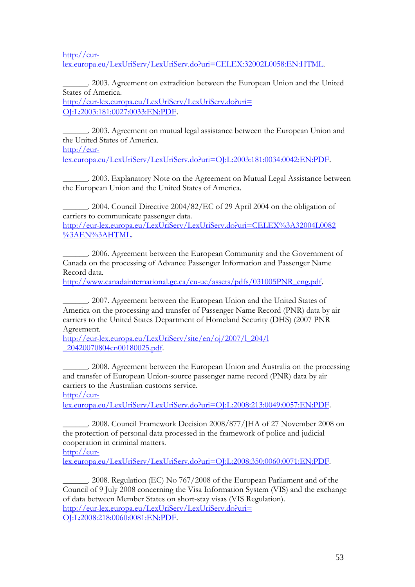[http://eur](http://eur-lex.europa.eu/LexUriServ/LexUriServ.do?uri=CELEX:32002L0058:EN:HTML)[lex.europa.eu/LexUriServ/LexUriServ.do?uri=CELEX:32002L0058:EN:HTML.](http://eur-lex.europa.eu/LexUriServ/LexUriServ.do?uri=CELEX:32002L0058:EN:HTML)

\_\_\_\_\_\_. 2003. Agreement on extradition between the European Union and the United States of America.

[http://eur-lex.europa.eu/LexUriServ/LexUriServ.do?uri=](http://eur-lex.europa.eu/LexUriServ/LexUriServ.do?uri=OJ:L:2003:181:0027:0033:EN:PDF) [OJ:L:2003:181:0027:0033:EN:PDF](http://eur-lex.europa.eu/LexUriServ/LexUriServ.do?uri=OJ:L:2003:181:0027:0033:EN:PDF).

\_\_\_\_\_\_. 2003. Agreement on mutual legal assistance between the European Union and the United States of America. [http://eur-](http://eur-lex.europa.eu/LexUriServ/LexUriServ.do?uri=OJ:L:2003:181:0034:0042:EN:PDF)

[lex.europa.eu/LexUriServ/LexUriServ.do?uri=OJ:L:2003:181:0034:0042:EN:PDF](http://eur-lex.europa.eu/LexUriServ/LexUriServ.do?uri=OJ:L:2003:181:0034:0042:EN:PDF).

\_\_\_\_\_\_. 2003. Explanatory Note on the Agreement on Mutual Legal Assistance between the European Union and the United States of America.

\_\_\_\_\_\_. 2004. Council Directive 2004/82/EC of 29 April 2004 on the obligation of carriers to communicate passenger data. [http://eur-lex.europa.eu/LexUriServ/LexUriServ.do?uri=CELEX%3A32004L0082](http://eur-lex.europa.eu/LexUriServ/LexUriServ.do?uri=CELEX%3A32004L0082%3AEN%3AHTML) [%3AEN%3AHTML.](http://eur-lex.europa.eu/LexUriServ/LexUriServ.do?uri=CELEX%3A32004L0082%3AEN%3AHTML)

\_\_\_\_\_\_. 2006. Agreement between the European Community and the Government of Canada on the processing of Advance Passenger Information and Passenger Name Record data.

[http://www.canadainternational.gc.ca/eu-ue/assets/pdfs/031005PNR\\_eng.pdf.](http://www.canadainternational.gc.ca/eu-ue/assets/pdfs/031005PNR_eng.pdf)

\_\_\_\_\_\_. 2007. Agreement between the European Union and the United States of America on the processing and transfer of Passenger Name Record (PNR) data by air carriers to the United States Department of Homeland Security (DHS) (2007 PNR Agreement.

[http://eur-lex.europa.eu/LexUriServ/site/en/oj/2007/l\\_204/l](http://eur-lex.europa.eu/LexUriServ/site/en/oj/2007/l_204/l_20420070804en00180025.pdf) [\\_20420070804en00180025.pdf.](http://eur-lex.europa.eu/LexUriServ/site/en/oj/2007/l_204/l_20420070804en00180025.pdf)

\_\_\_\_\_\_. 2008. Agreement between the European Union and Australia on the processing and transfer of European Union-source passenger name record (PNR) data by air carriers to the Australian customs service.

[http://eur-](http://eur-lex.europa.eu/LexUriServ/LexUriServ.do?uri=OJ:L:2008:213:0049:0057:EN:PDF)

[lex.europa.eu/LexUriServ/LexUriServ.do?uri=OJ:L:2008:213:0049:0057:EN:PDF](http://eur-lex.europa.eu/LexUriServ/LexUriServ.do?uri=OJ:L:2008:213:0049:0057:EN:PDF).

\_\_\_\_\_\_. 2008. Council Framework Decision 2008/877/JHA of 27 November 2008 on the protection of personal data processed in the framework of police and judicial cooperation in criminal matters.

[http://eur-](http://eur-lex.europa.eu/LexUriServ/LexUriServ.do?uri=OJ:L:2008:350:0060:0071:EN:PDF)

[lex.europa.eu/LexUriServ/LexUriServ.do?uri=OJ:L:2008:350:0060:0071:EN:PDF.](http://eur-lex.europa.eu/LexUriServ/LexUriServ.do?uri=OJ:L:2008:350:0060:0071:EN:PDF)

\_\_\_\_\_\_. 2008. Regulation (EC) No 767/2008 of the European Parliament and of the Council of 9 July 2008 concerning the Visa Information System (VIS) and the exchange of data between Member States on short-stay visas (VIS Regulation). [http://eur-lex.europa.eu/LexUriServ/LexUriServ.do?uri=](http://eur-lex.europa.eu/LexUriServ/LexUriServ.do?uri=OJ:L:2008:218:0060:0081:EN:PDF) [OJ:L:2008:218:0060:0081:EN:PDF.](http://eur-lex.europa.eu/LexUriServ/LexUriServ.do?uri=OJ:L:2008:218:0060:0081:EN:PDF)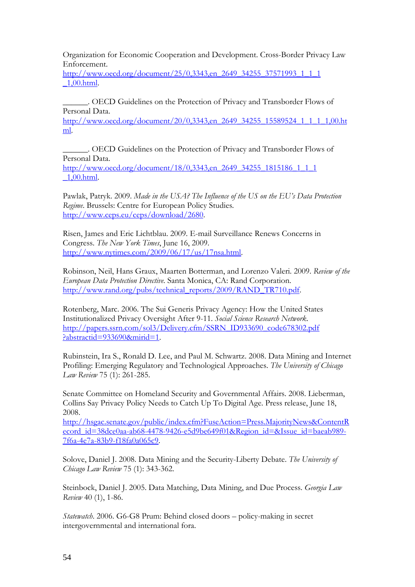Organization for Economic Cooperation and Development. Cross-Border Privacy Law Enforcement.

[http://www.oecd.org/document/25/0,3343,en\\_2649\\_34255\\_37571993\\_1\\_1\\_1](http://www.oecd.org/document/25/0,3343,en_2649_34255_37571993_1_1_1_1,00.html) [\\_1,00.html.](http://www.oecd.org/document/25/0,3343,en_2649_34255_37571993_1_1_1_1,00.html)

\_\_\_\_\_\_. OECD Guidelines on the Protection of Privacy and Transborder Flows of Personal Data.

[http://www.oecd.org/document/20/0,3343,en\\_2649\\_34255\\_15589524\\_1\\_1\\_1\\_1,00.ht](http://www.oecd.org/document/20/0,3343,en_2649_34255_15589524_1_1_1_1,00.html) [ml.](http://www.oecd.org/document/20/0,3343,en_2649_34255_15589524_1_1_1_1,00.html)

\_\_\_\_\_\_. OECD Guidelines on the Protection of Privacy and Transborder Flows of Personal Data. [http://www.oecd.org/document/18/0,3343,en\\_2649\\_34255\\_1815186\\_1\\_1\\_1](http://www.oecd.org/document/18/0,3343,en_2649_34255_1815186_1_1_1_1,00.html) [\\_1,00.html.](http://www.oecd.org/document/18/0,3343,en_2649_34255_1815186_1_1_1_1,00.html)

Pawlak, Patryk. 2009. *Made in the USA? The Influence of the US on the EU's Data Protection Regime*. Brussels: Centre for European Policy Studies. [http://www.ceps.eu/ceps/download/2680.](http://www.ceps.eu/ceps/download/2680)

Risen, James and Eric Lichtblau. 2009. E-mail Surveillance Renews Concerns in Congress. *The New York Times*, June 16, 2009. [http://www.nytimes.com/2009/06/17/us/17nsa.html.](http://www.nytimes.com/2009/06/17/us/17nsa.html)

Robinson, Neil, Hans Graux, Maarten Botterman, and Lorenzo Valeri. 2009. *Review of the European Data Protection Directive*. Santa Monica, CA: Rand Corporation. [http://www.rand.org/pubs/technical\\_reports/2009/RAND\\_TR710.pdf.](http://www.rand.org/pubs/technical_reports/2009/RAND_TR710.pdf)

Rotenberg, Marc. 2006. The Sui Generis Privacy Agency: How the United States Institutionalized Privacy Oversight After 9-11. *Social Science Research Network*. [http://papers.ssrn.com/sol3/Delivery.cfm/SSRN\\_ID933690\\_code678302.pdf](http://papers.ssrn.com/sol3/Delivery.cfm/SSRN_ID933690_code678302.pdf?abstractid=933690&mirid=1) [?abstractid=933690&mirid=1.](http://papers.ssrn.com/sol3/Delivery.cfm/SSRN_ID933690_code678302.pdf?abstractid=933690&mirid=1)

Rubinstein, Ira S., Ronald D. Lee, and Paul M. Schwartz. 2008. Data Mining and Internet Profiling: Emerging Regulatory and Technological Approaches. *The University of Chicago Law Review* 75 (1): 261-285.

Senate Committee on Homeland Security and Governmental Affairs. 2008. Lieberman, Collins Say Privacy Policy Needs to Catch Up To Digital Age. Press release, June 18, 2008.

[http://hsgac.senate.gov/public/index.cfm?FuseAction=Press.MajorityNews&ContentR](http://hsgac.senate.gov/public/index.cfm?FuseAction=Press.MajorityNews&ContentRecord_id=38dce0aa-ab68-4478-9426-e5d9be649f01&Region_id=&Issue_id=baeab989-7f6a-4e7a-83b9-f18fa0a065c9) [ecord\\_id=38dce0aa-ab68-4478-9426-e5d9be649f01&Region\\_id=&Issue\\_id=baeab989-](http://hsgac.senate.gov/public/index.cfm?FuseAction=Press.MajorityNews&ContentRecord_id=38dce0aa-ab68-4478-9426-e5d9be649f01&Region_id=&Issue_id=baeab989-7f6a-4e7a-83b9-f18fa0a065c9) [7f6a-4e7a-83b9-f18fa0a065c9.](http://hsgac.senate.gov/public/index.cfm?FuseAction=Press.MajorityNews&ContentRecord_id=38dce0aa-ab68-4478-9426-e5d9be649f01&Region_id=&Issue_id=baeab989-7f6a-4e7a-83b9-f18fa0a065c9)

Solove, Daniel J. 2008. Data Mining and the Security-Liberty Debate. *The University of Chicago Law Review* 75 (1): 343-362.

Steinbock, Daniel J. 2005. Data Matching, Data Mining, and Due Process. *Georgia Law Review* 40 (1), 1-86.

*Statewatch*. 2006. G6-G8 Prum: Behind closed doors – policy-making in secret intergovernmental and international fora.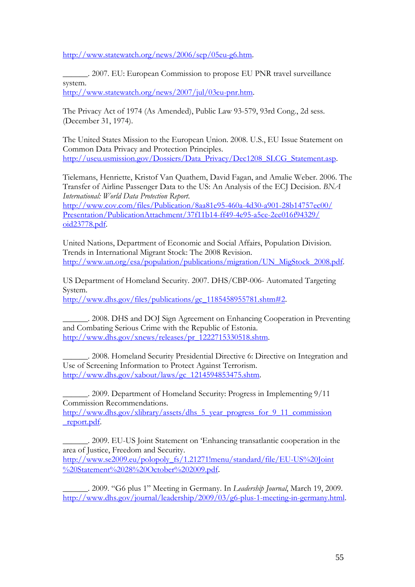[http://www.statewatch.org/news/2006/sep/05eu-g6.htm.](http://www.statewatch.org/news/2006/sep/05eu-g6.htm)

\_\_\_\_\_\_. 2007. EU: European Commission to propose EU PNR travel surveillance system. [http://www.statewatch.org/news/2007/jul/03eu-pnr.htm.](http://www.statewatch.org/news/2007/jul/03eu-pnr.htm)

The Privacy Act of 1974 (As Amended), Public Law 93-579, 93rd Cong., 2d sess. (December 31, 1974).

The United States Mission to the European Union. 2008. U.S., EU Issue Statement on Common Data Privacy and Protection Principles. [http://useu.usmission.gov/Dossiers/Data\\_Privacy/Dec1208\\_SLCG\\_Statement.asp.](http://useu.usmission.gov/Dossiers/Data_Privacy/Dec1208_SLCG_Statement.asp)

Tielemans, Henriette, Kristof Van Quathem, David Fagan, and Amalie Weber. 2006. The Transfer of Airline Passenger Data to the US: An Analysis of the ECJ Decision. *BNA International: World Data Protection Report*.

[http://www.cov.com/files/Publication/8aa81e95-460a-4d30-a901-28b14757ec00/](http://www.cov.com/files/Publication/8aa81e95-460a-4d30-a901-28b14757ec00/Presentation/PublicationAttachment/37f11b14-ff49-4e95-a5ce-2ee016f94329/oid23778.pdf) [Presentation/PublicationAttachment/37f11b14-ff49-4e95-a5ce-2ee016f94329/](http://www.cov.com/files/Publication/8aa81e95-460a-4d30-a901-28b14757ec00/Presentation/PublicationAttachment/37f11b14-ff49-4e95-a5ce-2ee016f94329/oid23778.pdf) [oid23778.pdf.](http://www.cov.com/files/Publication/8aa81e95-460a-4d30-a901-28b14757ec00/Presentation/PublicationAttachment/37f11b14-ff49-4e95-a5ce-2ee016f94329/oid23778.pdf)

United Nations, Department of Economic and Social Affairs, Population Division. Trends in International Migrant Stock: The 2008 Revision. [http://www.un.org/esa/population/publications/migration/UN\\_MigStock\\_2008.pdf.](http://www.un.org/esa/population/publications/migration/UN_MigStock_2008.pdf)

US Department of Homeland Security. 2007. DHS/CBP-006- Automated Targeting System. [http://www.dhs.gov/files/publications/gc\\_1185458955781.shtm#2.](http://www.dhs.gov/files/publications/gc_1185458955781.shtm#2)

\_\_\_\_\_\_. 2008. DHS and DOJ Sign Agreement on Enhancing Cooperation in Preventing and Combating Serious Crime with the Republic of Estonia. [http://www.dhs.gov/xnews/releases/pr\\_1222715330518.shtm.](http://www.dhs.gov/xnews/releases/pr_1222715330518.shtm)

\_\_\_\_\_\_. 2008. Homeland Security Presidential Directive 6: Directive on Integration and Use of Screening Information to Protect Against Terrorism. [http://www.dhs.gov/xabout/laws/gc\\_1214594853475.shtm.](http://www.dhs.gov/xabout/laws/gc_1214594853475.shtm)

\_\_\_\_\_\_. 2009. Department of Homeland Security: Progress in Implementing 9/11 Commission Recommendations.

[http://www.dhs.gov/xlibrary/assets/dhs\\_5\\_year\\_progress\\_for\\_9\\_11\\_commission](http://www.dhs.gov/xlibrary/assets/dhs_5_year_progress_for_9_11_commission_report.pdf) [\\_report.pdf.](http://www.dhs.gov/xlibrary/assets/dhs_5_year_progress_for_9_11_commission_report.pdf)

\_\_\_\_\_\_. 2009. EU-US Joint Statement on 'Enhancing transatlantic cooperation in the area of Justice, Freedom and Security. [http://www.se2009.eu/polopoly\\_fs/1.21271!menu/standard/file/EU-US%20Joint](http://www.se2009.eu/polopoly_fs/1.21271!menu/standard/file/EU-US%20Joint%20Statement%2028%20October%202009.pdf) [%20Statement%2028%20October%202009.pdf](http://www.se2009.eu/polopoly_fs/1.21271!menu/standard/file/EU-US%20Joint%20Statement%2028%20October%202009.pdf).

\_\_\_\_\_\_. 2009. "G6 plus 1" Meeting in Germany. In *Leadership Journal*, March 19, 2009. [http://www.dhs.gov/journal/leadership/2009/03/g6-plus-1-meeting-in-germany.html.](http://www.dhs.gov/journal/leadership/2009/03/g6-plus-1-meeting-in-germany.html)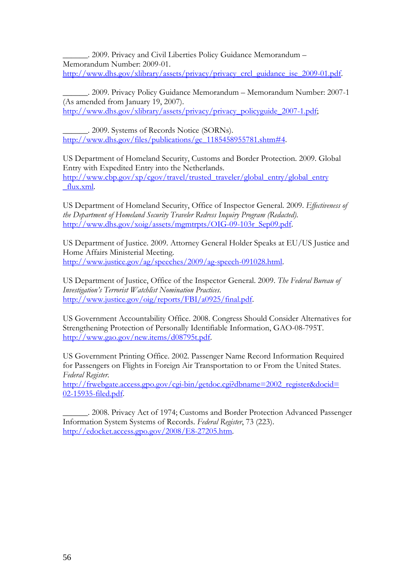\_\_\_\_\_\_. 2009. Privacy and Civil Liberties Policy Guidance Memorandum – Memorandum Number: 2009-01. [http://www.dhs.gov/xlibrary/assets/privacy/privacy\\_crcl\\_guidance\\_ise\\_2009-01.pdf.](http://www.dhs.gov/xlibrary/assets/privacy/privacy_crcl_guidance_ise_2009-01.pdf)

\_\_\_\_\_\_. 2009. Privacy Policy Guidance Memorandum – Memorandum Number: 2007-1 (As amended from January 19, 2007). [http://www.dhs.gov/xlibrary/assets/privacy/privacy\\_policyguide\\_2007-1.pdf;](http://www.dhs.gov/xlibrary/assets/privacy/privacy_policyguide_2007-1.pdf)

\_\_\_\_\_\_. 2009. Systems of Records Notice (SORNs). [http://www.dhs.gov/files/publications/gc\\_1185458955781.shtm#4.](http://www.dhs.gov/files/publications/gc_1185458955781.shtm#4)

US Department of Homeland Security, Customs and Border Protection. 2009. Global Entry with Expedited Entry into the Netherlands. [http://www.cbp.gov/xp/cgov/travel/trusted\\_traveler/global\\_entry/global\\_entry](http://www.cbp.gov/xp/cgov/travel/trusted_traveler/global_entry/global_entry_flux.xml) [\\_flux.xml.](http://www.cbp.gov/xp/cgov/travel/trusted_traveler/global_entry/global_entry_flux.xml)

US Department of Homeland Security, Office of Inspector General. 2009. *Effectiveness of the Department of Homeland Security Traveler Redress Inquiry Program (Redacted)*. [http://www.dhs.gov/xoig/assets/mgmtrpts/OIG-09-103r\\_Sep09.pdf.](http://www.dhs.gov/xoig/assets/mgmtrpts/OIG-09-103r_Sep09.pdf)

US Department of Justice. 2009. Attorney General Holder Speaks at EU/US Justice and Home Affairs Ministerial Meeting. [http://www.justice.gov/ag/speeches/2009/ag-speech-091028.html.](http://www.justice.gov/ag/speeches/2009/ag-speech-091028.html)

US Department of Justice, Office of the Inspector General. 2009. *The Federal Bureau of Investigation's Terrorist Watchlist Nomination Practices*. [http://www.justice.gov/oig/reports/FBI/a0925/final.pdf.](http://www.justice.gov/oig/reports/FBI/a0925/final.pdf)

US Government Accountability Office. 2008. Congress Should Consider Alternatives for Strengthening Protection of Personally Identifiable Information, GAO-08-795T. [http://www.gao.gov/new.items/d08795t.pdf.](http://www.gao.gov/new.items/d08795t.pdf)

US Government Printing Office. 2002. Passenger Name Record Information Required for Passengers on Flights in Foreign Air Transportation to or From the United States. *Federal Register*.

[http://frwebgate.access.gpo.gov/cgi-bin/getdoc.cgi?dbname=2002\\_register&docid=](http://frwebgate.access.gpo.gov/cgi-bin/getdoc.cgi?dbname=2002_register&docid=02-15935-filed.pdf) [02-15935-filed.pdf.](http://frwebgate.access.gpo.gov/cgi-bin/getdoc.cgi?dbname=2002_register&docid=02-15935-filed.pdf)

\_\_\_\_\_\_. 2008. Privacy Act of 1974; Customs and Border Protection Advanced Passenger Information System Systems of Records. *Federal Register*, 73 (223). [http://edocket.access.gpo.gov/2008/E8-27205.htm.](http://edocket.access.gpo.gov/2008/E8-27205.htm)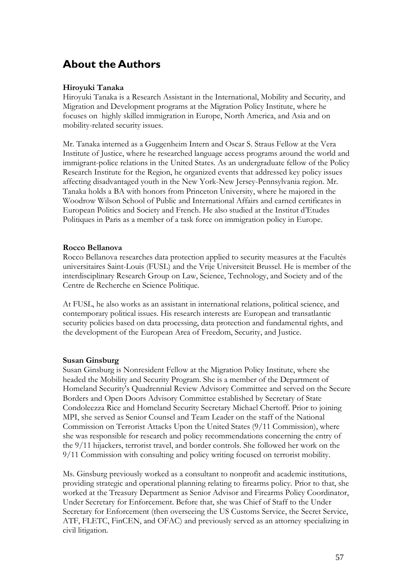## <span id="page-58-0"></span>**About the Authors**

### **Hiroyuki Tanaka**

Hiroyuki Tanaka is a Research Assistant in the International, Mobility and Security, and Migration and Development programs at the Migration Policy Institute, where he focuses on highly skilled immigration in Europe, North America, and Asia and on mobility-related security issues.

Mr. Tanaka interned as a Guggenheim Intern and Oscar S. Straus Fellow at the Vera Institute of Justice, where he researched language access programs around the world and immigrant-police relations in the United States. As an undergraduate fellow of the Policy Research Institute for the Region, he organized events that addressed key policy issues affecting disadvantaged youth in the New York-New Jersey-Pennsylvania region. Mr. Tanaka holds a BA with honors from Princeton University, where he majored in the Woodrow Wilson School of Public and International Affairs and earned certificates in European Politics and Society and French. He also studied at the Institut d'Etudes Politiques in Paris as a member of a task force on immigration policy in Europe.

### **Rocco Bellanova**

Rocco Bellanova researches data protection applied to security measures at the Facultés universitaires Saint-Louis (FUSL) and the Vrije Universiteit Brussel. He is member of the interdisciplinary Research Group on Law, Science, Technology, and Society and of the Centre de Recherche en Science Politique.

At FUSL, he also works as an assistant in international relations, political science, and contemporary political issues. His research interests are European and transatlantic security policies based on data processing, data protection and fundamental rights, and the development of the European Area of Freedom, Security, and Justice.

## **Susan Ginsburg**

Susan Ginsburg is Nonresident Fellow at the Migration Policy Institute, where she headed the Mobility and Security Program. She is a member of the Department of Homeland Security's Quadrennial Review Advisory Committee and served on the Secure Borders and Open Doors Advisory Committee established by Secretary of State Condoleezza Rice and Homeland Security Secretary Michael Chertoff. Prior to joining MPI, she served as Senior Counsel and Team Leader on the staff of the National Commission on Terrorist Attacks Upon the United States (9/11 Commission), where she was responsible for research and policy recommendations concerning the entry of the 9/11 hijackers, terrorist travel, and border controls. She followed her work on the 9/11 Commission with consulting and policy writing focused on terrorist mobility.

Ms. Ginsburg previously worked as a consultant to nonprofit and academic institutions, providing strategic and operational planning relating to firearms policy. Prior to that, she worked at the Treasury Department as Senior Advisor and Firearms Policy Coordinator, Under Secretary for Enforcement. Before that, she was Chief of Staff to the Under Secretary for Enforcement (then overseeing the US Customs Service, the Secret Service, ATF, FLETC, FinCEN, and OFAC) and previously served as an attorney specializing in civil litigation.